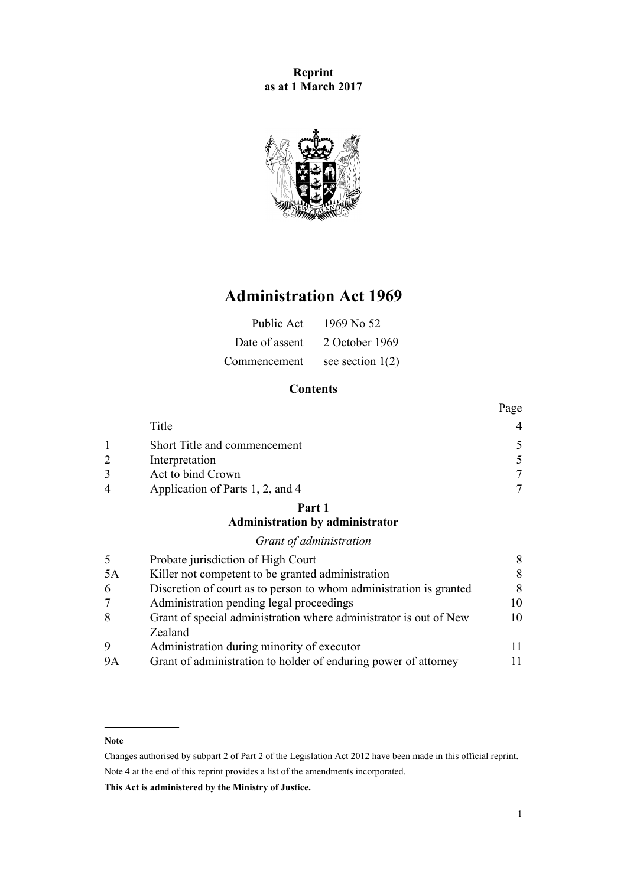**Reprint as at 1 March 2017**



# **Administration Act 1969**

| Public Act     | 1969 No 52         |
|----------------|--------------------|
| Date of assent | 2 October 1969     |
| Commencement   | see section $1(2)$ |

# **Contents**

|                |                                  | Page |
|----------------|----------------------------------|------|
|                | Title                            | 4    |
|                | Short Title and commencement     | 5    |
| 2              | Interpretation                   | 5    |
| 3              | Act to bind Crown                | 7    |
| $\overline{4}$ | Application of Parts 1, 2, and 4 |      |

# **[Part 1](#page-7-0)**

# **[Administration by administrator](#page-7-0)**

# *[Grant of administration](#page-7-0)*

| .5        | Probate jurisdiction of High Court                                 | 8   |
|-----------|--------------------------------------------------------------------|-----|
| 5A        | Killer not competent to be granted administration                  | 8   |
| 6         | Discretion of court as to person to whom administration is granted | 8   |
| $\tau$    | Administration pending legal proceedings                           | 10  |
| 8         | Grant of special administration where administrator is out of New  | 10  |
|           | Zealand                                                            |     |
| 9         | Administration during minority of executor                         | 11. |
| <b>9A</b> | Grant of administration to holder of enduring power of attorney    | 11  |
|           |                                                                    |     |

#### **Note**

Changes authorised by [subpart 2](http://prd-lgnz-nlb.prd.pco.net.nz/pdflink.aspx?id=DLM2998524) of Part 2 of the Legislation Act 2012 have been made in this official reprint. Note 4 at the end of this reprint provides a list of the amendments incorporated.

**This Act is administered by the Ministry of Justice.**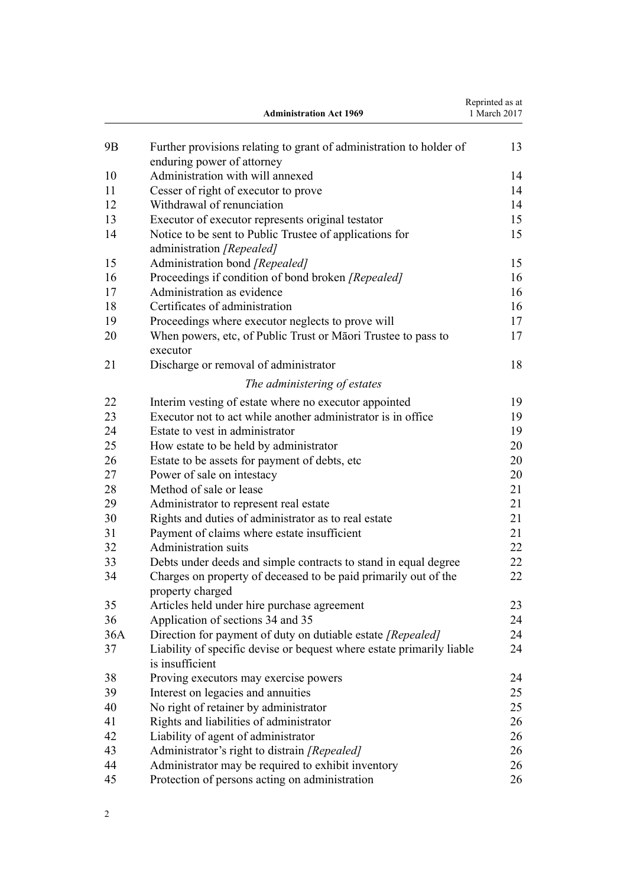|     | <b>Administration Act 1969</b>                                                                    | Reprinted as at<br>1 March 2017 |
|-----|---------------------------------------------------------------------------------------------------|---------------------------------|
| 9B  | Further provisions relating to grant of administration to holder of<br>enduring power of attorney | 13                              |
| 10  | Administration with will annexed                                                                  | 14                              |
| 11  | Cesser of right of executor to prove                                                              | 14                              |
| 12  | Withdrawal of renunciation                                                                        | 14                              |
| 13  | Executor of executor represents original testator                                                 | 15                              |
| 14  | Notice to be sent to Public Trustee of applications for<br>administration [Repealed]              | 15                              |
| 15  | Administration bond [Repealed]                                                                    | 15                              |
| 16  | Proceedings if condition of bond broken [Repealed]                                                | 16                              |
| 17  | Administration as evidence                                                                        | 16                              |
| 18  | Certificates of administration                                                                    | 16                              |
| 19  | Proceedings where executor neglects to prove will                                                 | 17                              |
| 20  | When powers, etc, of Public Trust or Māori Trustee to pass to<br>executor                         | 17                              |
| 21  | Discharge or removal of administrator                                                             | 18                              |
|     | The administering of estates                                                                      |                                 |
| 22  | Interim vesting of estate where no executor appointed                                             | 19                              |
| 23  | Executor not to act while another administrator is in office                                      | 19                              |
| 24  | Estate to vest in administrator                                                                   | 19                              |
| 25  | How estate to be held by administrator                                                            | 20                              |
| 26  | Estate to be assets for payment of debts, etc.                                                    | 20                              |
| 27  | Power of sale on intestacy                                                                        | 20                              |
| 28  | Method of sale or lease                                                                           | 21                              |
| 29  | Administrator to represent real estate                                                            | 21                              |
| 30  | Rights and duties of administrator as to real estate                                              | 21                              |
| 31  | Payment of claims where estate insufficient                                                       | 21                              |
| 32  | <b>Administration suits</b>                                                                       | 22                              |
| 33  | Debts under deeds and simple contracts to stand in equal degree                                   | 22                              |
| 34  | Charges on property of deceased to be paid primarily out of the<br>property charged               | 22                              |
| 35  | Articles held under hire purchase agreement                                                       | 23                              |
| 36  | Application of sections 34 and 35                                                                 | 24                              |
| 36A | Direction for payment of duty on dutiable estate [Repealed]                                       | 24                              |
| 37  | Liability of specific devise or bequest where estate primarily liable<br>is insufficient          | 24                              |
| 38  | Proving executors may exercise powers                                                             | 24                              |
| 39  | Interest on legacies and annuities                                                                | 25                              |
| 40  | No right of retainer by administrator                                                             | 25                              |
| 41  | Rights and liabilities of administrator                                                           | 26                              |
| 42  | Liability of agent of administrator                                                               | 26                              |
| 43  | Administrator's right to distrain [Repealed]                                                      | 26                              |
| 44  | Administrator may be required to exhibit inventory                                                | 26                              |
| 45  | Protection of persons acting on administration                                                    | 26                              |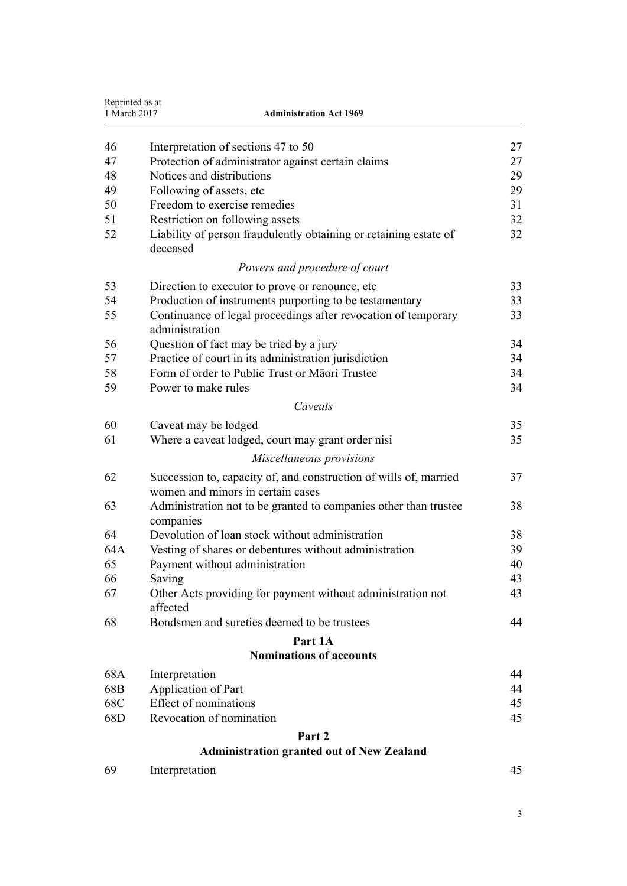| Reprinted as at<br>1 March 2017 | <b>Administration Act 1969</b>                                                            |          |
|---------------------------------|-------------------------------------------------------------------------------------------|----------|
| 46                              |                                                                                           |          |
| 47                              | Interpretation of sections 47 to 50<br>Protection of administrator against certain claims | 27<br>27 |
| 48                              | Notices and distributions                                                                 | 29       |
| 49                              | Following of assets, etc.                                                                 | 29       |
| 50                              | Freedom to exercise remedies                                                              | 31       |
| 51                              | Restriction on following assets                                                           | 32       |
| 52                              | Liability of person fraudulently obtaining or retaining estate of<br>deceased             | 32       |
|                                 | Powers and procedure of court                                                             |          |
| 53                              | Direction to executor to prove or renounce, etc                                           | 33       |
| 54                              | Production of instruments purporting to be testamentary                                   | 33       |
| 55                              | Continuance of legal proceedings after revocation of temporary<br>administration          | 33       |
| 56                              | Question of fact may be tried by a jury                                                   | 34       |
| 57                              | Practice of court in its administration jurisdiction                                      | 34       |
| 58                              | Form of order to Public Trust or Māori Trustee                                            | 34       |
| 59                              | Power to make rules                                                                       | 34       |
|                                 | Caveats                                                                                   |          |
| 60                              | Caveat may be lodged                                                                      | 35       |
| 61                              | Where a caveat lodged, court may grant order nisi                                         | 35       |
|                                 | Miscellaneous provisions                                                                  |          |
| 62                              | Succession to, capacity of, and construction of wills of, married                         | 37       |
|                                 | women and minors in certain cases                                                         |          |
| 63                              | Administration not to be granted to companies other than trustee<br>companies             | 38       |
| 64                              | Devolution of loan stock without administration                                           | 38       |
| 64A                             | Vesting of shares or debentures without administration                                    | 39       |
| 65                              | Payment without administration                                                            | 40       |
| 66                              | Saving                                                                                    | 43       |
| 67                              | Other Acts providing for payment without administration not<br>affected                   | 43       |
| 68                              | Bondsmen and sureties deemed to be trustees                                               | 44       |
|                                 | Part 1A                                                                                   |          |
|                                 | <b>Nominations of accounts</b>                                                            |          |
| 68A                             | Interpretation                                                                            | 44       |
| 68B                             | Application of Part                                                                       | 44       |
| 68C                             | <b>Effect of nominations</b>                                                              | 45       |
| 68D                             | Revocation of nomination                                                                  | 45       |
|                                 | Part 2                                                                                    |          |
|                                 | <b>Administration granted out of New Zealand</b>                                          |          |
| 69                              | Interpretation                                                                            | 45       |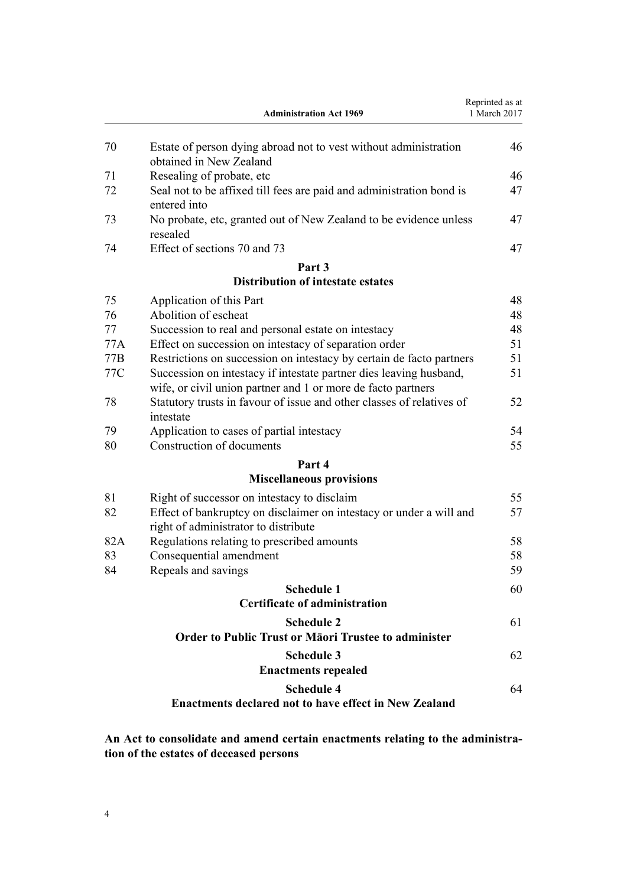<span id="page-3-0"></span>

|     | <b>Administration Act 1969</b>                                                                                                     | Reprinted as at<br>1 March 2017 |
|-----|------------------------------------------------------------------------------------------------------------------------------------|---------------------------------|
| 70  | Estate of person dying abroad not to vest without administration<br>obtained in New Zealand                                        | 46                              |
| 71  | Resealing of probate, etc                                                                                                          | 46                              |
| 72  | Seal not to be affixed till fees are paid and administration bond is<br>entered into                                               | 47                              |
| 73  | No probate, etc, granted out of New Zealand to be evidence unless<br>resealed                                                      | 47                              |
| 74  | Effect of sections 70 and 73                                                                                                       | 47                              |
|     | Part 3                                                                                                                             |                                 |
|     | <b>Distribution of intestate estates</b>                                                                                           |                                 |
| 75  | Application of this Part                                                                                                           | 48                              |
| 76  | Abolition of escheat                                                                                                               | 48                              |
| 77  | Succession to real and personal estate on intestacy                                                                                | 48                              |
| 77A | Effect on succession on intestacy of separation order                                                                              | 51                              |
| 77B | Restrictions on succession on intestacy by certain de facto partners                                                               | 51                              |
| 77C | Succession on intestacy if intestate partner dies leaving husband,<br>wife, or civil union partner and 1 or more de facto partners | 51                              |
| 78  | Statutory trusts in favour of issue and other classes of relatives of<br>intestate                                                 | 52                              |
| 79  | Application to cases of partial intestacy                                                                                          | 54                              |
| 80  | Construction of documents                                                                                                          | 55                              |
|     | Part 4                                                                                                                             |                                 |
|     | <b>Miscellaneous provisions</b>                                                                                                    |                                 |
| 81  | Right of successor on intestacy to disclaim                                                                                        | 55                              |
| 82  | Effect of bankruptcy on disclaimer on intestacy or under a will and<br>right of administrator to distribute                        | 57                              |
| 82A | Regulations relating to prescribed amounts                                                                                         | 58                              |
| 83  | Consequential amendment                                                                                                            | 58                              |
| 84  | Repeals and savings                                                                                                                | 59                              |
|     | <b>Schedule 1</b>                                                                                                                  | 60                              |
|     | <b>Certificate of administration</b>                                                                                               |                                 |
|     | <b>Schedule 2</b>                                                                                                                  | 61                              |
|     | <b>Order to Public Trust or Maori Trustee to administer</b>                                                                        |                                 |
|     | <b>Schedule 3</b>                                                                                                                  | 62                              |
|     | <b>Enactments repealed</b>                                                                                                         |                                 |
|     | <b>Schedule 4</b><br><b>Enactments declared not to have effect in New Zealand</b>                                                  | 64                              |
|     |                                                                                                                                    |                                 |

**An Act to consolidate and amend certain enactments relating to the administration of the estates of deceased persons**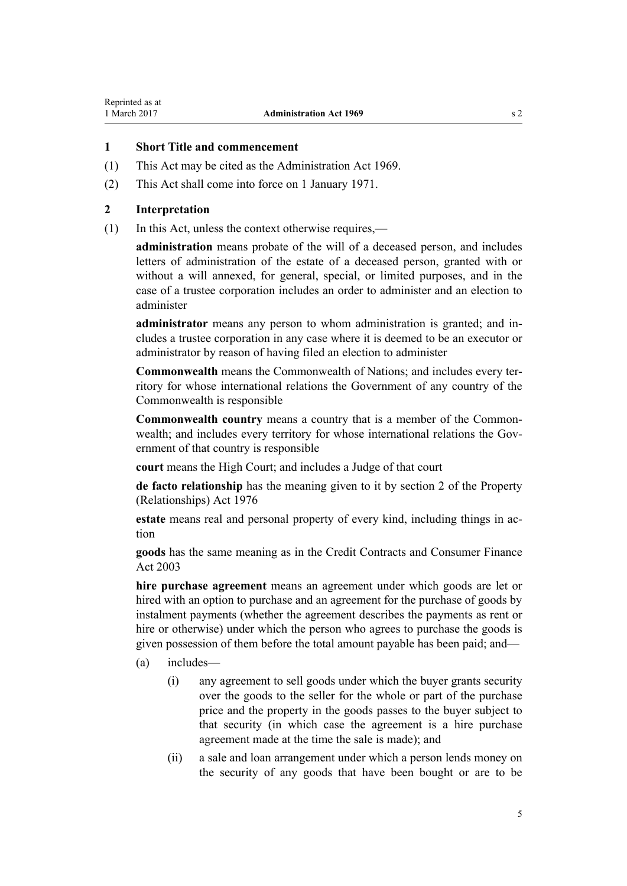# <span id="page-4-0"></span>**1 Short Title and commencement**

- (1) This Act may be cited as the Administration Act 1969.
- (2) This Act shall come into force on 1 January 1971.

## **2 Interpretation**

(1) In this Act, unless the context otherwise requires,—

**administration** means probate of the will of a deceased person, and includes letters of administration of the estate of a deceased person, granted with or without a will annexed, for general, special, or limited purposes, and in the case of a trustee corporation includes an order to administer and an election to administer

**administrator** means any person to whom administration is granted; and includes a trustee corporation in any case where it is deemed to be an executor or administrator by reason of having filed an election to administer

**Commonwealth** means the Commonwealth of Nations; and includes every territory for whose international relations the Government of any country of the Commonwealth is responsible

**Commonwealth country** means a country that is a member of the Commonwealth; and includes every territory for whose international relations the Government of that country is responsible

**court** means the High Court; and includes a Judge of that court

**de facto relationship** has the meaning given to it by [section 2](http://prd-lgnz-nlb.prd.pco.net.nz/pdflink.aspx?id=DLM441012) of the Property (Relationships) Act 1976

**estate** means real and personal property of every kind, including things in action

**goods** has the same meaning as in the [Credit Contracts and Consumer Finance](http://prd-lgnz-nlb.prd.pco.net.nz/pdflink.aspx?id=DLM211511) [Act 2003](http://prd-lgnz-nlb.prd.pco.net.nz/pdflink.aspx?id=DLM211511)

**hire purchase agreement** means an agreement under which goods are let or hired with an option to purchase and an agreement for the purchase of goods by instalment payments (whether the agreement describes the payments as rent or hire or otherwise) under which the person who agrees to purchase the goods is given possession of them before the total amount payable has been paid; and—

- (a) includes—
	- (i) any agreement to sell goods under which the buyer grants security over the goods to the seller for the whole or part of the purchase price and the property in the goods passes to the buyer subject to that security (in which case the agreement is a hire purchase agreement made at the time the sale is made); and
	- (ii) a sale and loan arrangement under which a person lends money on the security of any goods that have been bought or are to be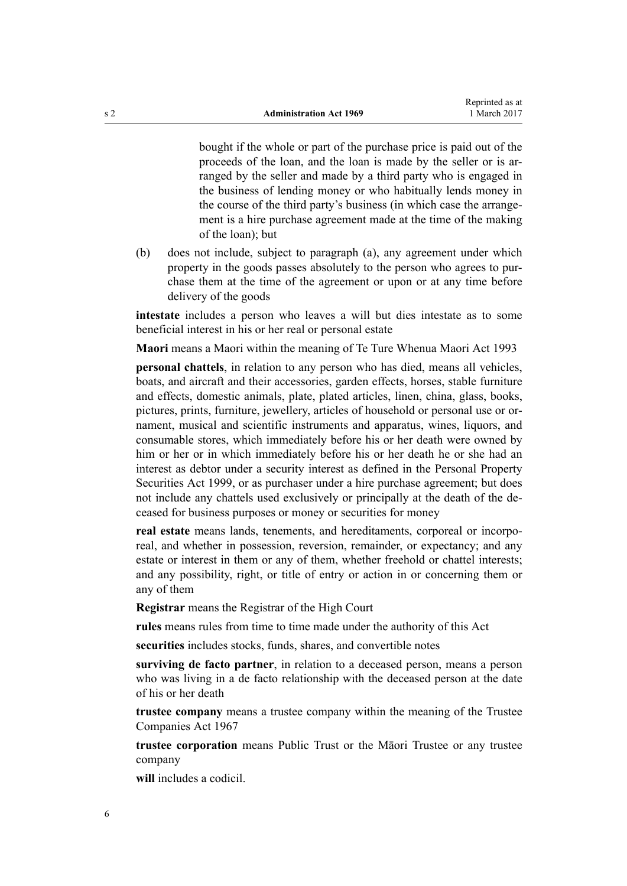<span id="page-5-0"></span>bought if the whole or part of the purchase price is paid out of the proceeds of the loan, and the loan is made by the seller or is arranged by the seller and made by a third party who is engaged in the business of lending money or who habitually lends money in the course of the third party's business (in which case the arrangement is a hire purchase agreement made at the time of the making of the loan); but

(b) does not include, subject to paragraph (a), any agreement under which property in the goods passes absolutely to the person who agrees to purchase them at the time of the agreement or upon or at any time before delivery of the goods

**intestate** includes a person who leaves a will but dies intestate as to some beneficial interest in his or her real or personal estate

**Maori** means a Maori within the meaning of [Te Ture Whenua Maori Act 1993](http://prd-lgnz-nlb.prd.pco.net.nz/pdflink.aspx?id=DLM289881)

**personal chattels**, in relation to any person who has died, means all vehicles, boats, and aircraft and their accessories, garden effects, horses, stable furniture and effects, domestic animals, plate, plated articles, linen, china, glass, books, pictures, prints, furniture, jewellery, articles of household or personal use or ornament, musical and scientific instruments and apparatus, wines, liquors, and consumable stores, which immediately before his or her death were owned by him or her or in which immediately before his or her death he or she had an interest as debtor under a security interest as defined in the [Personal Property](http://prd-lgnz-nlb.prd.pco.net.nz/pdflink.aspx?id=DLM45599) [Securities Act 1999,](http://prd-lgnz-nlb.prd.pco.net.nz/pdflink.aspx?id=DLM45599) or as purchaser under a hire purchase agreement; but does not include any chattels used exclusively or principally at the death of the deceased for business purposes or money or securities for money

**real estate** means lands, tenements, and hereditaments, corporeal or incorporeal, and whether in possession, reversion, remainder, or expectancy; and any estate or interest in them or any of them, whether freehold or chattel interests; and any possibility, right, or title of entry or action in or concerning them or any of them

**Registrar** means the Registrar of the High Court

**rules** means rules from time to time made under the authority of this Act

**securities** includes stocks, funds, shares, and convertible notes

**surviving de facto partner**, in relation to a deceased person, means a person who was living in a de facto relationship with the deceased person at the date of his or her death

**trustee company** means a trustee company within the meaning of the [Trustee](http://prd-lgnz-nlb.prd.pco.net.nz/pdflink.aspx?id=DLM381179) [Companies Act 1967](http://prd-lgnz-nlb.prd.pco.net.nz/pdflink.aspx?id=DLM381179)

**trustee corporation** means Public Trust or the Māori Trustee or any trustee company

**will** includes a codicil.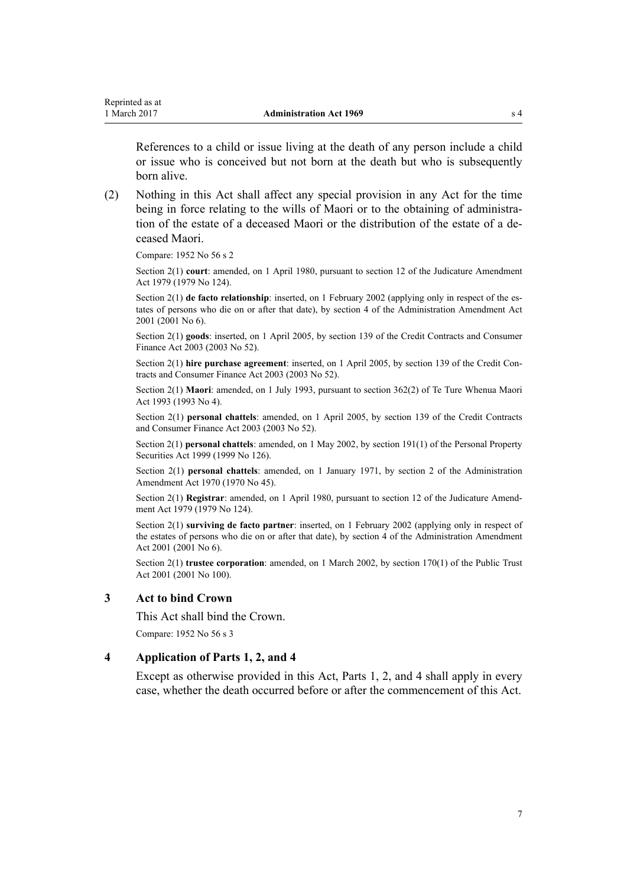<span id="page-6-0"></span>References to a child or issue living at the death of any person include a child or issue who is conceived but not born at the death but who is subsequently born alive.

(2) Nothing in this Act shall affect any special provision in any Act for the time being in force relating to the wills of Maori or to the obtaining of administration of the estate of a deceased Maori or the distribution of the estate of a deceased Maori.

Compare: 1952 No 56 s 2

Section 2(1) **court**: amended, on 1 April 1980, pursuant to [section 12](http://prd-lgnz-nlb.prd.pco.net.nz/pdflink.aspx?id=DLM35049) of the Judicature Amendment Act 1979 (1979 No 124).

Section 2(1) **de facto relationship**: inserted, on 1 February 2002 (applying only in respect of the estates of persons who die on or after that date), by [section 4](http://prd-lgnz-nlb.prd.pco.net.nz/pdflink.aspx?id=DLM88121) of the Administration Amendment Act 2001 (2001 No 6).

Section 2(1) **goods**: inserted, on 1 April 2005, by [section 139](http://prd-lgnz-nlb.prd.pco.net.nz/pdflink.aspx?id=DLM213532) of the Credit Contracts and Consumer Finance Act 2003 (2003 No 52).

Section 2(1) **hire purchase agreement**: inserted, on 1 April 2005, by [section 139](http://prd-lgnz-nlb.prd.pco.net.nz/pdflink.aspx?id=DLM213532) of the Credit Contracts and Consumer Finance Act 2003 (2003 No 52).

Section 2(1) **Maori**: amended, on 1 July 1993, pursuant to [section 362\(2\)](http://prd-lgnz-nlb.prd.pco.net.nz/pdflink.aspx?id=DLM293026) of Te Ture Whenua Maori Act 1993 (1993 No 4).

Section 2(1) **personal chattels**: amended, on 1 April 2005, by [section 139](http://prd-lgnz-nlb.prd.pco.net.nz/pdflink.aspx?id=DLM213532) of the Credit Contracts and Consumer Finance Act 2003 (2003 No 52).

Section 2(1) **personal chattels**: amended, on 1 May 2002, by [section 191\(1\)](http://prd-lgnz-nlb.prd.pco.net.nz/pdflink.aspx?id=DLM47639) of the Personal Property Securities Act 1999 (1999 No 126).

Section 2(1) **personal chattels**: amended, on 1 January 1971, by section 2 of the Administration Amendment Act 1970 (1970 No 45).

Section 2(1) **Registrar**: amended, on 1 April 1980, pursuant to [section 12](http://prd-lgnz-nlb.prd.pco.net.nz/pdflink.aspx?id=DLM35049) of the Judicature Amendment Act 1979 (1979 No 124).

Section 2(1) **surviving de facto partner**: inserted, on 1 February 2002 (applying only in respect of the estates of persons who die on or after that date), by [section 4](http://prd-lgnz-nlb.prd.pco.net.nz/pdflink.aspx?id=DLM88121) of the Administration Amendment Act 2001 (2001 No 6).

Section 2(1) **trustee corporation**: amended, on 1 March 2002, by [section 170\(1\)](http://prd-lgnz-nlb.prd.pco.net.nz/pdflink.aspx?id=DLM124529) of the Public Trust Act 2001 (2001 No 100).

# **3 Act to bind Crown**

This Act shall bind the Crown.

Compare: 1952 No 56 s 3

#### **4 Application of Parts 1, 2, and 4**

Except as otherwise provided in this Act, [Parts 1,](#page-7-0) [2,](#page-44-0) and [4](#page-54-0) shall apply in every case, whether the death occurred before or after the commencement of this Act.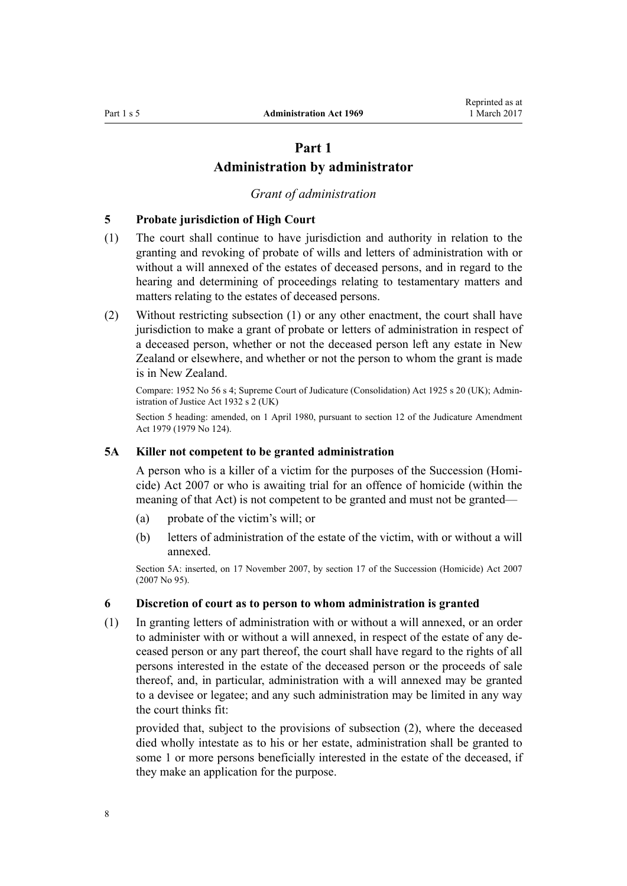# **Part 1 Administration by administrator**

### *Grant of administration*

# <span id="page-7-0"></span>**5 Probate jurisdiction of High Court**

- (1) The court shall continue to have jurisdiction and authority in relation to the granting and revoking of probate of wills and letters of administration with or without a will annexed of the estates of deceased persons, and in regard to the hearing and determining of proceedings relating to testamentary matters and matters relating to the estates of deceased persons.
- (2) Without restricting subsection (1) or any other enactment, the court shall have jurisdiction to make a grant of probate or letters of administration in respect of a deceased person, whether or not the deceased person left any estate in New Zealand or elsewhere, and whether or not the person to whom the grant is made is in New Zealand.

Compare: 1952 No 56 s 4; Supreme Court of Judicature (Consolidation) Act 1925 s 20 (UK); Administration of Justice Act 1932 s 2 (UK)

Section 5 heading: amended, on 1 April 1980, pursuant to [section 12](http://prd-lgnz-nlb.prd.pco.net.nz/pdflink.aspx?id=DLM35049) of the Judicature Amendment Act 1979 (1979 No 124).

#### **5A Killer not competent to be granted administration**

A person who is a killer of a victim for the purposes of the Succession (Homicide) Act 2007 or who is awaiting trial for an offence of homicide (within the meaning of that Act) is not competent to be granted and must not be granted—

- (a) probate of the victim's will; or
- (b) letters of administration of the estate of the victim, with or without a will annexed.

Section 5A: inserted, on 17 November 2007, by [section 17](http://prd-lgnz-nlb.prd.pco.net.nz/pdflink.aspx?id=DLM970309) of the Succession (Homicide) Act 2007 (2007 No 95).

# **6 Discretion of court as to person to whom administration is granted**

(1) In granting letters of administration with or without a will annexed, or an order to administer with or without a will annexed, in respect of the estate of any deceased person or any part thereof, the court shall have regard to the rights of all persons interested in the estate of the deceased person or the proceeds of sale thereof, and, in particular, administration with a will annexed may be granted to a devisee or legatee; and any such administration may be limited in any way the court thinks fit:

provided that, subject to the provisions of subsection (2), where the deceased died wholly intestate as to his or her estate, administration shall be granted to some 1 or more persons beneficially interested in the estate of the deceased, if they make an application for the purpose.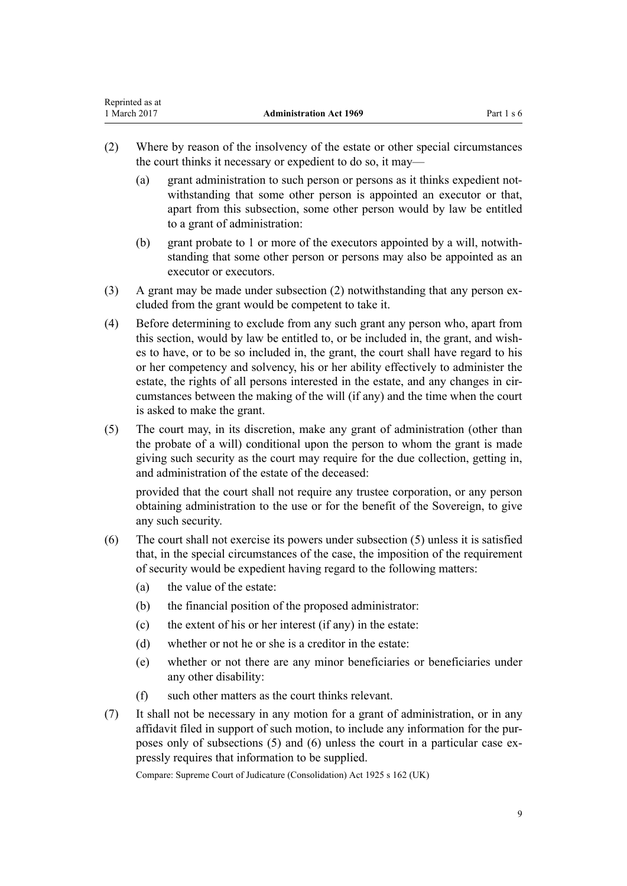| Reprinted as at |                                |            |
|-----------------|--------------------------------|------------|
| 1 March 2017    | <b>Administration Act 1969</b> | Part 1 s 6 |

- (2) Where by reason of the insolvency of the estate or other special circumstances the court thinks it necessary or expedient to do so, it may—
	- (a) grant administration to such person or persons as it thinks expedient notwithstanding that some other person is appointed an executor or that, apart from this subsection, some other person would by law be entitled to a grant of administration:
	- (b) grant probate to 1 or more of the executors appointed by a will, notwithstanding that some other person or persons may also be appointed as an executor or executors.
- (3) A grant may be made under subsection (2) notwithstanding that any person excluded from the grant would be competent to take it.
- (4) Before determining to exclude from any such grant any person who, apart from this section, would by law be entitled to, or be included in, the grant, and wishes to have, or to be so included in, the grant, the court shall have regard to his or her competency and solvency, his or her ability effectively to administer the estate, the rights of all persons interested in the estate, and any changes in circumstances between the making of the will (if any) and the time when the court is asked to make the grant.
- (5) The court may, in its discretion, make any grant of administration (other than the probate of a will) conditional upon the person to whom the grant is made giving such security as the court may require for the due collection, getting in, and administration of the estate of the deceased:

provided that the court shall not require any trustee corporation, or any person obtaining administration to the use or for the benefit of the Sovereign, to give any such security.

- (6) The court shall not exercise its powers under subsection (5) unless it is satisfied that, in the special circumstances of the case, the imposition of the requirement of security would be expedient having regard to the following matters:
	- (a) the value of the estate:
	- (b) the financial position of the proposed administrator:
	- (c) the extent of his or her interest (if any) in the estate:
	- (d) whether or not he or she is a creditor in the estate:
	- (e) whether or not there are any minor beneficiaries or beneficiaries under any other disability:
	- (f) such other matters as the court thinks relevant.
- (7) It shall not be necessary in any motion for a grant of administration, or in any affidavit filed in support of such motion, to include any information for the purposes only of subsections (5) and (6) unless the court in a particular case expressly requires that information to be supplied.

Compare: Supreme Court of Judicature (Consolidation) Act 1925 s 162 (UK)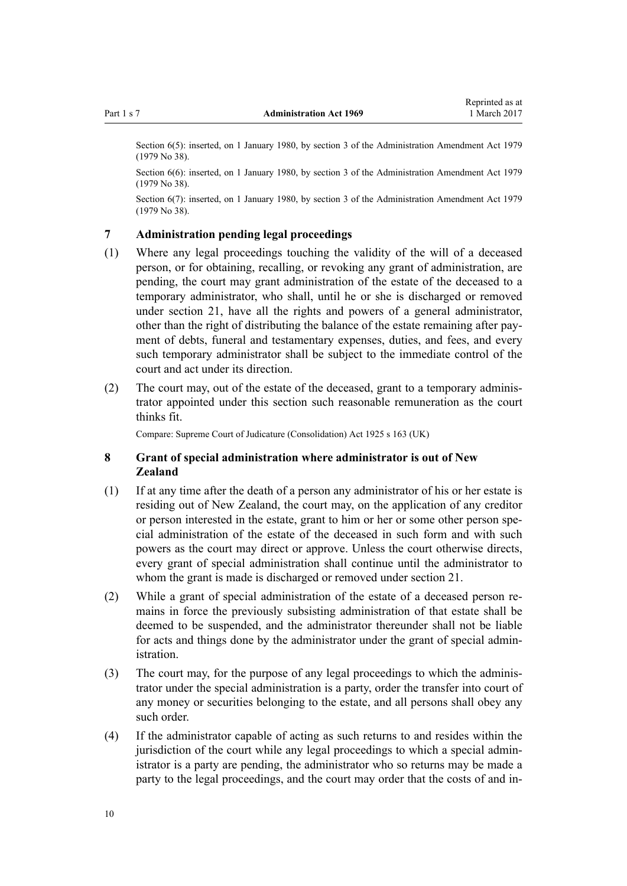<span id="page-9-0"></span>

Section 6(5): inserted, on 1 January 1980, by [section 3](http://prd-lgnz-nlb.prd.pco.net.nz/pdflink.aspx?id=DLM32816) of the Administration Amendment Act 1979 (1979 No 38).

Section 6(6): inserted, on 1 January 1980, by [section 3](http://prd-lgnz-nlb.prd.pco.net.nz/pdflink.aspx?id=DLM32816) of the Administration Amendment Act 1979 (1979 No 38).

Section 6(7): inserted, on 1 January 1980, by [section 3](http://prd-lgnz-nlb.prd.pco.net.nz/pdflink.aspx?id=DLM32816) of the Administration Amendment Act 1979 (1979 No 38).

### **7 Administration pending legal proceedings**

- (1) Where any legal proceedings touching the validity of the will of a deceased person, or for obtaining, recalling, or revoking any grant of administration, are pending, the court may grant administration of the estate of the deceased to a temporary administrator, who shall, until he or she is discharged or removed under [section 21](#page-17-0), have all the rights and powers of a general administrator, other than the right of distributing the balance of the estate remaining after payment of debts, funeral and testamentary expenses, duties, and fees, and every such temporary administrator shall be subject to the immediate control of the court and act under its direction.
- (2) The court may, out of the estate of the deceased, grant to a temporary administrator appointed under this section such reasonable remuneration as the court thinks fit.

Compare: Supreme Court of Judicature (Consolidation) Act 1925 s 163 (UK)

# **8 Grant of special administration where administrator is out of New Zealand**

- (1) If at any time after the death of a person any administrator of his or her estate is residing out of New Zealand, the court may, on the application of any creditor or person interested in the estate, grant to him or her or some other person special administration of the estate of the deceased in such form and with such powers as the court may direct or approve. Unless the court otherwise directs, every grant of special administration shall continue until the administrator to whom the grant is made is discharged or removed under [section 21](#page-17-0).
- (2) While a grant of special administration of the estate of a deceased person remains in force the previously subsisting administration of that estate shall be deemed to be suspended, and the administrator thereunder shall not be liable for acts and things done by the administrator under the grant of special administration.
- (3) The court may, for the purpose of any legal proceedings to which the administrator under the special administration is a party, order the transfer into court of any money or securities belonging to the estate, and all persons shall obey any such order.
- (4) If the administrator capable of acting as such returns to and resides within the jurisdiction of the court while any legal proceedings to which a special administrator is a party are pending, the administrator who so returns may be made a party to the legal proceedings, and the court may order that the costs of and in-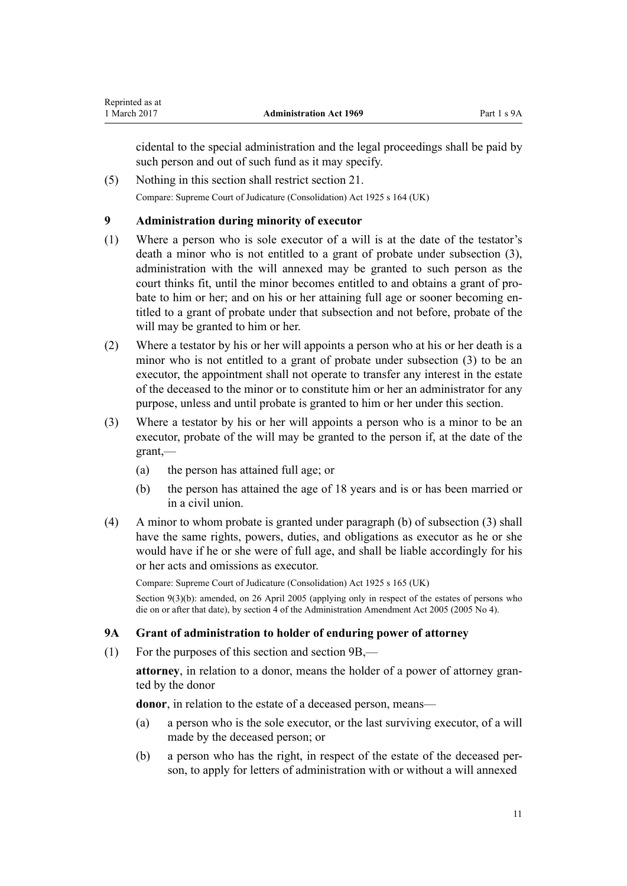<span id="page-10-0"></span>cidental to the special administration and the legal proceedings shall be paid by such person and out of such fund as it may specify.

(5) Nothing in this section shall restrict [section 21.](#page-17-0) Compare: Supreme Court of Judicature (Consolidation) Act 1925 s 164 (UK)

# **9 Administration during minority of executor**

- (1) Where a person who is sole executor of a will is at the date of the testator's death a minor who is not entitled to a grant of probate under subsection (3), administration with the will annexed may be granted to such person as the court thinks fit, until the minor becomes entitled to and obtains a grant of probate to him or her; and on his or her attaining full age or sooner becoming entitled to a grant of probate under that subsection and not before, probate of the will may be granted to him or her.
- (2) Where a testator by his or her will appoints a person who at his or her death is a minor who is not entitled to a grant of probate under subsection (3) to be an executor, the appointment shall not operate to transfer any interest in the estate of the deceased to the minor or to constitute him or her an administrator for any purpose, unless and until probate is granted to him or her under this section.
- (3) Where a testator by his or her will appoints a person who is a minor to be an executor, probate of the will may be granted to the person if, at the date of the grant,—
	- (a) the person has attained full age; or
	- (b) the person has attained the age of 18 years and is or has been married or in a civil union.
- (4) A minor to whom probate is granted under paragraph (b) of subsection (3) shall have the same rights, powers, duties, and obligations as executor as he or she would have if he or she were of full age, and shall be liable accordingly for his or her acts and omissions as executor.

Compare: Supreme Court of Judicature (Consolidation) Act 1925 s 165 (UK)

Section 9(3)(b): amended, on 26 April 2005 (applying only in respect of the estates of persons who die on or after that date), by [section 4](http://prd-lgnz-nlb.prd.pco.net.nz/pdflink.aspx?id=DLM334749) of the Administration Amendment Act 2005 (2005 No 4).

# **9A Grant of administration to holder of enduring power of attorney**

(1) For the purposes of this section and [section 9B](#page-12-0),—

**attorney**, in relation to a donor, means the holder of a power of attorney granted by the donor

**donor**, in relation to the estate of a deceased person, means—

- (a) a person who is the sole executor, or the last surviving executor, of a will made by the deceased person; or
- (b) a person who has the right, in respect of the estate of the deceased person, to apply for letters of administration with or without a will annexed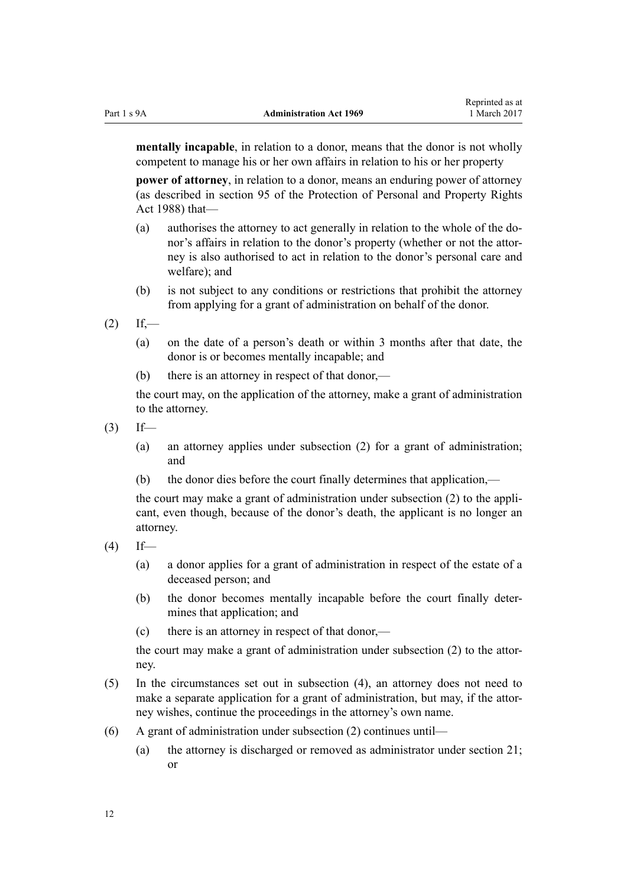**mentally incapable**, in relation to a donor, means that the donor is not wholly competent to manage his or her own affairs in relation to his or her property

**power of attorney**, in relation to a donor, means an enduring power of attorney (as described in [section 95](http://prd-lgnz-nlb.prd.pco.net.nz/pdflink.aspx?id=DLM127556) of the Protection of Personal and Property Rights Act 1988) that—

- (a) authorises the attorney to act generally in relation to the whole of the donor's affairs in relation to the donor's property (whether or not the attorney is also authorised to act in relation to the donor's personal care and welfare); and
- (b) is not subject to any conditions or restrictions that prohibit the attorney from applying for a grant of administration on behalf of the donor.
- $(2)$  If,—
	- (a) on the date of a person's death or within 3 months after that date, the donor is or becomes mentally incapable; and
	- (b) there is an attorney in respect of that donor,—

the court may, on the application of the attorney, make a grant of administration to the attorney.

- $(3)$  If—
	- (a) an attorney applies under subsection (2) for a grant of administration; and
	- (b) the donor dies before the court finally determines that application,—

the court may make a grant of administration under subsection (2) to the applicant, even though, because of the donor's death, the applicant is no longer an attorney.

- $(4)$  If—
	- (a) a donor applies for a grant of administration in respect of the estate of a deceased person; and
	- (b) the donor becomes mentally incapable before the court finally determines that application; and
	- (c) there is an attorney in respect of that donor,—

the court may make a grant of administration under subsection (2) to the attorney.

- (5) In the circumstances set out in subsection (4), an attorney does not need to make a separate application for a grant of administration, but may, if the attorney wishes, continue the proceedings in the attorney's own name.
- (6) A grant of administration under subsection (2) continues until—
	- (a) the attorney is discharged or removed as administrator under [section 21;](#page-17-0) or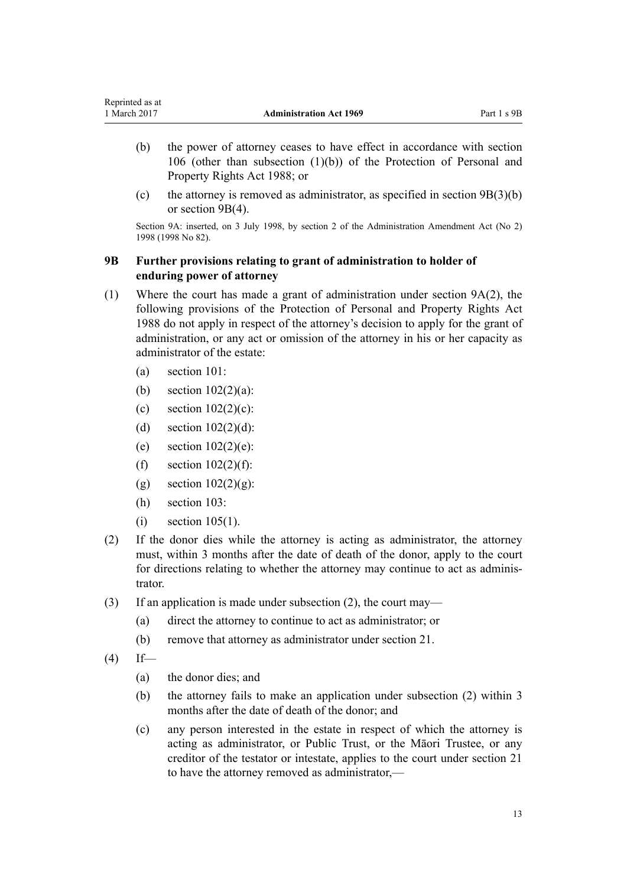- <span id="page-12-0"></span>(b) the power of attorney ceases to have effect in accordance with [section](http://prd-lgnz-nlb.prd.pco.net.nz/pdflink.aspx?id=DLM127569) [106](http://prd-lgnz-nlb.prd.pco.net.nz/pdflink.aspx?id=DLM127569) (other than subsection (1)(b)) of the [Protection of Personal and](http://prd-lgnz-nlb.prd.pco.net.nz/pdflink.aspx?id=DLM126527) [Property Rights Act 1988](http://prd-lgnz-nlb.prd.pco.net.nz/pdflink.aspx?id=DLM126527); or
- (c) the attorney is removed as administrator, as specified in section  $9B(3)(b)$ or section 9B(4).

Section 9A: inserted, on 3 July 1998, by [section 2](http://prd-lgnz-nlb.prd.pco.net.nz/pdflink.aspx?id=DLM428150) of the Administration Amendment Act (No 2) 1998 (1998 No 82).

# **9B Further provisions relating to grant of administration to holder of enduring power of attorney**

- (1) Where the court has made a grant of administration under [section 9A\(2\),](#page-10-0) the following provisions of the [Protection of Personal and Property Rights Act](http://prd-lgnz-nlb.prd.pco.net.nz/pdflink.aspx?id=DLM126527) [1988](http://prd-lgnz-nlb.prd.pco.net.nz/pdflink.aspx?id=DLM126527) do not apply in respect of the attorney's decision to apply for the grant of administration, or any act or omission of the attorney in his or her capacity as administrator of the estate:
	- (a) [section 101:](http://prd-lgnz-nlb.prd.pco.net.nz/pdflink.aspx?id=DLM127564)
	- (b) [section 102\(2\)\(a\)](http://prd-lgnz-nlb.prd.pco.net.nz/pdflink.aspx?id=DLM127565):
	- (c) section  $102(2)(c)$ :
	- (d) section  $102(2)(d)$ :
	- (e) section  $102(2)(e)$ :
	- (f) section  $102(2)(f)$ :
	- (g) section  $102(2)(g)$ :
	- (h) [section 103:](http://prd-lgnz-nlb.prd.pco.net.nz/pdflink.aspx?id=DLM127566)
	- $(i)$  [section 105\(1\)](http://prd-lgnz-nlb.prd.pco.net.nz/pdflink.aspx?id=DLM127568).
- (2) If the donor dies while the attorney is acting as administrator, the attorney must, within 3 months after the date of death of the donor, apply to the court for directions relating to whether the attorney may continue to act as administrator.
- (3) If an application is made under subsection (2), the court may—
	- (a) direct the attorney to continue to act as administrator; or
	- (b) remove that attorney as administrator under [section 21.](#page-17-0)
- $(4)$  If—
	- (a) the donor dies; and
	- (b) the attorney fails to make an application under subsection (2) within 3 months after the date of death of the donor; and
	- (c) any person interested in the estate in respect of which the attorney is acting as administrator, or Public Trust, or the Māori Trustee, or any creditor of the testator or intestate, applies to the court under [section 21](#page-17-0) to have the attorney removed as administrator,—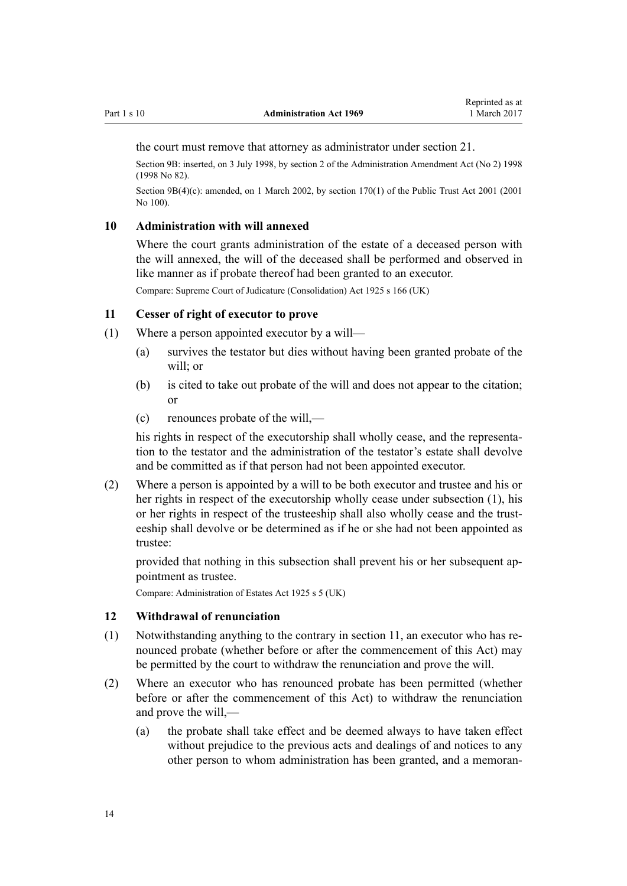<span id="page-13-0"></span>the court must remove that attorney as administrator under [section 21.](#page-17-0)

Section 9B: inserted, on 3 July 1998, by [section 2](http://prd-lgnz-nlb.prd.pco.net.nz/pdflink.aspx?id=DLM428150) of the Administration Amendment Act (No 2) 1998 (1998 No 82).

Section 9B(4)(c): amended, on 1 March 2002, by [section 170\(1\)](http://prd-lgnz-nlb.prd.pco.net.nz/pdflink.aspx?id=DLM124529) of the Public Trust Act 2001 (2001) No 100).

# **10 Administration with will annexed**

Where the court grants administration of the estate of a deceased person with the will annexed, the will of the deceased shall be performed and observed in like manner as if probate thereof had been granted to an executor.

Compare: Supreme Court of Judicature (Consolidation) Act 1925 s 166 (UK)

#### **11 Cesser of right of executor to prove**

- (1) Where a person appointed executor by a will—
	- (a) survives the testator but dies without having been granted probate of the will:  $or$
	- (b) is cited to take out probate of the will and does not appear to the citation; or
	- (c) renounces probate of the will,—

his rights in respect of the executorship shall wholly cease, and the representation to the testator and the administration of the testator's estate shall devolve and be committed as if that person had not been appointed executor.

(2) Where a person is appointed by a will to be both executor and trustee and his or her rights in respect of the executorship wholly cease under subsection (1), his or her rights in respect of the trusteeship shall also wholly cease and the trusteeship shall devolve or be determined as if he or she had not been appointed as trustee:

provided that nothing in this subsection shall prevent his or her subsequent appointment as trustee.

Compare: Administration of Estates Act 1925 s 5 (UK)

# **12 Withdrawal of renunciation**

- (1) Notwithstanding anything to the contrary in section 11, an executor who has renounced probate (whether before or after the commencement of this Act) may be permitted by the court to withdraw the renunciation and prove the will.
- (2) Where an executor who has renounced probate has been permitted (whether before or after the commencement of this Act) to withdraw the renunciation and prove the will,—
	- (a) the probate shall take effect and be deemed always to have taken effect without prejudice to the previous acts and dealings of and notices to any other person to whom administration has been granted, and a memoran-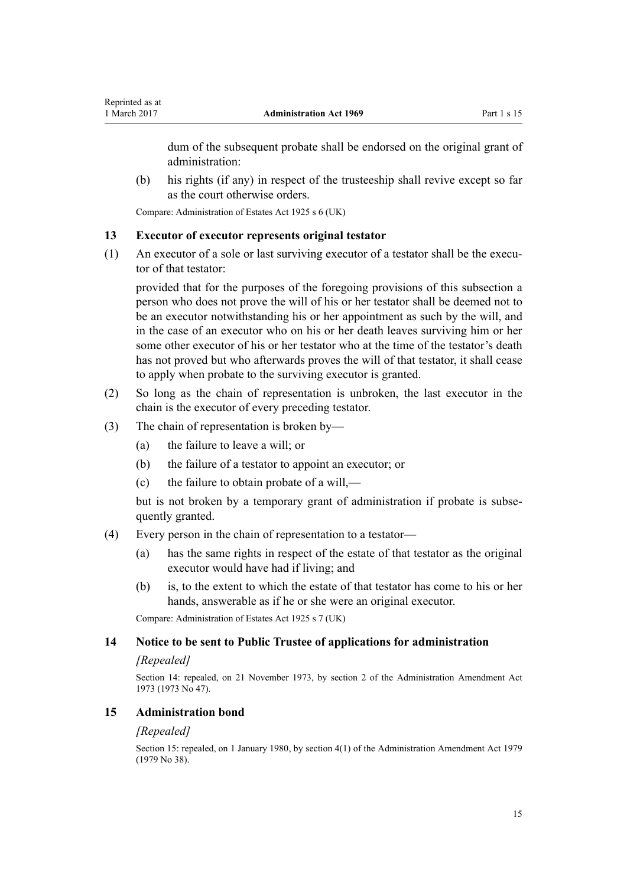<span id="page-14-0"></span>dum of the subsequent probate shall be endorsed on the original grant of administration:

(b) his rights (if any) in respect of the trusteeship shall revive except so far as the court otherwise orders.

Compare: Administration of Estates Act 1925 s 6 (UK)

# **13 Executor of executor represents original testator**

(1) An executor of a sole or last surviving executor of a testator shall be the executor of that testator:

provided that for the purposes of the foregoing provisions of this subsection a person who does not prove the will of his or her testator shall be deemed not to be an executor notwithstanding his or her appointment as such by the will, and in the case of an executor who on his or her death leaves surviving him or her some other executor of his or her testator who at the time of the testator's death has not proved but who afterwards proves the will of that testator, it shall cease to apply when probate to the surviving executor is granted.

- (2) So long as the chain of representation is unbroken, the last executor in the chain is the executor of every preceding testator.
- (3) The chain of representation is broken by—
	- (a) the failure to leave a will; or
	- (b) the failure of a testator to appoint an executor; or
	- (c) the failure to obtain probate of a will,—

but is not broken by a temporary grant of administration if probate is subsequently granted.

- (4) Every person in the chain of representation to a testator—
	- (a) has the same rights in respect of the estate of that testator as the original executor would have had if living; and
	- (b) is, to the extent to which the estate of that testator has come to his or her hands, answerable as if he or she were an original executor.

Compare: Administration of Estates Act 1925 s 7 (UK)

# **14 Notice to be sent to Public Trustee of applications for administration**

#### *[Repealed]*

Section 14: repealed, on 21 November 1973, by section 2 of the Administration Amendment Act 1973 (1973 No 47).

# **15 Administration bond**

### *[Repealed]*

Section 15: repealed, on 1 January 1980, by [section 4\(1\)](http://prd-lgnz-nlb.prd.pco.net.nz/pdflink.aspx?id=DLM32817) of the Administration Amendment Act 1979 (1979 No 38).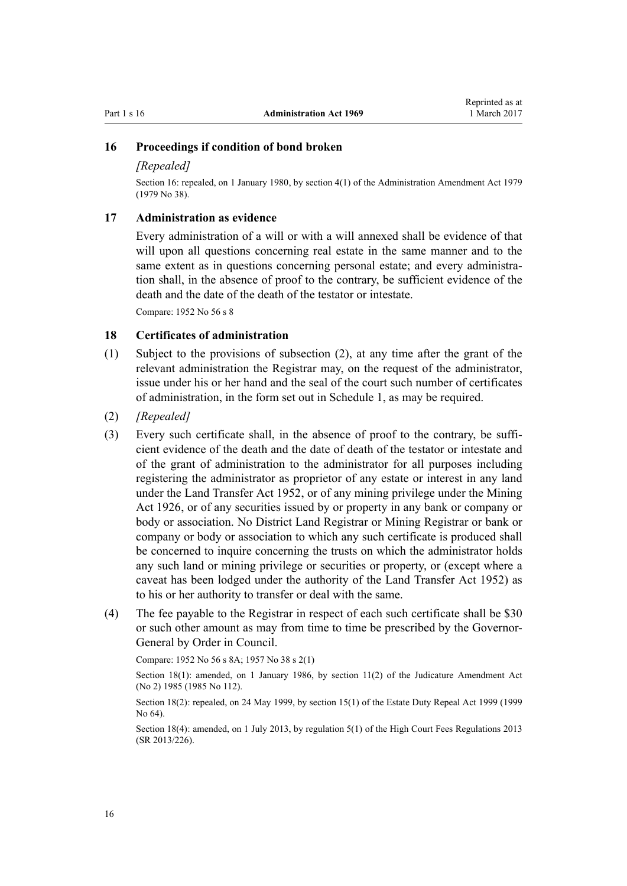#### <span id="page-15-0"></span>**16 Proceedings if condition of bond broken**

#### *[Repealed]*

Section 16: repealed, on 1 January 1980, by [section 4\(1\)](http://prd-lgnz-nlb.prd.pco.net.nz/pdflink.aspx?id=DLM32817) of the Administration Amendment Act 1979 (1979 No 38).

# **17 Administration as evidence**

Every administration of a will or with a will annexed shall be evidence of that will upon all questions concerning real estate in the same manner and to the same extent as in questions concerning personal estate; and every administration shall, in the absence of proof to the contrary, be sufficient evidence of the death and the date of the death of the testator or intestate.

Compare: 1952 No 56 s 8

### **18 Certificates of administration**

- (1) Subject to the provisions of subsection (2), at any time after the grant of the relevant administration the Registrar may, on the request of the administrator, issue under his or her hand and the seal of the court such number of certificates of administration, in the form set out in [Schedule 1,](#page-59-0) as may be required.
- (2) *[Repealed]*
- (3) Every such certificate shall, in the absence of proof to the contrary, be sufficient evidence of the death and the date of death of the testator or intestate and of the grant of administration to the administrator for all purposes including registering the administrator as proprietor of any estate or interest in any land under the [Land Transfer Act 1952](http://prd-lgnz-nlb.prd.pco.net.nz/pdflink.aspx?id=DLM269031), or of any mining privilege under the Mining Act 1926, or of any securities issued by or property in any bank or company or body or association. No District Land Registrar or Mining Registrar or bank or company or body or association to which any such certificate is produced shall be concerned to inquire concerning the trusts on which the administrator holds any such land or mining privilege or securities or property, or (except where a caveat has been lodged under the authority of the Land Transfer Act 1952) as to his or her authority to transfer or deal with the same.
- (4) The fee payable to the Registrar in respect of each such certificate shall be \$30 or such other amount as may from time to time be prescribed by the Governor-General by Order in Council.

Compare: 1952 No 56 s 8A; 1957 No 38 s 2(1)

Section 18(1): amended, on 1 January 1986, by [section 11\(2\)](http://prd-lgnz-nlb.prd.pco.net.nz/pdflink.aspx?id=DLM75961) of the Judicature Amendment Act (No 2) 1985 (1985 No 112).

Section 18(2): repealed, on 24 May 1999, by [section 15\(1\)](http://prd-lgnz-nlb.prd.pco.net.nz/pdflink.aspx?id=DLM30504) of the Estate Duty Repeal Act 1999 (1999 No 64).

Section 18(4): amended, on 1 July 2013, by [regulation 5\(1\)](http://prd-lgnz-nlb.prd.pco.net.nz/pdflink.aspx?id=DLM5196144) of the High Court Fees Regulations 2013 (SR 2013/226).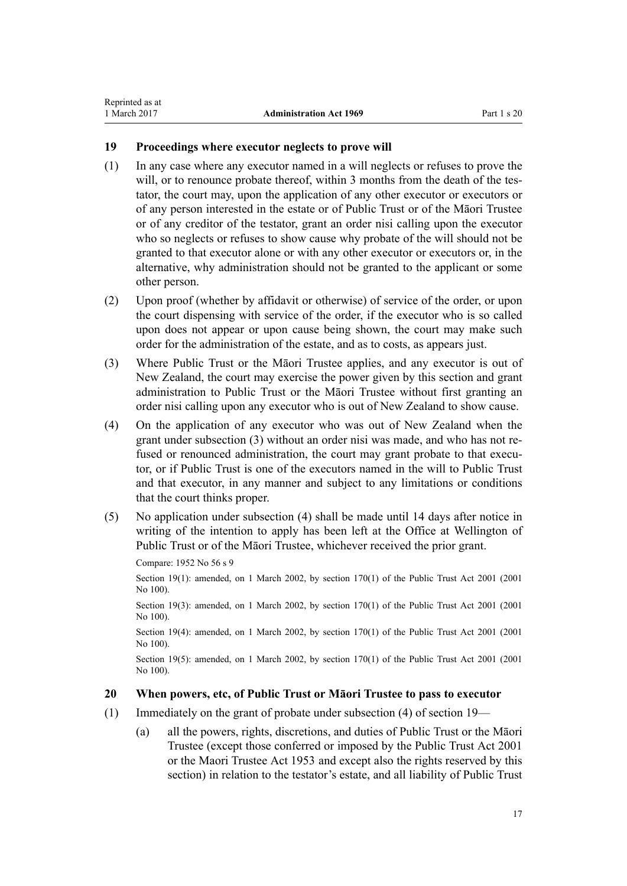# <span id="page-16-0"></span>**19 Proceedings where executor neglects to prove will**

- (1) In any case where any executor named in a will neglects or refuses to prove the will, or to renounce probate thereof, within 3 months from the death of the testator, the court may, upon the application of any other executor or executors or of any person interested in the estate or of Public Trust or of the Māori Trustee or of any creditor of the testator, grant an order nisi calling upon the executor who so neglects or refuses to show cause why probate of the will should not be granted to that executor alone or with any other executor or executors or, in the alternative, why administration should not be granted to the applicant or some other person.
- (2) Upon proof (whether by affidavit or otherwise) of service of the order, or upon the court dispensing with service of the order, if the executor who is so called upon does not appear or upon cause being shown, the court may make such order for the administration of the estate, and as to costs, as appears just.
- (3) Where Public Trust or the Māori Trustee applies, and any executor is out of New Zealand, the court may exercise the power given by this section and grant administration to Public Trust or the Māori Trustee without first granting an order nisi calling upon any executor who is out of New Zealand to show cause.
- (4) On the application of any executor who was out of New Zealand when the grant under subsection (3) without an order nisi was made, and who has not refused or renounced administration, the court may grant probate to that executor, or if Public Trust is one of the executors named in the will to Public Trust and that executor, in any manner and subject to any limitations or conditions that the court thinks proper.
- (5) No application under subsection (4) shall be made until 14 days after notice in writing of the intention to apply has been left at the Office at Wellington of Public Trust or of the Māori Trustee, whichever received the prior grant.

Compare: 1952 No 56 s 9

Section 19(1): amended, on 1 March 2002, by [section 170\(1\)](http://prd-lgnz-nlb.prd.pco.net.nz/pdflink.aspx?id=DLM124529) of the Public Trust Act 2001 (2001) No 100).

Section 19(3): amended, on 1 March 2002, by [section 170\(1\)](http://prd-lgnz-nlb.prd.pco.net.nz/pdflink.aspx?id=DLM124529) of the Public Trust Act 2001 (2001) No 100).

Section 19(4): amended, on 1 March 2002, by [section 170\(1\)](http://prd-lgnz-nlb.prd.pco.net.nz/pdflink.aspx?id=DLM124529) of the Public Trust Act 2001 (2001) No 100).

Section 19(5): amended, on 1 March 2002, by [section 170\(1\)](http://prd-lgnz-nlb.prd.pco.net.nz/pdflink.aspx?id=DLM124529) of the Public Trust Act 2001 (2001) No 100).

# **20 When powers, etc, of Public Trust or Māori Trustee to pass to executor**

- (1) Immediately on the grant of probate under subsection (4) of section 19—
	- (a) all the powers, rights, discretions, and duties of Public Trust or the Māori Trustee (except those conferred or imposed by the [Public Trust Act 2001](http://prd-lgnz-nlb.prd.pco.net.nz/pdflink.aspx?id=DLM122998) or the [Maori Trustee Act 1953](http://prd-lgnz-nlb.prd.pco.net.nz/pdflink.aspx?id=DLM282037) and except also the rights reserved by this section) in relation to the testator's estate, and all liability of Public Trust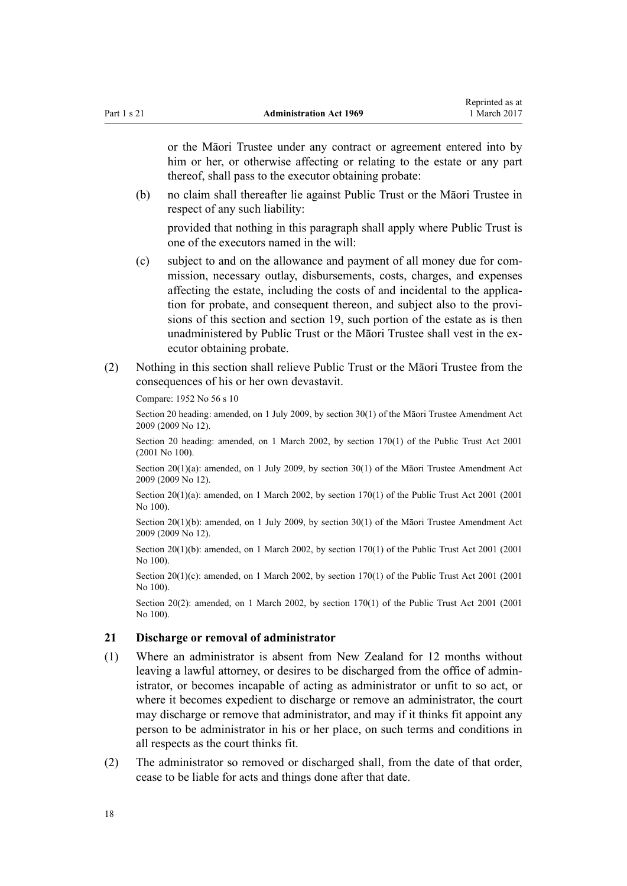<span id="page-17-0"></span>

or the Māori Trustee under any contract or agreement entered into by him or her, or otherwise affecting or relating to the estate or any part thereof, shall pass to the executor obtaining probate:

(b) no claim shall thereafter lie against Public Trust or the Māori Trustee in respect of any such liability:

provided that nothing in this paragraph shall apply where Public Trust is one of the executors named in the will:

- (c) subject to and on the allowance and payment of all money due for commission, necessary outlay, disbursements, costs, charges, and expenses affecting the estate, including the costs of and incidental to the application for probate, and consequent thereon, and subject also to the provisions of this section and [section 19,](#page-16-0) such portion of the estate as is then unadministered by Public Trust or the Māori Trustee shall vest in the executor obtaining probate.
- (2) Nothing in this section shall relieve Public Trust or the Māori Trustee from the consequences of his or her own devastavit.

Compare: 1952 No 56 s 10

Section 20 heading: amended, on 1 July 2009, by [section 30\(1\)](http://prd-lgnz-nlb.prd.pco.net.nz/pdflink.aspx?id=DLM1583888) of the Māori Trustee Amendment Act 2009 (2009 No 12).

Section 20 heading: amended, on 1 March 2002, by [section 170\(1\)](http://prd-lgnz-nlb.prd.pco.net.nz/pdflink.aspx?id=DLM124529) of the Public Trust Act 2001 (2001 No 100).

Section 20(1)(a): amended, on 1 July 2009, by [section 30\(1\)](http://prd-lgnz-nlb.prd.pco.net.nz/pdflink.aspx?id=DLM1583888) of the Māori Trustee Amendment Act 2009 (2009 No 12).

Section 20(1)(a): amended, on 1 March 2002, by [section 170\(1\)](http://prd-lgnz-nlb.prd.pco.net.nz/pdflink.aspx?id=DLM124529) of the Public Trust Act 2001 (2001) No 100).

Section 20(1)(b): amended, on 1 July 2009, by [section 30\(1\)](http://prd-lgnz-nlb.prd.pco.net.nz/pdflink.aspx?id=DLM1583888) of the Māori Trustee Amendment Act 2009 (2009 No 12).

Section  $20(1)(b)$ : amended, on 1 March 2002, by [section 170\(1\)](http://prd-lgnz-nlb.prd.pco.net.nz/pdflink.aspx?id=DLM124529) of the Public Trust Act 2001 (2001) No 100).

Section 20(1)(c): amended, on 1 March 2002, by [section 170\(1\)](http://prd-lgnz-nlb.prd.pco.net.nz/pdflink.aspx?id=DLM124529) of the Public Trust Act 2001 (2001) No 100).

Section 20(2): amended, on 1 March 2002, by section  $170(1)$  of the Public Trust Act 2001 (2001) No 100).

#### **21 Discharge or removal of administrator**

- (1) Where an administrator is absent from New Zealand for 12 months without leaving a lawful attorney, or desires to be discharged from the office of administrator, or becomes incapable of acting as administrator or unfit to so act, or where it becomes expedient to discharge or remove an administrator, the court may discharge or remove that administrator, and may if it thinks fit appoint any person to be administrator in his or her place, on such terms and conditions in all respects as the court thinks fit.
- (2) The administrator so removed or discharged shall, from the date of that order, cease to be liable for acts and things done after that date.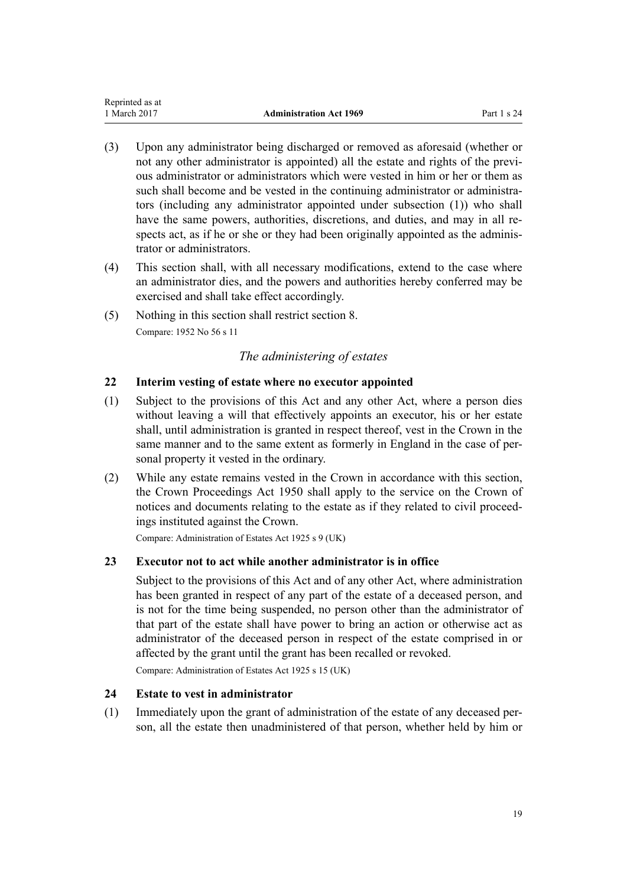- <span id="page-18-0"></span>(3) Upon any administrator being discharged or removed as aforesaid (whether or not any other administrator is appointed) all the estate and rights of the previous administrator or administrators which were vested in him or her or them as such shall become and be vested in the continuing administrator or administrators (including any administrator appointed under subsection (1)) who shall have the same powers, authorities, discretions, and duties, and may in all respects act, as if he or she or they had been originally appointed as the administrator or administrators.
- (4) This section shall, with all necessary modifications, extend to the case where an administrator dies, and the powers and authorities hereby conferred may be exercised and shall take effect accordingly.
- (5) Nothing in this section shall restrict [section 8](#page-9-0). Compare: 1952 No 56 s 11

# *The administering of estates*

# **22 Interim vesting of estate where no executor appointed**

- (1) Subject to the provisions of this Act and any other Act, where a person dies without leaving a will that effectively appoints an executor, his or her estate shall, until administration is granted in respect thereof, vest in the Crown in the same manner and to the same extent as formerly in England in the case of personal property it vested in the ordinary.
- (2) While any estate remains vested in the Crown in accordance with this section, the [Crown Proceedings Act 1950](http://prd-lgnz-nlb.prd.pco.net.nz/pdflink.aspx?id=DLM261466) shall apply to the service on the Crown of notices and documents relating to the estate as if they related to civil proceedings instituted against the Crown.

Compare: Administration of Estates Act 1925 s 9 (UK)

# **23 Executor not to act while another administrator is in office**

Subject to the provisions of this Act and of any other Act, where administration has been granted in respect of any part of the estate of a deceased person, and is not for the time being suspended, no person other than the administrator of that part of the estate shall have power to bring an action or otherwise act as administrator of the deceased person in respect of the estate comprised in or affected by the grant until the grant has been recalled or revoked.

Compare: Administration of Estates Act 1925 s 15 (UK)

# **24 Estate to vest in administrator**

(1) Immediately upon the grant of administration of the estate of any deceased person, all the estate then unadministered of that person, whether held by him or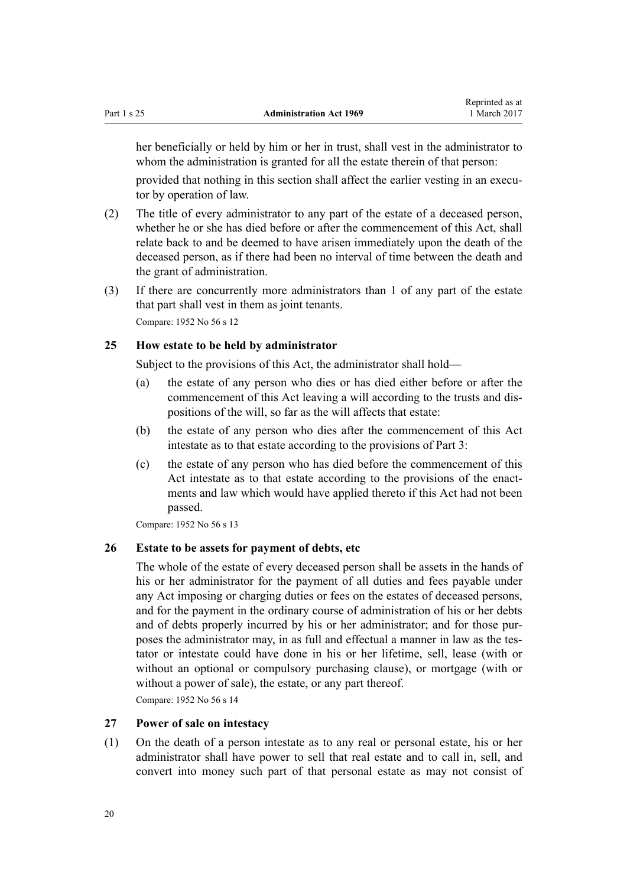<span id="page-19-0"></span>her beneficially or held by him or her in trust, shall vest in the administrator to whom the administration is granted for all the estate therein of that person:

provided that nothing in this section shall affect the earlier vesting in an executor by operation of law.

- (2) The title of every administrator to any part of the estate of a deceased person, whether he or she has died before or after the commencement of this Act, shall relate back to and be deemed to have arisen immediately upon the death of the deceased person, as if there had been no interval of time between the death and the grant of administration.
- (3) If there are concurrently more administrators than 1 of any part of the estate that part shall vest in them as joint tenants.

Compare: 1952 No 56 s 12

# **25 How estate to be held by administrator**

Subject to the provisions of this Act, the administrator shall hold—

- (a) the estate of any person who dies or has died either before or after the commencement of this Act leaving a will according to the trusts and dispositions of the will, so far as the will affects that estate:
- (b) the estate of any person who dies after the commencement of this Act intestate as to that estate according to the provisions of [Part 3](#page-47-0):
- (c) the estate of any person who has died before the commencement of this Act intestate as to that estate according to the provisions of the enactments and law which would have applied thereto if this Act had not been passed.

Compare: 1952 No 56 s 13

# **26 Estate to be assets for payment of debts, etc**

The whole of the estate of every deceased person shall be assets in the hands of his or her administrator for the payment of all duties and fees payable under any Act imposing or charging duties or fees on the estates of deceased persons, and for the payment in the ordinary course of administration of his or her debts and of debts properly incurred by his or her administrator; and for those purposes the administrator may, in as full and effectual a manner in law as the testator or intestate could have done in his or her lifetime, sell, lease (with or without an optional or compulsory purchasing clause), or mortgage (with or without a power of sale), the estate, or any part thereof.

Compare: 1952 No 56 s 14

#### **27 Power of sale on intestacy**

(1) On the death of a person intestate as to any real or personal estate, his or her administrator shall have power to sell that real estate and to call in, sell, and convert into money such part of that personal estate as may not consist of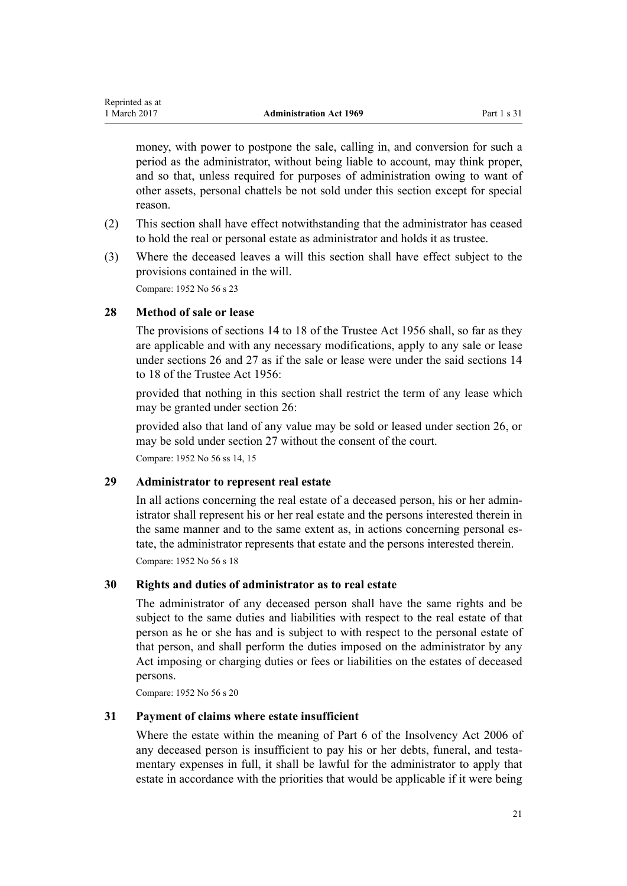money, with power to postpone the sale, calling in, and conversion for such a period as the administrator, without being liable to account, may think proper, and so that, unless required for purposes of administration owing to want of other assets, personal chattels be not sold under this section except for special reason.

- (2) This section shall have effect notwithstanding that the administrator has ceased to hold the real or personal estate as administrator and holds it as trustee.
- (3) Where the deceased leaves a will this section shall have effect subject to the provisions contained in the will.

Compare: 1952 No 56 s 23

# **28 Method of sale or lease**

<span id="page-20-0"></span>Reprinted as at

The provisions of [sections 14 to 18](http://prd-lgnz-nlb.prd.pco.net.nz/pdflink.aspx?id=DLM305099) of the Trustee Act 1956 shall, so far as they are applicable and with any necessary modifications, apply to any sale or lease under [sections 26](#page-19-0) and [27](#page-19-0) as if the sale or lease were under the said [sections 14](http://prd-lgnz-nlb.prd.pco.net.nz/pdflink.aspx?id=DLM305099) [to 18](http://prd-lgnz-nlb.prd.pco.net.nz/pdflink.aspx?id=DLM305099) of the Trustee Act 1956:

provided that nothing in this section shall restrict the term of any lease which may be granted under [section 26:](#page-19-0)

provided also that land of any value may be sold or leased under [section 26](#page-19-0), or may be sold under [section 27](#page-19-0) without the consent of the court.

Compare: 1952 No 56 ss 14, 15

# **29 Administrator to represent real estate**

In all actions concerning the real estate of a deceased person, his or her administrator shall represent his or her real estate and the persons interested therein in the same manner and to the same extent as, in actions concerning personal estate, the administrator represents that estate and the persons interested therein. Compare: 1952 No 56 s 18

# **30 Rights and duties of administrator as to real estate**

The administrator of any deceased person shall have the same rights and be subject to the same duties and liabilities with respect to the real estate of that person as he or she has and is subject to with respect to the personal estate of that person, and shall perform the duties imposed on the administrator by any Act imposing or charging duties or fees or liabilities on the estates of deceased persons.

Compare: 1952 No 56 s 20

# **31 Payment of claims where estate insufficient**

Where the estate within the meaning of [Part 6](http://prd-lgnz-nlb.prd.pco.net.nz/pdflink.aspx?id=DLM387732) of the Insolvency Act 2006 of any deceased person is insufficient to pay his or her debts, funeral, and testamentary expenses in full, it shall be lawful for the administrator to apply that estate in accordance with the priorities that would be applicable if it were being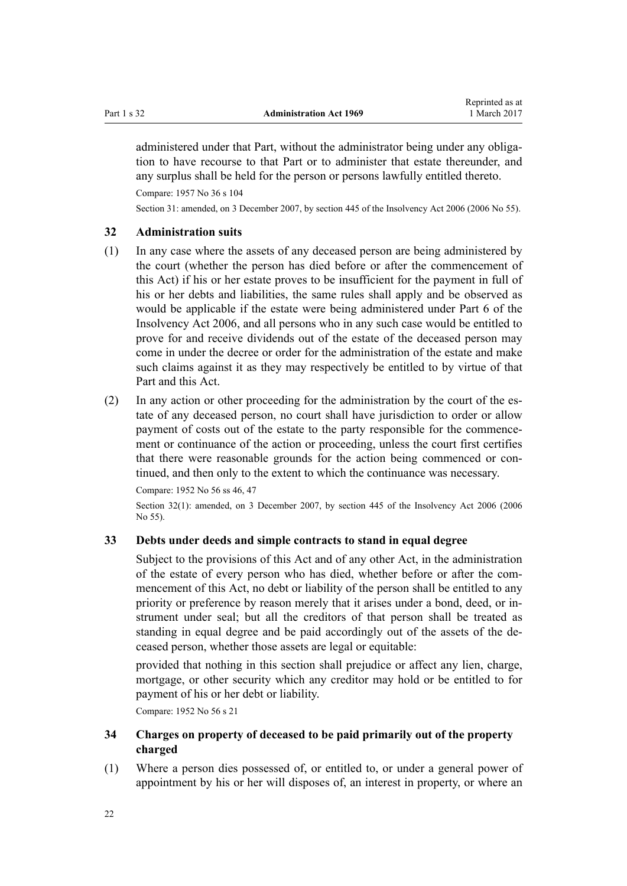<span id="page-21-0"></span>administered under that Part, without the administrator being under any obligation to have recourse to that Part or to administer that estate thereunder, and any surplus shall be held for the person or persons lawfully entitled thereto.

Compare: 1957 No 36 s 104

Section 31: amended, on 3 December 2007, by [section 445](http://prd-lgnz-nlb.prd.pco.net.nz/pdflink.aspx?id=DLM387857) of the Insolvency Act 2006 (2006 No 55).

# **32 Administration suits**

- (1) In any case where the assets of any deceased person are being administered by the court (whether the person has died before or after the commencement of this Act) if his or her estate proves to be insufficient for the payment in full of his or her debts and liabilities, the same rules shall apply and be observed as would be applicable if the estate were being administered under [Part 6](http://prd-lgnz-nlb.prd.pco.net.nz/pdflink.aspx?id=DLM387732) of the Insolvency Act 2006, and all persons who in any such case would be entitled to prove for and receive dividends out of the estate of the deceased person may come in under the decree or order for the administration of the estate and make such claims against it as they may respectively be entitled to by virtue of that Part and this Act.
- (2) In any action or other proceeding for the administration by the court of the estate of any deceased person, no court shall have jurisdiction to order or allow payment of costs out of the estate to the party responsible for the commencement or continuance of the action or proceeding, unless the court first certifies that there were reasonable grounds for the action being commenced or continued, and then only to the extent to which the continuance was necessary.

Compare: 1952 No 56 ss 46, 47

Section 32(1): amended, on 3 December 2007, by [section 445](http://prd-lgnz-nlb.prd.pco.net.nz/pdflink.aspx?id=DLM387857) of the Insolvency Act 2006 (2006) No 55).

#### **33 Debts under deeds and simple contracts to stand in equal degree**

Subject to the provisions of this Act and of any other Act, in the administration of the estate of every person who has died, whether before or after the commencement of this Act, no debt or liability of the person shall be entitled to any priority or preference by reason merely that it arises under a bond, deed, or instrument under seal; but all the creditors of that person shall be treated as standing in equal degree and be paid accordingly out of the assets of the deceased person, whether those assets are legal or equitable:

provided that nothing in this section shall prejudice or affect any lien, charge, mortgage, or other security which any creditor may hold or be entitled to for payment of his or her debt or liability.

Compare: 1952 No 56 s 21

# **34 Charges on property of deceased to be paid primarily out of the property charged**

(1) Where a person dies possessed of, or entitled to, or under a general power of appointment by his or her will disposes of, an interest in property, or where an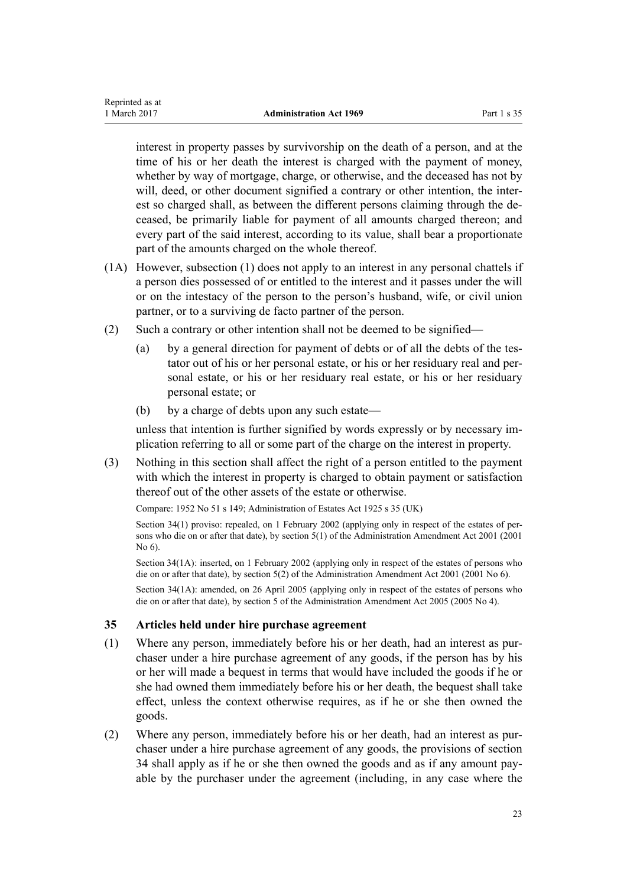<span id="page-22-0"></span>Reprinted as at

interest in property passes by survivorship on the death of a person, and at the time of his or her death the interest is charged with the payment of money, whether by way of mortgage, charge, or otherwise, and the deceased has not by will, deed, or other document signified a contrary or other intention, the interest so charged shall, as between the different persons claiming through the deceased, be primarily liable for payment of all amounts charged thereon; and every part of the said interest, according to its value, shall bear a proportionate part of the amounts charged on the whole thereof.

- (1A) However, subsection (1) does not apply to an interest in any personal chattels if a person dies possessed of or entitled to the interest and it passes under the will or on the intestacy of the person to the person's husband, wife, or civil union partner, or to a surviving de facto partner of the person.
- (2) Such a contrary or other intention shall not be deemed to be signified—
	- (a) by a general direction for payment of debts or of all the debts of the testator out of his or her personal estate, or his or her residuary real and personal estate, or his or her residuary real estate, or his or her residuary personal estate; or
	- (b) by a charge of debts upon any such estate—

unless that intention is further signified by words expressly or by necessary implication referring to all or some part of the charge on the interest in property.

(3) Nothing in this section shall affect the right of a person entitled to the payment with which the interest in property is charged to obtain payment or satisfaction thereof out of the other assets of the estate or otherwise.

Compare: [1952 No 51](http://prd-lgnz-nlb.prd.pco.net.nz/pdflink.aspx?id=DLM267064) [s 149;](http://prd-lgnz-nlb.prd.pco.net.nz/pdflink.aspx?id=DLM268948) Administration of Estates Act 1925 s 35 (UK)

Section 34(1) proviso: repealed, on 1 February 2002 (applying only in respect of the estates of persons who die on or after that date), by [section 5\(1\)](http://prd-lgnz-nlb.prd.pco.net.nz/pdflink.aspx?id=DLM88126) of the Administration Amendment Act 2001 (2001 No 6).

Section 34(1A): inserted, on 1 February 2002 (applying only in respect of the estates of persons who die on or after that date), by [section 5\(2\)](http://prd-lgnz-nlb.prd.pco.net.nz/pdflink.aspx?id=DLM88126) of the Administration Amendment Act 2001 (2001 No 6).

Section 34(1A): amended, on 26 April 2005 (applying only in respect of the estates of persons who die on or after that date), by [section 5](http://prd-lgnz-nlb.prd.pco.net.nz/pdflink.aspx?id=DLM334750) of the Administration Amendment Act 2005 (2005 No 4).

# **35 Articles held under hire purchase agreement**

- (1) Where any person, immediately before his or her death, had an interest as purchaser under a hire purchase agreement of any goods, if the person has by his or her will made a bequest in terms that would have included the goods if he or she had owned them immediately before his or her death, the bequest shall take effect, unless the context otherwise requires, as if he or she then owned the goods.
- (2) Where any person, immediately before his or her death, had an interest as purchaser under a hire purchase agreement of any goods, the provisions of [section](#page-21-0) [34](#page-21-0) shall apply as if he or she then owned the goods and as if any amount payable by the purchaser under the agreement (including, in any case where the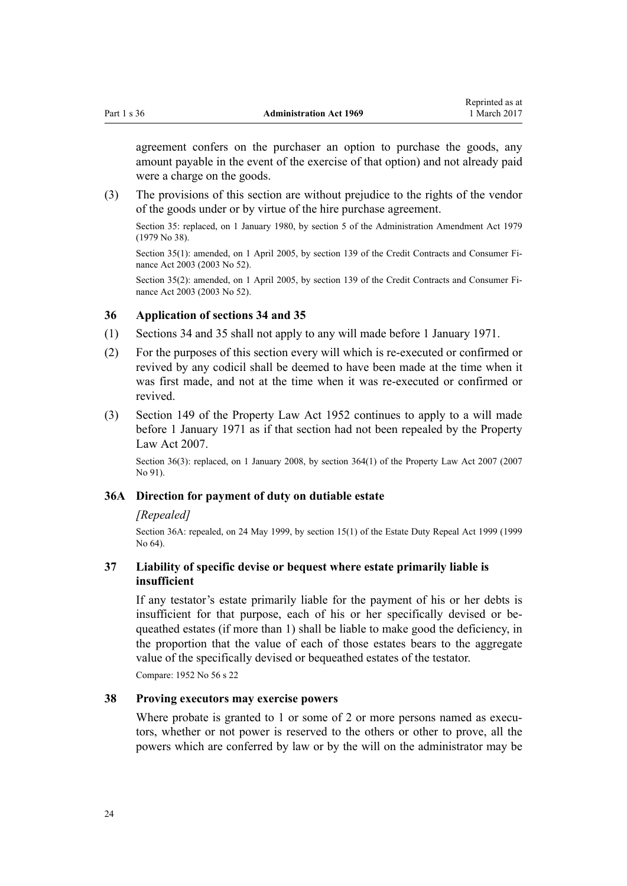<span id="page-23-0"></span>agreement confers on the purchaser an option to purchase the goods, any amount payable in the event of the exercise of that option) and not already paid were a charge on the goods.

Reprinted as at

(3) The provisions of this section are without prejudice to the rights of the vendor of the goods under or by virtue of the hire purchase agreement.

Section 35: replaced, on 1 January 1980, by [section 5](http://prd-lgnz-nlb.prd.pco.net.nz/pdflink.aspx?id=DLM32818) of the Administration Amendment Act 1979 (1979 No 38).

Section 35(1): amended, on 1 April 2005, by [section 139](http://prd-lgnz-nlb.prd.pco.net.nz/pdflink.aspx?id=DLM213532) of the Credit Contracts and Consumer Finance Act 2003 (2003 No 52).

Section 35(2): amended, on 1 April 2005, by [section 139](http://prd-lgnz-nlb.prd.pco.net.nz/pdflink.aspx?id=DLM213532) of the Credit Contracts and Consumer Finance Act 2003 (2003 No 52).

# **36 Application of sections 34 and 35**

- (1) [Sections 34](#page-21-0) and [35](#page-22-0) shall not apply to any will made before 1 January 1971.
- (2) For the purposes of this section every will which is re-executed or confirmed or revived by any codicil shall be deemed to have been made at the time when it was first made, and not at the time when it was re-executed or confirmed or revived.
- (3) [Section 149](http://prd-lgnz-nlb.prd.pco.net.nz/pdflink.aspx?id=DLM268948) of the Property Law Act 1952 continues to apply to a will made before 1 January 1971 as if that section had not been repealed by the Property Law Act 2007.

Section 36(3): replaced, on 1 January 2008, by [section 364\(1\)](http://prd-lgnz-nlb.prd.pco.net.nz/pdflink.aspx?id=DLM969644) of the Property Law Act 2007 (2007) No 91).

# **36A Direction for payment of duty on dutiable estate**

# *[Repealed]*

Section 36A: repealed, on 24 May 1999, by [section 15\(1\)](http://prd-lgnz-nlb.prd.pco.net.nz/pdflink.aspx?id=DLM30504) of the Estate Duty Repeal Act 1999 (1999 No 64).

# **37 Liability of specific devise or bequest where estate primarily liable is insufficient**

If any testator's estate primarily liable for the payment of his or her debts is insufficient for that purpose, each of his or her specifically devised or bequeathed estates (if more than 1) shall be liable to make good the deficiency, in the proportion that the value of each of those estates bears to the aggregate value of the specifically devised or bequeathed estates of the testator.

Compare: 1952 No 56 s 22

# **38 Proving executors may exercise powers**

Where probate is granted to 1 or some of 2 or more persons named as executors, whether or not power is reserved to the others or other to prove, all the powers which are conferred by law or by the will on the administrator may be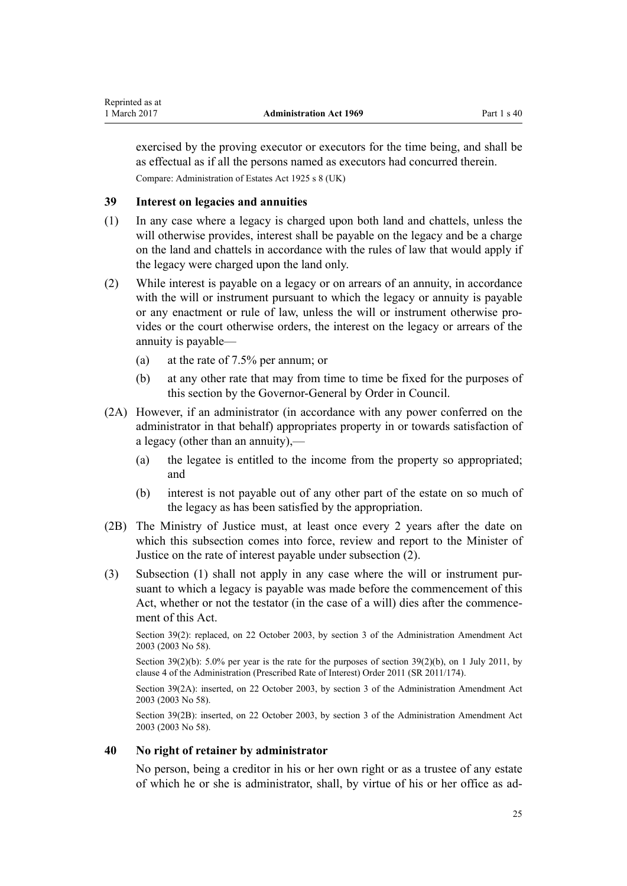<span id="page-24-0"></span>exercised by the proving executor or executors for the time being, and shall be as effectual as if all the persons named as executors had concurred therein. Compare: Administration of Estates Act 1925 s 8 (UK)

# **39 Interest on legacies and annuities**

- (1) In any case where a legacy is charged upon both land and chattels, unless the will otherwise provides, interest shall be payable on the legacy and be a charge on the land and chattels in accordance with the rules of law that would apply if the legacy were charged upon the land only.
- (2) While interest is payable on a legacy or on arrears of an annuity, in accordance with the will or instrument pursuant to which the legacy or annuity is payable or any enactment or rule of law, unless the will or instrument otherwise provides or the court otherwise orders, the interest on the legacy or arrears of the annuity is payable—
	- (a) at the rate of 7.5% per annum; or
	- (b) at any other rate that may from time to time be fixed for the purposes of this section by the Governor-General by Order in Council.
- (2A) However, if an administrator (in accordance with any power conferred on the administrator in that behalf) appropriates property in or towards satisfaction of a legacy (other than an annuity),—
	- (a) the legatee is entitled to the income from the property so appropriated; and
	- (b) interest is not payable out of any other part of the estate on so much of the legacy as has been satisfied by the appropriation.
- (2B) The Ministry of Justice must, at least once every 2 years after the date on which this subsection comes into force, review and report to the Minister of Justice on the rate of interest payable under subsection (2).
- (3) Subsection (1) shall not apply in any case where the will or instrument pursuant to which a legacy is payable was made before the commencement of this Act, whether or not the testator (in the case of a will) dies after the commencement of this Act.

Section 39(2): replaced, on 22 October 2003, by [section 3](http://prd-lgnz-nlb.prd.pco.net.nz/pdflink.aspx?id=DLM215893) of the Administration Amendment Act 2003 (2003 No 58).

Section 39(2)(b): 5.0% per year is the rate for the purposes of section 39(2)(b), on 1 July 2011, by [clause 4](http://prd-lgnz-nlb.prd.pco.net.nz/pdflink.aspx?id=DLM3739007) of the Administration (Prescribed Rate of Interest) Order 2011 (SR 2011/174).

Section 39(2A): inserted, on 22 October 2003, by [section 3](http://prd-lgnz-nlb.prd.pco.net.nz/pdflink.aspx?id=DLM215893) of the Administration Amendment Act 2003 (2003 No 58).

Section 39(2B): inserted, on 22 October 2003, by [section 3](http://prd-lgnz-nlb.prd.pco.net.nz/pdflink.aspx?id=DLM215893) of the Administration Amendment Act 2003 (2003 No 58).

# **40 No right of retainer by administrator**

No person, being a creditor in his or her own right or as a trustee of any estate of which he or she is administrator, shall, by virtue of his or her office as ad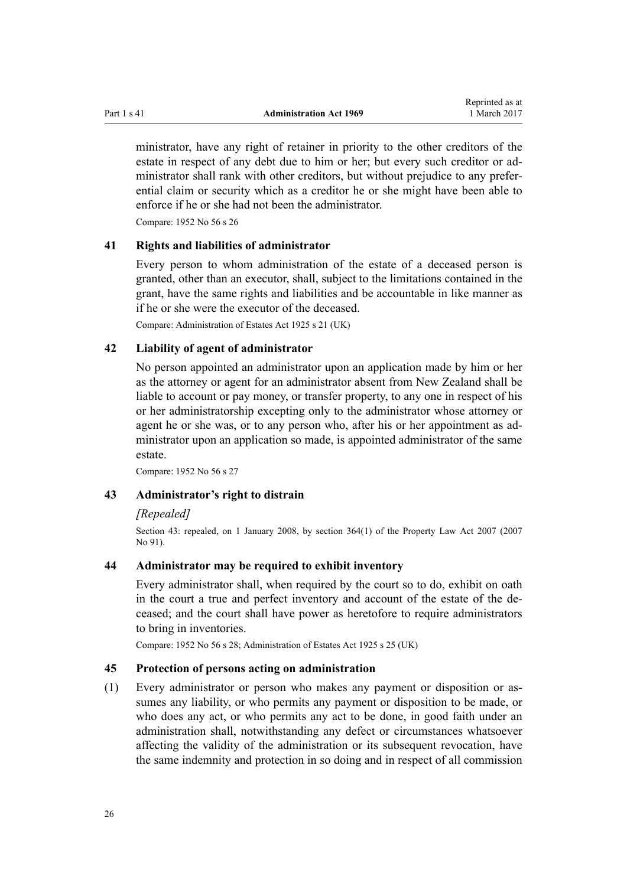<span id="page-25-0"></span>ministrator, have any right of retainer in priority to the other creditors of the estate in respect of any debt due to him or her; but every such creditor or administrator shall rank with other creditors, but without prejudice to any preferential claim or security which as a creditor he or she might have been able to enforce if he or she had not been the administrator.

Compare: 1952 No 56 s 26

#### **41 Rights and liabilities of administrator**

Every person to whom administration of the estate of a deceased person is granted, other than an executor, shall, subject to the limitations contained in the grant, have the same rights and liabilities and be accountable in like manner as if he or she were the executor of the deceased.

Compare: Administration of Estates Act 1925 s 21 (UK)

#### **42 Liability of agent of administrator**

No person appointed an administrator upon an application made by him or her as the attorney or agent for an administrator absent from New Zealand shall be liable to account or pay money, or transfer property, to any one in respect of his or her administratorship excepting only to the administrator whose attorney or agent he or she was, or to any person who, after his or her appointment as administrator upon an application so made, is appointed administrator of the same estate.

Compare: 1952 No 56 s 27

# **43 Administrator's right to distrain**

# *[Repealed]*

Section 43: repealed, on 1 January 2008, by [section 364\(1\)](http://prd-lgnz-nlb.prd.pco.net.nz/pdflink.aspx?id=DLM969644) of the Property Law Act 2007 (2007 No 91).

# **44 Administrator may be required to exhibit inventory**

Every administrator shall, when required by the court so to do, exhibit on oath in the court a true and perfect inventory and account of the estate of the deceased; and the court shall have power as heretofore to require administrators to bring in inventories.

Compare: 1952 No 56 s 28; Administration of Estates Act 1925 s 25 (UK)

# **45 Protection of persons acting on administration**

(1) Every administrator or person who makes any payment or disposition or assumes any liability, or who permits any payment or disposition to be made, or who does any act, or who permits any act to be done, in good faith under an administration shall, notwithstanding any defect or circumstances whatsoever affecting the validity of the administration or its subsequent revocation, have the same indemnity and protection in so doing and in respect of all commission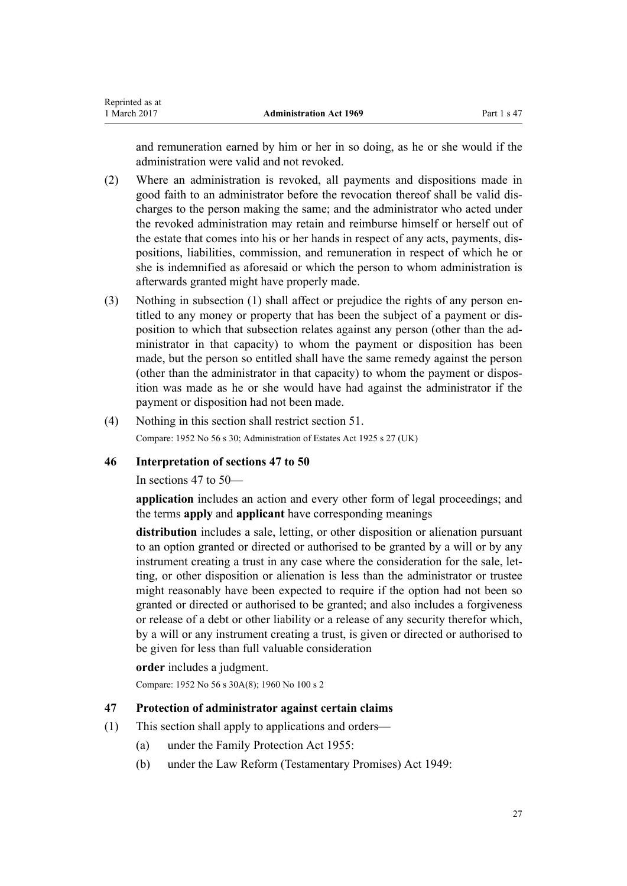<span id="page-26-0"></span>and remuneration earned by him or her in so doing, as he or she would if the administration were valid and not revoked.

- (2) Where an administration is revoked, all payments and dispositions made in good faith to an administrator before the revocation thereof shall be valid discharges to the person making the same; and the administrator who acted under the revoked administration may retain and reimburse himself or herself out of the estate that comes into his or her hands in respect of any acts, payments, dispositions, liabilities, commission, and remuneration in respect of which he or she is indemnified as aforesaid or which the person to whom administration is afterwards granted might have properly made.
- (3) Nothing in subsection (1) shall affect or prejudice the rights of any person entitled to any money or property that has been the subject of a payment or disposition to which that subsection relates against any person (other than the administrator in that capacity) to whom the payment or disposition has been made, but the person so entitled shall have the same remedy against the person (other than the administrator in that capacity) to whom the payment or disposition was made as he or she would have had against the administrator if the payment or disposition had not been made.
- (4) Nothing in this section shall restrict [section 51.](#page-31-0) Compare: 1952 No 56 s 30; Administration of Estates Act 1925 s 27 (UK)

# **46 Interpretation of sections 47 to 50**

In sections 47 to 50—

**application** includes an action and every other form of legal proceedings; and the terms **apply** and **applicant** have corresponding meanings

**distribution** includes a sale, letting, or other disposition or alienation pursuant to an option granted or directed or authorised to be granted by a will or by any instrument creating a trust in any case where the consideration for the sale, letting, or other disposition or alienation is less than the administrator or trustee might reasonably have been expected to require if the option had not been so granted or directed or authorised to be granted; and also includes a forgiveness or release of a debt or other liability or a release of any security therefor which, by a will or any instrument creating a trust, is given or directed or authorised to be given for less than full valuable consideration

# **order** includes a judgment.

Compare: 1952 No 56 s 30A(8); 1960 No 100 s 2

# **47 Protection of administrator against certain claims**

- (1) This section shall apply to applications and orders—
	- (a) under the [Family Protection Act 1955](http://prd-lgnz-nlb.prd.pco.net.nz/pdflink.aspx?id=DLM291745):
	- (b) under the [Law Reform \(Testamentary Promises\) Act 1949](http://prd-lgnz-nlb.prd.pco.net.nz/pdflink.aspx?id=DLM258703):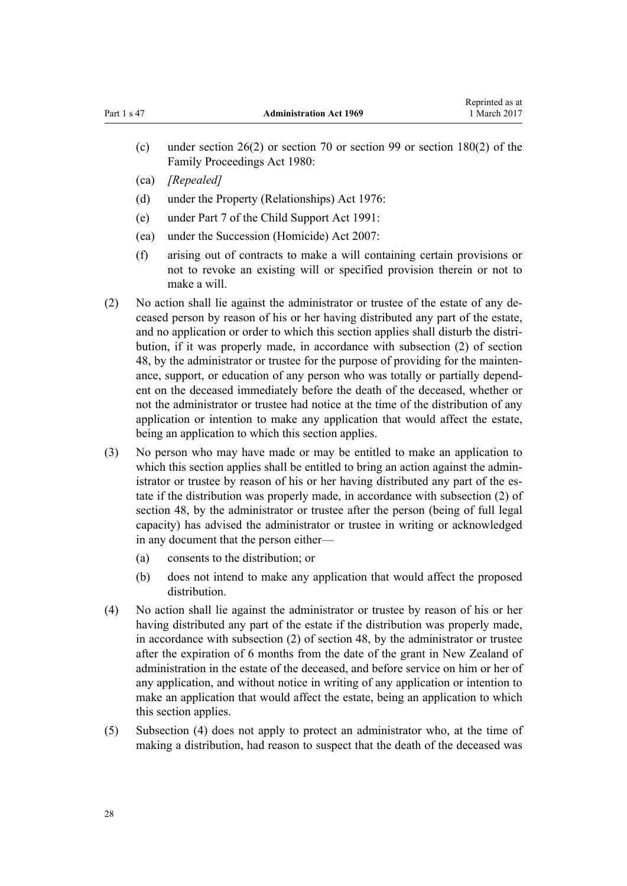- (c) under [section 26\(2\)](http://prd-lgnz-nlb.prd.pco.net.nz/pdflink.aspx?id=DLM40256) or [section 70](http://prd-lgnz-nlb.prd.pco.net.nz/pdflink.aspx?id=DLM40835) or [section 99](http://prd-lgnz-nlb.prd.pco.net.nz/pdflink.aspx?id=DLM41229) or [section 180\(2\)](http://prd-lgnz-nlb.prd.pco.net.nz/pdflink.aspx?id=DLM41891) of the Family Proceedings Act 1980:
- (ca) *[Repealed]*
- (d) under the [Property \(Relationships\) Act 1976](http://prd-lgnz-nlb.prd.pco.net.nz/pdflink.aspx?id=DLM440944):
- (e) under [Part 7](http://prd-lgnz-nlb.prd.pco.net.nz/pdflink.aspx?id=DLM255315) of the Child Support Act 1991:
- (ea) under the Succession (Homicide) Act 2007:
- (f) arising out of contracts to make a will containing certain provisions or not to revoke an existing will or specified provision therein or not to make a will.
- (2) No action shall lie against the administrator or trustee of the estate of any deceased person by reason of his or her having distributed any part of the estate, and no application or order to which this section applies shall disturb the distribution, if it was properly made, in accordance with subsection (2) of section 48, by the administrator or trustee for the purpose of providing for the maintenance, support, or education of any person who was totally or partially dependent on the deceased immediately before the death of the deceased, whether or not the administrator or trustee had notice at the time of the distribution of any application or intention to make any application that would affect the estate, being an application to which this section applies.
- (3) No person who may have made or may be entitled to make an application to which this section applies shall be entitled to bring an action against the administrator or trustee by reason of his or her having distributed any part of the estate if the distribution was properly made, in accordance with subsection (2) of section 48, by the administrator or trustee after the person (being of full legal capacity) has advised the administrator or trustee in writing or acknowledged in any document that the person either—
	- (a) consents to the distribution; or
	- (b) does not intend to make any application that would affect the proposed distribution.
- (4) No action shall lie against the administrator or trustee by reason of his or her having distributed any part of the estate if the distribution was properly made, in accordance with subsection (2) of section 48, by the administrator or trustee after the expiration of 6 months from the date of the grant in New Zealand of administration in the estate of the deceased, and before service on him or her of any application, and without notice in writing of any application or intention to make an application that would affect the estate, being an application to which this section applies.
- (5) Subsection (4) does not apply to protect an administrator who, at the time of making a distribution, had reason to suspect that the death of the deceased was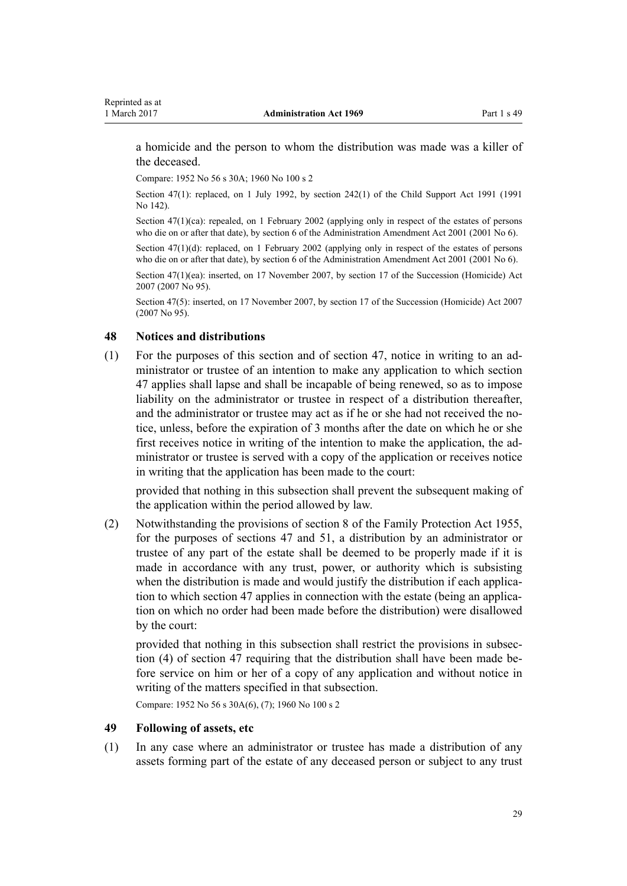<span id="page-28-0"></span>a homicide and the person to whom the distribution was made was a killer of the deceased.

Compare: 1952 No 56 s 30A; 1960 No 100 s 2

Section 47(1): replaced, on 1 July 1992, by [section 242\(1\)](http://prd-lgnz-nlb.prd.pco.net.nz/pdflink.aspx?id=DLM257399) of the Child Support Act 1991 (1991 No 142).

Section  $47(1)(ca)$ : repealed, on 1 February 2002 (applying only in respect of the estates of persons who die on or after that date), by [section 6](http://prd-lgnz-nlb.prd.pco.net.nz/pdflink.aspx?id=DLM88127) of the Administration Amendment Act 2001 (2001 No 6).

Section 47(1)(d): replaced, on 1 February 2002 (applying only in respect of the estates of persons who die on or after that date), by [section 6](http://prd-lgnz-nlb.prd.pco.net.nz/pdflink.aspx?id=DLM88127) of the Administration Amendment Act 2001 (2001 No 6).

Section 47(1)(ea): inserted, on 17 November 2007, by [section 17](http://prd-lgnz-nlb.prd.pco.net.nz/pdflink.aspx?id=DLM970309) of the Succession (Homicide) Act 2007 (2007 No 95).

Section 47(5): inserted, on 17 November 2007, by [section 17](http://prd-lgnz-nlb.prd.pco.net.nz/pdflink.aspx?id=DLM970309) of the Succession (Homicide) Act 2007 (2007 No 95).

#### **48 Notices and distributions**

(1) For the purposes of this section and of [section 47,](#page-26-0) notice in writing to an administrator or trustee of an intention to make any application to which [section](#page-26-0) [47](#page-26-0) applies shall lapse and shall be incapable of being renewed, so as to impose liability on the administrator or trustee in respect of a distribution thereafter, and the administrator or trustee may act as if he or she had not received the notice, unless, before the expiration of 3 months after the date on which he or she first receives notice in writing of the intention to make the application, the administrator or trustee is served with a copy of the application or receives notice in writing that the application has been made to the court:

provided that nothing in this subsection shall prevent the subsequent making of the application within the period allowed by law.

(2) Notwithstanding the provisions of [section 8](http://prd-lgnz-nlb.prd.pco.net.nz/pdflink.aspx?id=DLM292001) of the Family Protection Act 1955, for the purposes of [sections 47](#page-26-0) and [51](#page-31-0), a distribution by an administrator or trustee of any part of the estate shall be deemed to be properly made if it is made in accordance with any trust, power, or authority which is subsisting when the distribution is made and would justify the distribution if each application to which [section 47](#page-26-0) applies in connection with the estate (being an application on which no order had been made before the distribution) were disallowed by the court:

provided that nothing in this subsection shall restrict the provisions in subsection (4) of section 47 requiring that the distribution shall have been made before service on him or her of a copy of any application and without notice in writing of the matters specified in that subsection.

Compare: 1952 No 56 s 30A(6), (7); 1960 No 100 s 2

# **49 Following of assets, etc**

(1) In any case where an administrator or trustee has made a distribution of any assets forming part of the estate of any deceased person or subject to any trust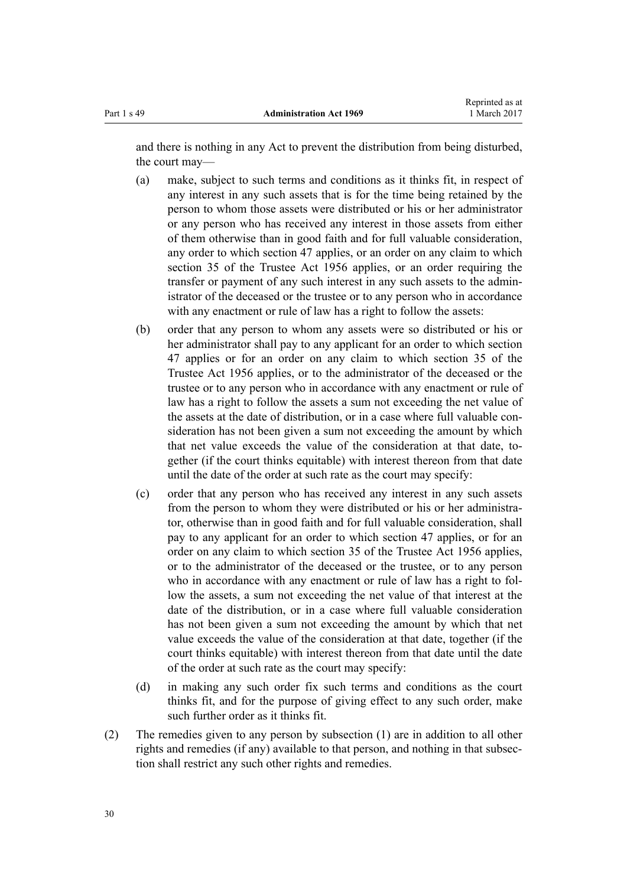and there is nothing in any Act to prevent the distribution from being disturbed, the court may—

- (a) make, subject to such terms and conditions as it thinks fit, in respect of any interest in any such assets that is for the time being retained by the person to whom those assets were distributed or his or her administrator or any person who has received any interest in those assets from either of them otherwise than in good faith and for full valuable consideration, any order to which [section 47](#page-26-0) applies, or an order on any claim to which [section 35](http://prd-lgnz-nlb.prd.pco.net.nz/pdflink.aspx?id=DLM305260) of the Trustee Act 1956 applies, or an order requiring the transfer or payment of any such interest in any such assets to the administrator of the deceased or the trustee or to any person who in accordance with any enactment or rule of law has a right to follow the assets:
- (b) order that any person to whom any assets were so distributed or his or her administrator shall pay to any applicant for an order to which [section](#page-26-0) [47](#page-26-0) applies or for an order on any claim to which [section 35](http://prd-lgnz-nlb.prd.pco.net.nz/pdflink.aspx?id=DLM305260) of the Trustee Act 1956 applies, or to the administrator of the deceased or the trustee or to any person who in accordance with any enactment or rule of law has a right to follow the assets a sum not exceeding the net value of the assets at the date of distribution, or in a case where full valuable consideration has not been given a sum not exceeding the amount by which that net value exceeds the value of the consideration at that date, together (if the court thinks equitable) with interest thereon from that date until the date of the order at such rate as the court may specify:
- (c) order that any person who has received any interest in any such assets from the person to whom they were distributed or his or her administrator, otherwise than in good faith and for full valuable consideration, shall pay to any applicant for an order to which [section 47](#page-26-0) applies, or for an order on any claim to which [section 35](http://prd-lgnz-nlb.prd.pco.net.nz/pdflink.aspx?id=DLM305260) of the Trustee Act 1956 applies, or to the administrator of the deceased or the trustee, or to any person who in accordance with any enactment or rule of law has a right to follow the assets, a sum not exceeding the net value of that interest at the date of the distribution, or in a case where full valuable consideration has not been given a sum not exceeding the amount by which that net value exceeds the value of the consideration at that date, together (if the court thinks equitable) with interest thereon from that date until the date of the order at such rate as the court may specify:
- (d) in making any such order fix such terms and conditions as the court thinks fit, and for the purpose of giving effect to any such order, make such further order as it thinks fit.
- (2) The remedies given to any person by subsection (1) are in addition to all other rights and remedies (if any) available to that person, and nothing in that subsection shall restrict any such other rights and remedies.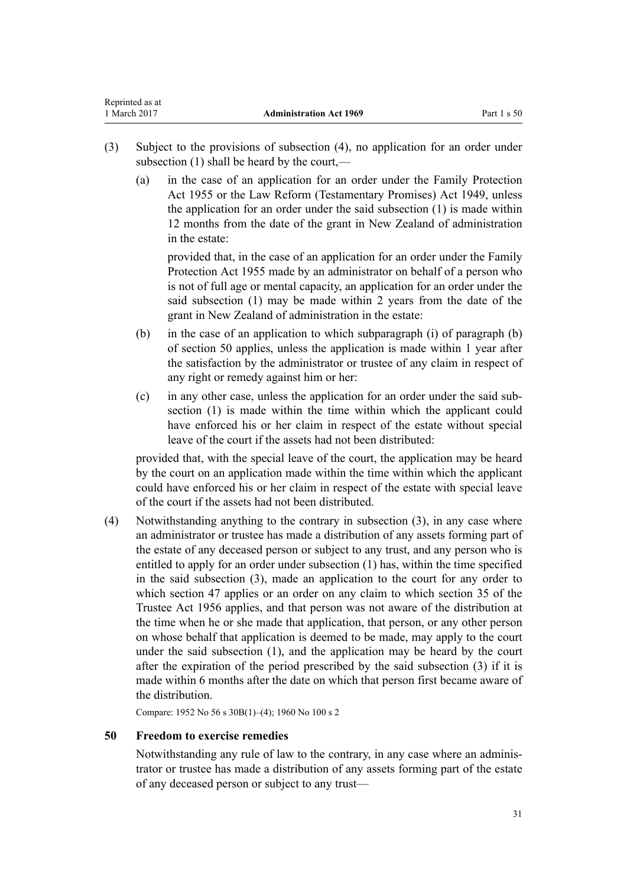- <span id="page-30-0"></span>(3) Subject to the provisions of subsection (4), no application for an order under subsection (1) shall be heard by the court,—
	- (a) in the case of an application for an order under the [Family Protection](http://prd-lgnz-nlb.prd.pco.net.nz/pdflink.aspx?id=DLM291745) [Act 1955](http://prd-lgnz-nlb.prd.pco.net.nz/pdflink.aspx?id=DLM291745) or the [Law Reform \(Testamentary Promises\) Act 1949,](http://prd-lgnz-nlb.prd.pco.net.nz/pdflink.aspx?id=DLM258703) unless the application for an order under the said subsection (1) is made within 12 months from the date of the grant in New Zealand of administration in the estate:

provided that, in the case of an application for an order under the Family Protection Act 1955 made by an administrator on behalf of a person who is not of full age or mental capacity, an application for an order under the said subsection (1) may be made within 2 years from the date of the grant in New Zealand of administration in the estate:

- (b) in the case of an application to which subparagraph (i) of paragraph (b) of section 50 applies, unless the application is made within 1 year after the satisfaction by the administrator or trustee of any claim in respect of any right or remedy against him or her:
- (c) in any other case, unless the application for an order under the said subsection (1) is made within the time within which the applicant could have enforced his or her claim in respect of the estate without special leave of the court if the assets had not been distributed:

provided that, with the special leave of the court, the application may be heard by the court on an application made within the time within which the applicant could have enforced his or her claim in respect of the estate with special leave of the court if the assets had not been distributed.

(4) Notwithstanding anything to the contrary in subsection (3), in any case where an administrator or trustee has made a distribution of any assets forming part of the estate of any deceased person or subject to any trust, and any person who is entitled to apply for an order under subsection (1) has, within the time specified in the said subsection (3), made an application to the court for any order to which [section 47](#page-26-0) applies or an order on any claim to which [section 35](http://prd-lgnz-nlb.prd.pco.net.nz/pdflink.aspx?id=DLM305260) of the Trustee Act 1956 applies, and that person was not aware of the distribution at the time when he or she made that application, that person, or any other person on whose behalf that application is deemed to be made, may apply to the court under the said subsection (1), and the application may be heard by the court after the expiration of the period prescribed by the said subsection (3) if it is made within 6 months after the date on which that person first became aware of the distribution.

Compare: 1952 No 56 s 30B(1)–(4); 1960 No 100 s 2

# **50 Freedom to exercise remedies**

Notwithstanding any rule of law to the contrary, in any case where an administrator or trustee has made a distribution of any assets forming part of the estate of any deceased person or subject to any trust—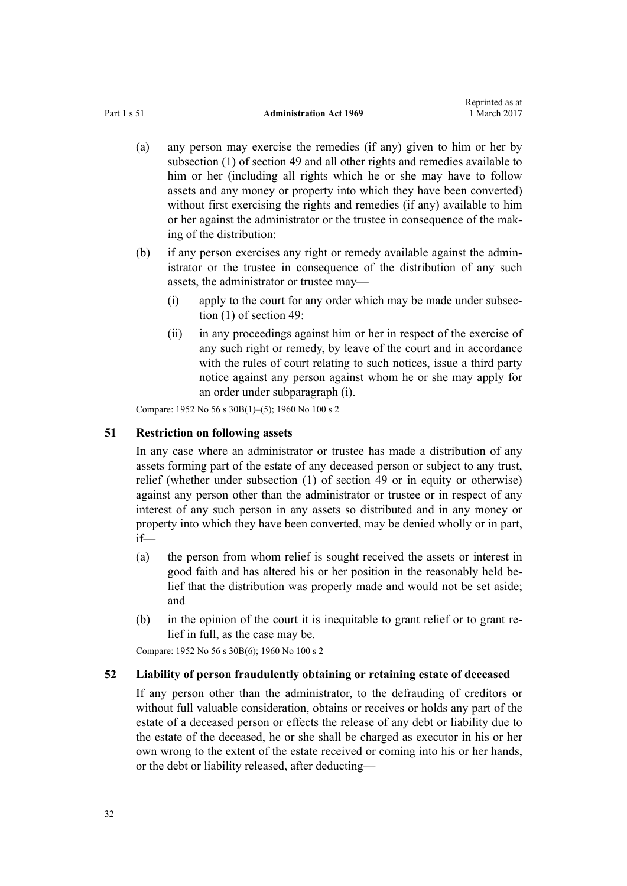- <span id="page-31-0"></span>(a) any person may exercise the remedies (if any) given to him or her by subsection (1) of [section 49](#page-28-0) and all other rights and remedies available to him or her (including all rights which he or she may have to follow assets and any money or property into which they have been converted) without first exercising the rights and remedies (if any) available to him or her against the administrator or the trustee in consequence of the making of the distribution:
- (b) if any person exercises any right or remedy available against the administrator or the trustee in consequence of the distribution of any such assets, the administrator or trustee may—
	- (i) apply to the court for any order which may be made under subsection (1) of [section 49:](#page-28-0)
	- (ii) in any proceedings against him or her in respect of the exercise of any such right or remedy, by leave of the court and in accordance with the rules of court relating to such notices, issue a third party notice against any person against whom he or she may apply for an order under subparagraph (i).

Compare: 1952 No 56 s 30B(1)–(5); 1960 No 100 s 2

# **51 Restriction on following assets**

In any case where an administrator or trustee has made a distribution of any assets forming part of the estate of any deceased person or subject to any trust, relief (whether under subsection (1) of [section 49](#page-28-0) or in equity or otherwise) against any person other than the administrator or trustee or in respect of any interest of any such person in any assets so distributed and in any money or property into which they have been converted, may be denied wholly or in part, if—

- (a) the person from whom relief is sought received the assets or interest in good faith and has altered his or her position in the reasonably held belief that the distribution was properly made and would not be set aside; and
- (b) in the opinion of the court it is inequitable to grant relief or to grant relief in full, as the case may be.

Compare: 1952 No 56 s 30B(6); 1960 No 100 s 2

# **52 Liability of person fraudulently obtaining or retaining estate of deceased**

If any person other than the administrator, to the defrauding of creditors or without full valuable consideration, obtains or receives or holds any part of the estate of a deceased person or effects the release of any debt or liability due to the estate of the deceased, he or she shall be charged as executor in his or her own wrong to the extent of the estate received or coming into his or her hands, or the debt or liability released, after deducting—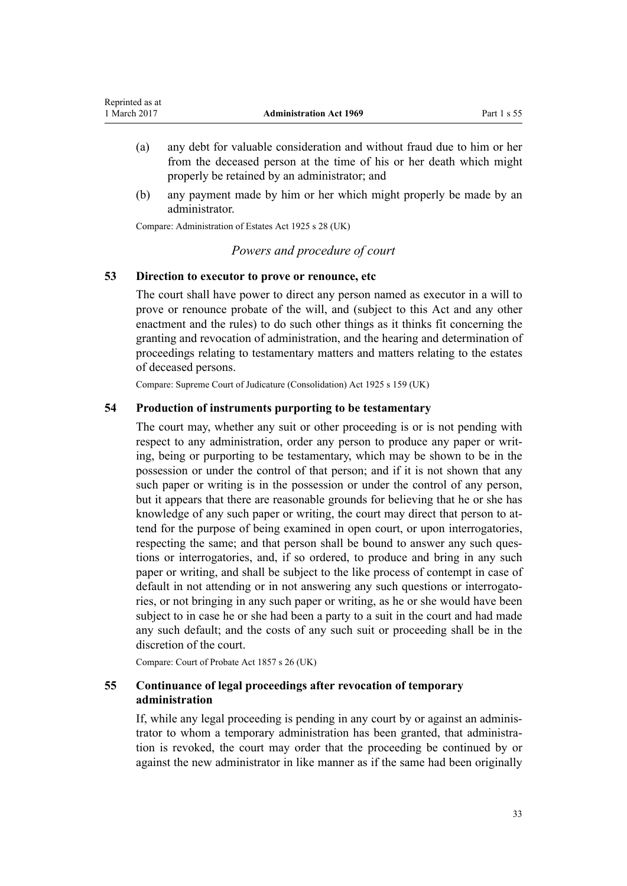- <span id="page-32-0"></span>(a) any debt for valuable consideration and without fraud due to him or her from the deceased person at the time of his or her death which might properly be retained by an administrator; and
- (b) any payment made by him or her which might properly be made by an administrator.

Compare: Administration of Estates Act 1925 s 28 (UK)

# *Powers and procedure of court*

# **53 Direction to executor to prove or renounce, etc**

The court shall have power to direct any person named as executor in a will to prove or renounce probate of the will, and (subject to this Act and any other enactment and the rules) to do such other things as it thinks fit concerning the granting and revocation of administration, and the hearing and determination of proceedings relating to testamentary matters and matters relating to the estates of deceased persons.

Compare: Supreme Court of Judicature (Consolidation) Act 1925 s 159 (UK)

# **54 Production of instruments purporting to be testamentary**

The court may, whether any suit or other proceeding is or is not pending with respect to any administration, order any person to produce any paper or writing, being or purporting to be testamentary, which may be shown to be in the possession or under the control of that person; and if it is not shown that any such paper or writing is in the possession or under the control of any person, but it appears that there are reasonable grounds for believing that he or she has knowledge of any such paper or writing, the court may direct that person to attend for the purpose of being examined in open court, or upon interrogatories, respecting the same; and that person shall be bound to answer any such questions or interrogatories, and, if so ordered, to produce and bring in any such paper or writing, and shall be subject to the like process of contempt in case of default in not attending or in not answering any such questions or interrogatories, or not bringing in any such paper or writing, as he or she would have been subject to in case he or she had been a party to a suit in the court and had made any such default; and the costs of any such suit or proceeding shall be in the discretion of the court.

Compare: Court of Probate Act 1857 s 26 (UK)

# **55 Continuance of legal proceedings after revocation of temporary administration**

If, while any legal proceeding is pending in any court by or against an administrator to whom a temporary administration has been granted, that administration is revoked, the court may order that the proceeding be continued by or against the new administrator in like manner as if the same had been originally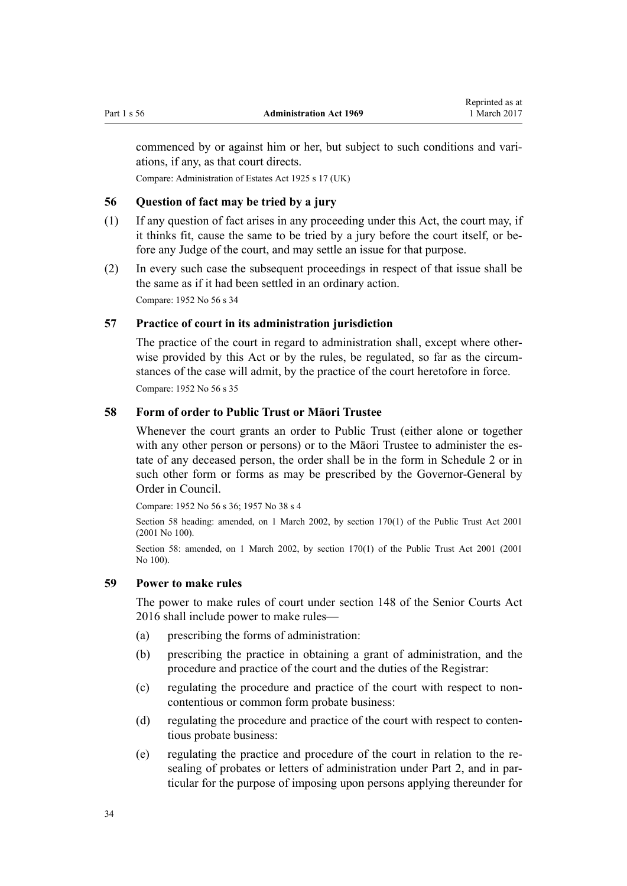<span id="page-33-0"></span>commenced by or against him or her, but subject to such conditions and variations, if any, as that court directs.

Compare: Administration of Estates Act 1925 s 17 (UK)

# **56 Question of fact may be tried by a jury**

- (1) If any question of fact arises in any proceeding under this Act, the court may, if it thinks fit, cause the same to be tried by a jury before the court itself, or before any Judge of the court, and may settle an issue for that purpose.
- (2) In every such case the subsequent proceedings in respect of that issue shall be the same as if it had been settled in an ordinary action. Compare: 1952 No 56 s 34

**57 Practice of court in its administration jurisdiction**

The practice of the court in regard to administration shall, except where otherwise provided by this Act or by the rules, be regulated, so far as the circumstances of the case will admit, by the practice of the court heretofore in force. Compare: 1952 No 56 s 35

# **58 Form of order to Public Trust or Māori Trustee**

Whenever the court grants an order to Public Trust (either alone or together with any other person or persons) or to the Māori Trustee to administer the estate of any deceased person, the order shall be in the form in [Schedule 2](#page-60-0) or in such other form or forms as may be prescribed by the Governor-General by Order in Council.

Compare: 1952 No 56 s 36; 1957 No 38 s 4

Section 58 heading: amended, on 1 March 2002, by [section 170\(1\)](http://prd-lgnz-nlb.prd.pco.net.nz/pdflink.aspx?id=DLM124529) of the Public Trust Act 2001 (2001 No 100).

Section 58: amended, on 1 March 2002, by [section 170\(1\)](http://prd-lgnz-nlb.prd.pco.net.nz/pdflink.aspx?id=DLM124529) of the Public Trust Act 2001 (2001 No 100).

# **59 Power to make rules**

The power to make rules of court under [section 148](http://prd-lgnz-nlb.prd.pco.net.nz/pdflink.aspx?id=DLM5759504) of the Senior Courts Act 2016 shall include power to make rules—

- (a) prescribing the forms of administration:
- (b) prescribing the practice in obtaining a grant of administration, and the procedure and practice of the court and the duties of the Registrar:
- (c) regulating the procedure and practice of the court with respect to noncontentious or common form probate business:
- (d) regulating the procedure and practice of the court with respect to contentious probate business:
- (e) regulating the practice and procedure of the court in relation to the resealing of probates or letters of administration under [Part 2](#page-44-0), and in particular for the purpose of imposing upon persons applying thereunder for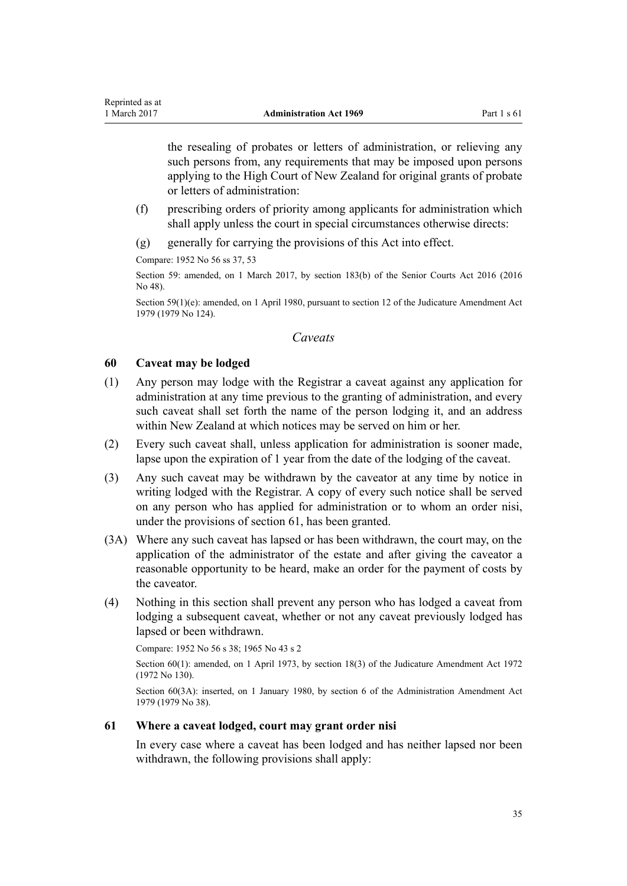<span id="page-34-0"></span>the resealing of probates or letters of administration, or relieving any such persons from, any requirements that may be imposed upon persons applying to the High Court of New Zealand for original grants of probate or letters of administration:

- (f) prescribing orders of priority among applicants for administration which shall apply unless the court in special circumstances otherwise directs:
- (g) generally for carrying the provisions of this Act into effect.

Compare: 1952 No 56 ss 37, 53

Section 59: amended, on 1 March 2017, by [section 183\(b\)](http://prd-lgnz-nlb.prd.pco.net.nz/pdflink.aspx?id=DLM5759564) of the Senior Courts Act 2016 (2016 No 48).

Section 59(1)(e): amended, on 1 April 1980, pursuant to [section 12](http://prd-lgnz-nlb.prd.pco.net.nz/pdflink.aspx?id=DLM35049) of the Judicature Amendment Act 1979 (1979 No 124).

# *Caveats*

# **60 Caveat may be lodged**

- (1) Any person may lodge with the Registrar a caveat against any application for administration at any time previous to the granting of administration, and every such caveat shall set forth the name of the person lodging it, and an address within New Zealand at which notices may be served on him or her.
- (2) Every such caveat shall, unless application for administration is sooner made, lapse upon the expiration of 1 year from the date of the lodging of the caveat.
- (3) Any such caveat may be withdrawn by the caveator at any time by notice in writing lodged with the Registrar. A copy of every such notice shall be served on any person who has applied for administration or to whom an order nisi, under the provisions of section 61, has been granted.
- (3A) Where any such caveat has lapsed or has been withdrawn, the court may, on the application of the administrator of the estate and after giving the caveator a reasonable opportunity to be heard, make an order for the payment of costs by the caveator.
- (4) Nothing in this section shall prevent any person who has lodged a caveat from lodging a subsequent caveat, whether or not any caveat previously lodged has lapsed or been withdrawn.

Compare: 1952 No 56 s 38; 1965 No 43 s 2

Section 60(1): amended, on 1 April 1973, by [section 18\(3\)](http://prd-lgnz-nlb.prd.pco.net.nz/pdflink.aspx?id=DLM408384) of the Judicature Amendment Act 1972 (1972 No 130).

Section 60(3A): inserted, on 1 January 1980, by [section 6](http://prd-lgnz-nlb.prd.pco.net.nz/pdflink.aspx?id=DLM32819) of the Administration Amendment Act 1979 (1979 No 38).

# **61 Where a caveat lodged, court may grant order nisi**

In every case where a caveat has been lodged and has neither lapsed nor been withdrawn, the following provisions shall apply: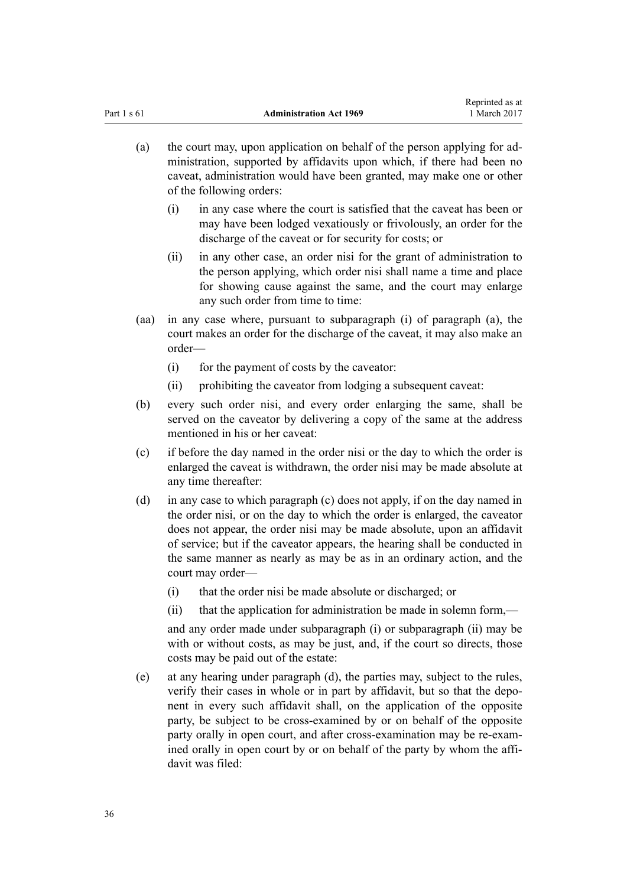- (a) the court may, upon application on behalf of the person applying for administration, supported by affidavits upon which, if there had been no caveat, administration would have been granted, may make one or other of the following orders:
	- (i) in any case where the court is satisfied that the caveat has been or may have been lodged vexatiously or frivolously, an order for the discharge of the caveat or for security for costs; or
	- (ii) in any other case, an order nisi for the grant of administration to the person applying, which order nisi shall name a time and place for showing cause against the same, and the court may enlarge any such order from time to time:
- (aa) in any case where, pursuant to subparagraph (i) of paragraph (a), the court makes an order for the discharge of the caveat, it may also make an order—
	- (i) for the payment of costs by the caveator:
	- (ii) prohibiting the caveator from lodging a subsequent caveat:
- (b) every such order nisi, and every order enlarging the same, shall be served on the caveator by delivering a copy of the same at the address mentioned in his or her caveat:
- (c) if before the day named in the order nisi or the day to which the order is enlarged the caveat is withdrawn, the order nisi may be made absolute at any time thereafter:
- (d) in any case to which paragraph (c) does not apply, if on the day named in the order nisi, or on the day to which the order is enlarged, the caveator does not appear, the order nisi may be made absolute, upon an affidavit of service; but if the caveator appears, the hearing shall be conducted in the same manner as nearly as may be as in an ordinary action, and the court may order—
	- (i) that the order nisi be made absolute or discharged; or
	- (ii) that the application for administration be made in solemn form,—

and any order made under subparagraph (i) or subparagraph (ii) may be with or without costs, as may be just, and, if the court so directs, those costs may be paid out of the estate:

(e) at any hearing under paragraph (d), the parties may, subject to the rules, verify their cases in whole or in part by affidavit, but so that the deponent in every such affidavit shall, on the application of the opposite party, be subject to be cross-examined by or on behalf of the opposite party orally in open court, and after cross-examination may be re-examined orally in open court by or on behalf of the party by whom the affidavit was filed: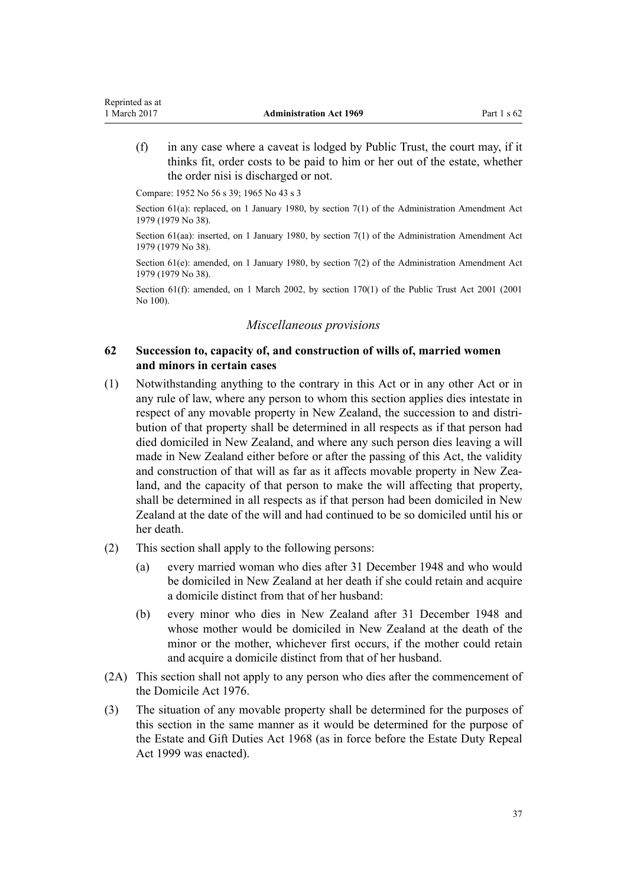<span id="page-36-0"></span>(f) in any case where a caveat is lodged by Public Trust, the court may, if it thinks fit, order costs to be paid to him or her out of the estate, whether the order nisi is discharged or not.

Compare: 1952 No 56 s 39; 1965 No 43 s 3

Section 61(a): replaced, on 1 January 1980, by [section 7\(1\)](http://prd-lgnz-nlb.prd.pco.net.nz/pdflink.aspx?id=DLM32820) of the Administration Amendment Act 1979 (1979 No 38).

Section 61(aa): inserted, on 1 January 1980, by [section 7\(1\)](http://prd-lgnz-nlb.prd.pco.net.nz/pdflink.aspx?id=DLM32820) of the Administration Amendment Act 1979 (1979 No 38).

Section 61(e): amended, on 1 January 1980, by [section 7\(2\)](http://prd-lgnz-nlb.prd.pco.net.nz/pdflink.aspx?id=DLM32820) of the Administration Amendment Act 1979 (1979 No 38).

Section 61(f): amended, on 1 March 2002, by [section 170\(1\)](http://prd-lgnz-nlb.prd.pco.net.nz/pdflink.aspx?id=DLM124529) of the Public Trust Act 2001 (2001) No 100).

### *Miscellaneous provisions*

# **62 Succession to, capacity of, and construction of wills of, married women and minors in certain cases**

- (1) Notwithstanding anything to the contrary in this Act or in any other Act or in any rule of law, where any person to whom this section applies dies intestate in respect of any movable property in New Zealand, the succession to and distribution of that property shall be determined in all respects as if that person had died domiciled in New Zealand, and where any such person dies leaving a will made in New Zealand either before or after the passing of this Act, the validity and construction of that will as far as it affects movable property in New Zealand, and the capacity of that person to make the will affecting that property, shall be determined in all respects as if that person had been domiciled in New Zealand at the date of the will and had continued to be so domiciled until his or her death.
- (2) This section shall apply to the following persons:
	- (a) every married woman who dies after 31 December 1948 and who would be domiciled in New Zealand at her death if she could retain and acquire a domicile distinct from that of her husband:
	- (b) every minor who dies in New Zealand after 31 December 1948 and whose mother would be domiciled in New Zealand at the death of the minor or the mother, whichever first occurs, if the mother could retain and acquire a domicile distinct from that of her husband.
- (2A) This section shall not apply to any person who dies after the commencement of the [Domicile Act 1976](http://prd-lgnz-nlb.prd.pco.net.nz/pdflink.aspx?id=DLM438757).
- (3) The situation of any movable property shall be determined for the purposes of this section in the same manner as it would be determined for the purpose of the [Estate and Gift Duties Act 1968](http://prd-lgnz-nlb.prd.pco.net.nz/pdflink.aspx?id=DLM385591) (as in force before the [Estate Duty Repeal](http://prd-lgnz-nlb.prd.pco.net.nz/pdflink.aspx?id=DLM30070) [Act 1999](http://prd-lgnz-nlb.prd.pco.net.nz/pdflink.aspx?id=DLM30070) was enacted).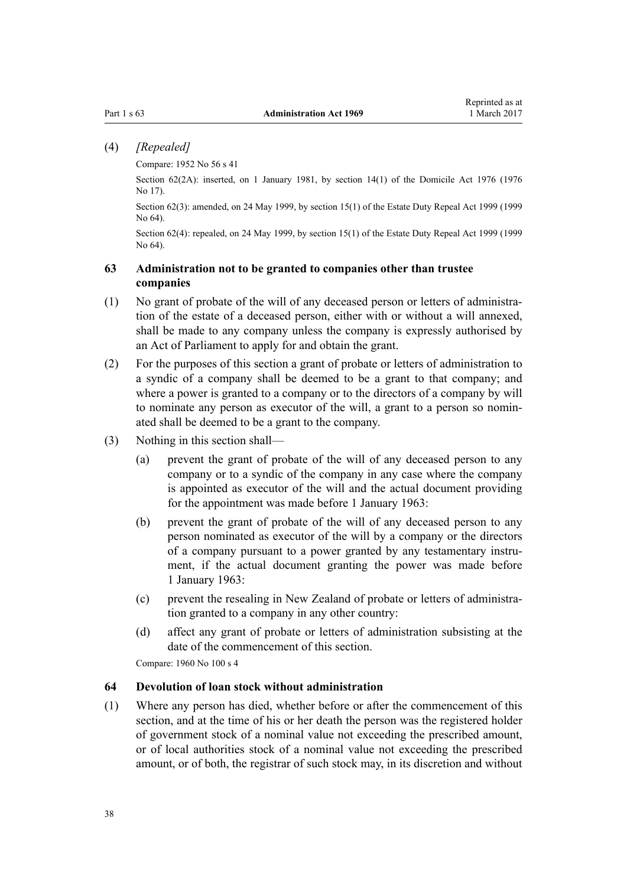# <span id="page-37-0"></span>(4) *[Repealed]*

Compare: 1952 No 56 s 41

Section 62(2A): inserted, on 1 January 1981, by [section 14\(1\)](http://prd-lgnz-nlb.prd.pco.net.nz/pdflink.aspx?id=DLM438780) of the Domicile Act 1976 (1976) No 17).

Section 62(3): amended, on 24 May 1999, by [section 15\(1\)](http://prd-lgnz-nlb.prd.pco.net.nz/pdflink.aspx?id=DLM30504) of the Estate Duty Repeal Act 1999 (1999 No 64).

Section 62(4): repealed, on 24 May 1999, by [section 15\(1\)](http://prd-lgnz-nlb.prd.pco.net.nz/pdflink.aspx?id=DLM30504) of the Estate Duty Repeal Act 1999 (1999 No 64).

# **63 Administration not to be granted to companies other than trustee companies**

- (1) No grant of probate of the will of any deceased person or letters of administration of the estate of a deceased person, either with or without a will annexed, shall be made to any company unless the company is expressly authorised by an Act of Parliament to apply for and obtain the grant.
- (2) For the purposes of this section a grant of probate or letters of administration to a syndic of a company shall be deemed to be a grant to that company; and where a power is granted to a company or to the directors of a company by will to nominate any person as executor of the will, a grant to a person so nominated shall be deemed to be a grant to the company.
- (3) Nothing in this section shall—
	- (a) prevent the grant of probate of the will of any deceased person to any company or to a syndic of the company in any case where the company is appointed as executor of the will and the actual document providing for the appointment was made before 1 January 1963:
	- (b) prevent the grant of probate of the will of any deceased person to any person nominated as executor of the will by a company or the directors of a company pursuant to a power granted by any testamentary instrument, if the actual document granting the power was made before 1 January 1963:
	- (c) prevent the resealing in New Zealand of probate or letters of administration granted to a company in any other country:
	- (d) affect any grant of probate or letters of administration subsisting at the date of the commencement of this section.

Compare: 1960 No 100 s 4

### **64 Devolution of loan stock without administration**

(1) Where any person has died, whether before or after the commencement of this section, and at the time of his or her death the person was the registered holder of government stock of a nominal value not exceeding the prescribed amount, or of local authorities stock of a nominal value not exceeding the prescribed amount, or of both, the registrar of such stock may, in its discretion and without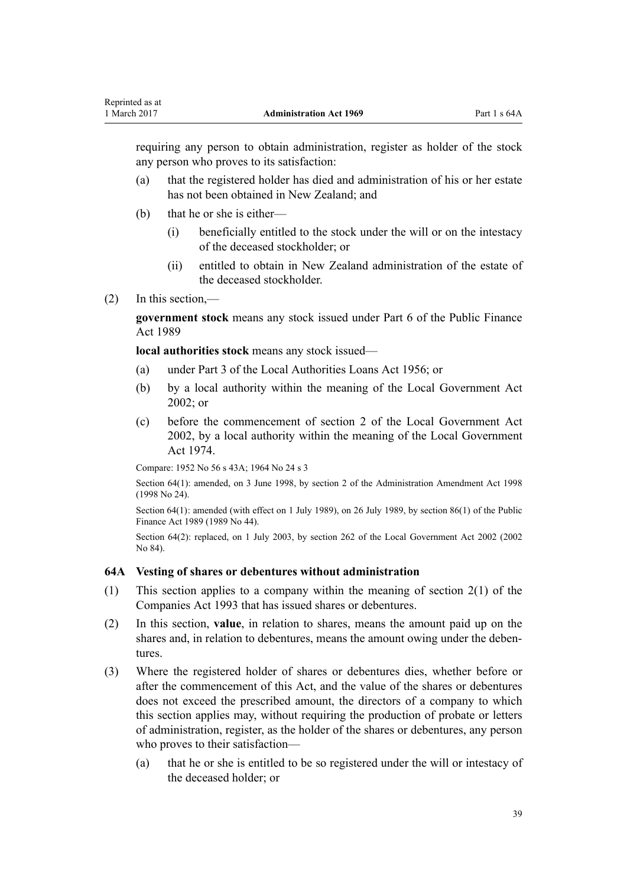<span id="page-38-0"></span>requiring any person to obtain administration, register as holder of the stock any person who proves to its satisfaction:

- (a) that the registered holder has died and administration of his or her estate has not been obtained in New Zealand; and
- (b) that he or she is either—
	- (i) beneficially entitled to the stock under the will or on the intestacy of the deceased stockholder; or
	- (ii) entitled to obtain in New Zealand administration of the estate of the deceased stockholder.
- (2) In this section,—

**government stock** means any stock issued under [Part 6](http://prd-lgnz-nlb.prd.pco.net.nz/pdflink.aspx?id=DLM162727) of the Public Finance Act 1989

**local authorities stock** means any stock issued—

- (a) under Part 3 of the Local Authorities Loans Act 1956; or
- (b) by a local authority within the meaning of the [Local Government Act](http://prd-lgnz-nlb.prd.pco.net.nz/pdflink.aspx?id=DLM170872) [2002](http://prd-lgnz-nlb.prd.pco.net.nz/pdflink.aspx?id=DLM170872); or
- (c) before the commencement of [section 2](http://prd-lgnz-nlb.prd.pco.net.nz/pdflink.aspx?id=DLM170877) of the Local Government Act 2002, by a local authority within the meaning of the [Local Government](http://prd-lgnz-nlb.prd.pco.net.nz/pdflink.aspx?id=DLM415531) [Act 1974.](http://prd-lgnz-nlb.prd.pco.net.nz/pdflink.aspx?id=DLM415531)

Compare: 1952 No 56 s 43A; [1964 No 24](http://prd-lgnz-nlb.prd.pco.net.nz/pdflink.aspx?id=DLM351216) [s 3](http://prd-lgnz-nlb.prd.pco.net.nz/pdflink.aspx?id=DLM351224)

Section 64(1): amended, on 3 June 1998, by [section 2](http://prd-lgnz-nlb.prd.pco.net.nz/pdflink.aspx?id=DLM426209) of the Administration Amendment Act 1998 (1998 No 24).

Section 64(1): amended (with effect on 1 July 1989), on 26 July 1989, by [section 86\(1\)](http://prd-lgnz-nlb.prd.pco.net.nz/pdflink.aspx?id=DLM163175) of the Public Finance Act 1989 (1989 No 44).

Section 64(2): replaced, on 1 July 2003, by [section 262](http://prd-lgnz-nlb.prd.pco.net.nz/pdflink.aspx?id=DLM174088) of the Local Government Act 2002 (2002) No 84).

# **64A Vesting of shares or debentures without administration**

- (1) This section applies to a company within the meaning of [section 2\(1\)](http://prd-lgnz-nlb.prd.pco.net.nz/pdflink.aspx?id=DLM319576) of the Companies Act 1993 that has issued shares or debentures.
- (2) In this section, **value**, in relation to shares, means the amount paid up on the shares and, in relation to debentures, means the amount owing under the debentures.
- (3) Where the registered holder of shares or debentures dies, whether before or after the commencement of this Act, and the value of the shares or debentures does not exceed the prescribed amount, the directors of a company to which this section applies may, without requiring the production of probate or letters of administration, register, as the holder of the shares or debentures, any person who proves to their satisfaction—
	- (a) that he or she is entitled to be so registered under the will or intestacy of the deceased holder; or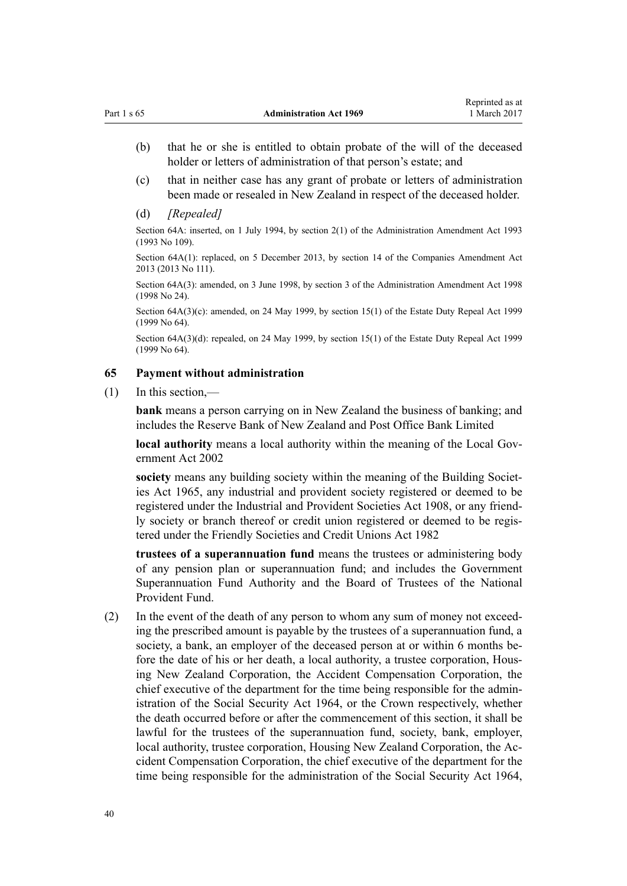- <span id="page-39-0"></span>(b) that he or she is entitled to obtain probate of the will of the deceased holder or letters of administration of that person's estate; and
- (c) that in neither case has any grant of probate or letters of administration been made or resealed in New Zealand in respect of the deceased holder.
- (d) *[Repealed]*

Section 64A: inserted, on 1 July 1994, by section 2(1) of the Administration Amendment Act 1993 (1993 No 109).

Section 64A(1): replaced, on 5 December 2013, by [section 14](http://prd-lgnz-nlb.prd.pco.net.nz/pdflink.aspx?id=DLM5620822) of the Companies Amendment Act 2013 (2013 No 111).

Section 64A(3): amended, on 3 June 1998, by [section 3](http://prd-lgnz-nlb.prd.pco.net.nz/pdflink.aspx?id=DLM426210) of the Administration Amendment Act 1998 (1998 No 24).

Section 64A(3)(c): amended, on 24 May 1999, by [section 15\(1\)](http://prd-lgnz-nlb.prd.pco.net.nz/pdflink.aspx?id=DLM30504) of the Estate Duty Repeal Act 1999 (1999 No 64).

Section 64A(3)(d): repealed, on 24 May 1999, by [section 15\(1\)](http://prd-lgnz-nlb.prd.pco.net.nz/pdflink.aspx?id=DLM30504) of the Estate Duty Repeal Act 1999 (1999 No 64).

# **65 Payment without administration**

(1) In this section,—

**bank** means a person carrying on in New Zealand the business of banking; and includes the Reserve Bank of New Zealand and Post Office Bank Limited

**local authority** means a local authority within the meaning of the [Local Gov](http://prd-lgnz-nlb.prd.pco.net.nz/pdflink.aspx?id=DLM170872)[ernment Act 2002](http://prd-lgnz-nlb.prd.pco.net.nz/pdflink.aspx?id=DLM170872)

**society** means any building society within the meaning of the [Building Societ](http://prd-lgnz-nlb.prd.pco.net.nz/pdflink.aspx?id=DLM367767)[ies Act 1965,](http://prd-lgnz-nlb.prd.pco.net.nz/pdflink.aspx?id=DLM367767) any industrial and provident society registered or deemed to be registered under the [Industrial and Provident Societies Act 1908](http://prd-lgnz-nlb.prd.pco.net.nz/pdflink.aspx?id=DLM144405), or any friendly society or branch thereof or credit union registered or deemed to be registered under the [Friendly Societies and Credit Unions Act 1982](http://prd-lgnz-nlb.prd.pco.net.nz/pdflink.aspx?id=DLM59731)

**trustees of a superannuation fund** means the trustees or administering body of any pension plan or superannuation fund; and includes the Government Superannuation Fund Authority and the Board of Trustees of the National Provident Fund.

(2) In the event of the death of any person to whom any sum of money not exceeding the prescribed amount is payable by the trustees of a superannuation fund, a society, a bank, an employer of the deceased person at or within 6 months before the date of his or her death, a local authority, a trustee corporation, Housing New Zealand Corporation, the Accident Compensation Corporation, the chief executive of the department for the time being responsible for the administration of the [Social Security Act 1964](http://prd-lgnz-nlb.prd.pco.net.nz/pdflink.aspx?id=DLM359106), or the Crown respectively, whether the death occurred before or after the commencement of this section, it shall be lawful for the trustees of the superannuation fund, society, bank, employer, local authority, trustee corporation, Housing New Zealand Corporation, the Accident Compensation Corporation, the chief executive of the department for the time being responsible for the administration of the [Social Security Act 1964](http://prd-lgnz-nlb.prd.pco.net.nz/pdflink.aspx?id=DLM359106),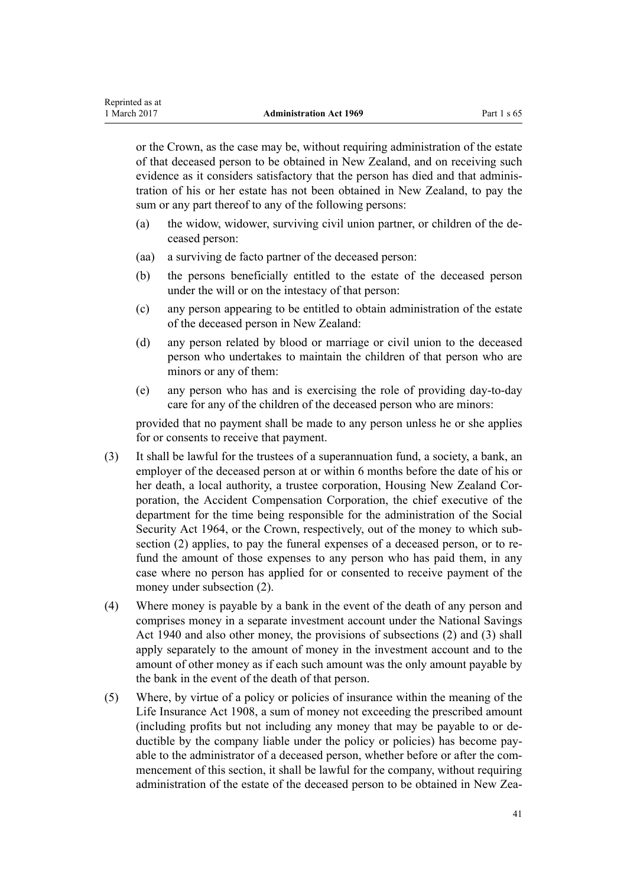or the Crown, as the case may be, without requiring administration of the estate of that deceased person to be obtained in New Zealand, and on receiving such evidence as it considers satisfactory that the person has died and that administration of his or her estate has not been obtained in New Zealand, to pay the sum or any part thereof to any of the following persons:

- (a) the widow, widower, surviving civil union partner, or children of the deceased person:
- (aa) a surviving de facto partner of the deceased person:

Reprinted as at

- (b) the persons beneficially entitled to the estate of the deceased person under the will or on the intestacy of that person:
- (c) any person appearing to be entitled to obtain administration of the estate of the deceased person in New Zealand:
- (d) any person related by blood or marriage or civil union to the deceased person who undertakes to maintain the children of that person who are minors or any of them:
- (e) any person who has and is exercising the role of providing day-to-day care for any of the children of the deceased person who are minors:

provided that no payment shall be made to any person unless he or she applies for or consents to receive that payment.

- (3) It shall be lawful for the trustees of a superannuation fund, a society, a bank, an employer of the deceased person at or within 6 months before the date of his or her death, a local authority, a trustee corporation, Housing New Zealand Corporation, the Accident Compensation Corporation, the chief executive of the department for the time being responsible for the administration of the [Social](http://prd-lgnz-nlb.prd.pco.net.nz/pdflink.aspx?id=DLM359106) [Security Act 1964,](http://prd-lgnz-nlb.prd.pco.net.nz/pdflink.aspx?id=DLM359106) or the Crown, respectively, out of the money to which subsection (2) applies, to pay the funeral expenses of a deceased person, or to refund the amount of those expenses to any person who has paid them, in any case where no person has applied for or consented to receive payment of the money under subsection (2).
- (4) Where money is payable by a bank in the event of the death of any person and comprises money in a separate investment account under the National Savings Act 1940 and also other money, the provisions of subsections (2) and (3) shall apply separately to the amount of money in the investment account and to the amount of other money as if each such amount was the only amount payable by the bank in the event of the death of that person.
- (5) Where, by virtue of a policy or policies of insurance within the meaning of the [Life Insurance Act 1908](http://prd-lgnz-nlb.prd.pco.net.nz/pdflink.aspx?id=DLM169542), a sum of money not exceeding the prescribed amount (including profits but not including any money that may be payable to or deductible by the company liable under the policy or policies) has become payable to the administrator of a deceased person, whether before or after the commencement of this section, it shall be lawful for the company, without requiring administration of the estate of the deceased person to be obtained in New Zea-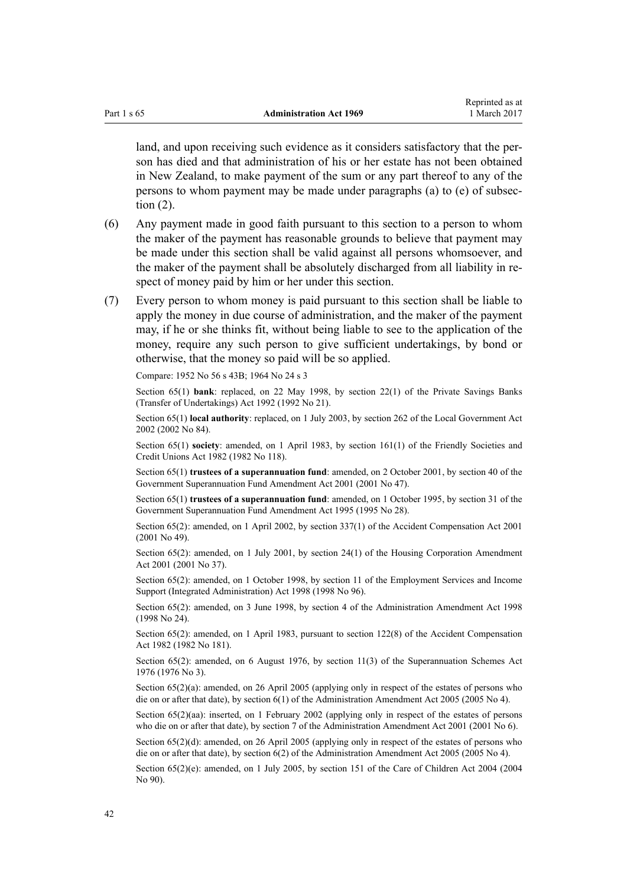land, and upon receiving such evidence as it considers satisfactory that the person has died and that administration of his or her estate has not been obtained in New Zealand, to make payment of the sum or any part thereof to any of the persons to whom payment may be made under paragraphs (a) to (e) of subsection (2).

Reprinted as at

- (6) Any payment made in good faith pursuant to this section to a person to whom the maker of the payment has reasonable grounds to believe that payment may be made under this section shall be valid against all persons whomsoever, and the maker of the payment shall be absolutely discharged from all liability in respect of money paid by him or her under this section.
- (7) Every person to whom money is paid pursuant to this section shall be liable to apply the money in due course of administration, and the maker of the payment may, if he or she thinks fit, without being liable to see to the application of the money, require any such person to give sufficient undertakings, by bond or otherwise, that the money so paid will be so applied.

Compare: 1952 No 56 s 43B; [1964 No 24](http://prd-lgnz-nlb.prd.pco.net.nz/pdflink.aspx?id=DLM351216) [s 3](http://prd-lgnz-nlb.prd.pco.net.nz/pdflink.aspx?id=DLM351224)

Section 65(1) **bank**: replaced, on 22 May 1998, by [section 22\(1\)](http://prd-lgnz-nlb.prd.pco.net.nz/pdflink.aspx?id=DLM261023) of the Private Savings Banks (Transfer of Undertakings) Act 1992 (1992 No 21).

Section 65(1) **local authority**: replaced, on 1 July 2003, by [section 262](http://prd-lgnz-nlb.prd.pco.net.nz/pdflink.aspx?id=DLM174088) of the Local Government Act 2002 (2002 No 84).

Section 65(1) **society**: amended, on 1 April 1983, by [section 161\(1\)](http://prd-lgnz-nlb.prd.pco.net.nz/pdflink.aspx?id=DLM61310) of the Friendly Societies and Credit Unions Act 1982 (1982 No 118).

Section 65(1) **trustees of a superannuation fund**: amended, on 2 October 2001, by [section 40](http://prd-lgnz-nlb.prd.pco.net.nz/pdflink.aspx?id=DLM99003) of the Government Superannuation Fund Amendment Act 2001 (2001 No 47).

Section 65(1) **trustees of a superannuation fund**: amended, on 1 October 1995, by [section 31](http://prd-lgnz-nlb.prd.pco.net.nz/pdflink.aspx?id=DLM366271) of the Government Superannuation Fund Amendment Act 1995 (1995 No 28).

Section 65(2): amended, on 1 April 2002, by [section 337\(1\)](http://prd-lgnz-nlb.prd.pco.net.nz/pdflink.aspx?id=DLM104117) of the Accident Compensation Act 2001 (2001 No 49).

Section 65(2): amended, on 1 July 2001, by [section 24\(1\)](http://prd-lgnz-nlb.prd.pco.net.nz/pdflink.aspx?id=DLM96736) of the Housing Corporation Amendment Act 2001 (2001 No 37).

Section 65(2): amended, on 1 October 1998, by [section 11](http://prd-lgnz-nlb.prd.pco.net.nz/pdflink.aspx?id=DLM429013) of the Employment Services and Income Support (Integrated Administration) Act 1998 (1998 No 96).

Section 65(2): amended, on 3 June 1998, by [section 4](http://prd-lgnz-nlb.prd.pco.net.nz/pdflink.aspx?id=DLM426211) of the Administration Amendment Act 1998 (1998 No 24).

Section 65(2): amended, on 1 April 1983, pursuant to section 122(8) of the Accident Compensation Act 1982 (1982 No 181).

Section 65(2): amended, on 6 August 1976, by section 11(3) of the Superannuation Schemes Act 1976 (1976 No 3).

Section  $65(2)(a)$ : amended, on 26 April 2005 (applying only in respect of the estates of persons who die on or after that date), by [section 6\(1\)](http://prd-lgnz-nlb.prd.pco.net.nz/pdflink.aspx?id=DLM334751) of the Administration Amendment Act 2005 (2005 No 4).

Section 65(2)(aa): inserted, on 1 February 2002 (applying only in respect of the estates of persons who die on or after that date), by [section 7](http://prd-lgnz-nlb.prd.pco.net.nz/pdflink.aspx?id=DLM88128) of the Administration Amendment Act 2001 (2001 No 6).

Section 65(2)(d): amended, on 26 April 2005 (applying only in respect of the estates of persons who die on or after that date), by [section 6\(2\)](http://prd-lgnz-nlb.prd.pco.net.nz/pdflink.aspx?id=DLM334751) of the Administration Amendment Act 2005 (2005 No 4).

Section  $65(2)(e)$ : amended, on 1 July 2005, by [section 151](http://prd-lgnz-nlb.prd.pco.net.nz/pdflink.aspx?id=DLM317988) of the Care of Children Act 2004 (2004) No 90).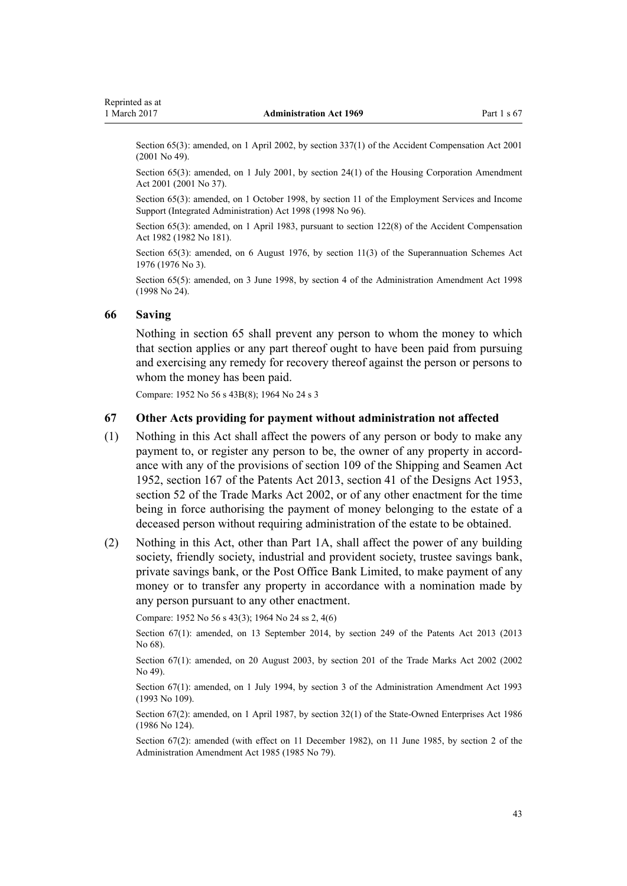<span id="page-42-0"></span>Section 65(3): amended, on 1 April 2002, by [section 337\(1\)](http://prd-lgnz-nlb.prd.pco.net.nz/pdflink.aspx?id=DLM104117) of the Accident Compensation Act 2001 (2001 No 49).

Section 65(3); amended, on 1 July 2001, by [section 24\(1\)](http://prd-lgnz-nlb.prd.pco.net.nz/pdflink.aspx?id=DLM96736) of the Housing Corporation Amendment Act 2001 (2001 No 37).

Section 65(3): amended, on 1 October 1998, by [section 11](http://prd-lgnz-nlb.prd.pco.net.nz/pdflink.aspx?id=DLM429013) of the Employment Services and Income Support (Integrated Administration) Act 1998 (1998 No 96).

Section 65(3): amended, on 1 April 1983, pursuant to section 122(8) of the Accident Compensation Act 1982 (1982 No 181).

Section 65(3): amended, on 6 August 1976, by section 11(3) of the Superannuation Schemes Act 1976 (1976 No 3).

Section 65(5): amended, on 3 June 1998, by [section 4](http://prd-lgnz-nlb.prd.pco.net.nz/pdflink.aspx?id=DLM426211) of the Administration Amendment Act 1998 (1998 No 24).

#### **66 Saving**

Nothing in [section 65](#page-39-0) shall prevent any person to whom the money to which that section applies or any part thereof ought to have been paid from pursuing and exercising any remedy for recovery thereof against the person or persons to whom the money has been paid.

Compare: 1952 No 56 s 43B(8); 1964 No 24 [s 3](http://prd-lgnz-nlb.prd.pco.net.nz/pdflink.aspx?id=DLM351224)

#### **67 Other Acts providing for payment without administration not affected**

- (1) Nothing in this Act shall affect the powers of any person or body to make any payment to, or register any person to be, the owner of any property in accordance with any of the provisions of section 109 of the Shipping and Seamen Act 1952, [section 167](http://prd-lgnz-nlb.prd.pco.net.nz/pdflink.aspx?id=DLM2193520) of the Patents Act 2013, [section 41](http://prd-lgnz-nlb.prd.pco.net.nz/pdflink.aspx?id=DLM281772) of the Designs Act 1953, [section 52](http://prd-lgnz-nlb.prd.pco.net.nz/pdflink.aspx?id=DLM164619) of the Trade Marks Act 2002, or of any other enactment for the time being in force authorising the payment of money belonging to the estate of a deceased person without requiring administration of the estate to be obtained.
- (2) Nothing in this Act, other than [Part 1A](#page-43-0), shall affect the power of any building society, friendly society, industrial and provident society, trustee savings bank, private savings bank, or the Post Office Bank Limited, to make payment of any money or to transfer any property in accordance with a nomination made by any person pursuant to any other enactment.

Compare: 1952 No 56 s 43(3); 1964 No 24 [ss 2](http://prd-lgnz-nlb.prd.pco.net.nz/pdflink.aspx?id=DLM351222), [4\(6\)](http://prd-lgnz-nlb.prd.pco.net.nz/pdflink.aspx?id=DLM351226)

Section 67(1): amended, on 13 September 2014, by [section 249](http://prd-lgnz-nlb.prd.pco.net.nz/pdflink.aspx?id=DLM1419624) of the Patents Act 2013 (2013 No 68).

Section 67(1): amended, on 20 August 2003, by [section 201](http://prd-lgnz-nlb.prd.pco.net.nz/pdflink.aspx?id=DLM165256) of the Trade Marks Act 2002 (2002 No 49).

Section 67(1): amended, on 1 July 1994, by section 3 of the Administration Amendment Act 1993 (1993 No 109).

Section 67(2): amended, on 1 April 1987, by [section 32\(1\)](http://prd-lgnz-nlb.prd.pco.net.nz/pdflink.aspx?id=DLM98437) of the State-Owned Enterprises Act 1986 (1986 No 124).

Section 67(2): amended (with effect on 11 December 1982), on 11 June 1985, by section 2 of the Administration Amendment Act 1985 (1985 No 79).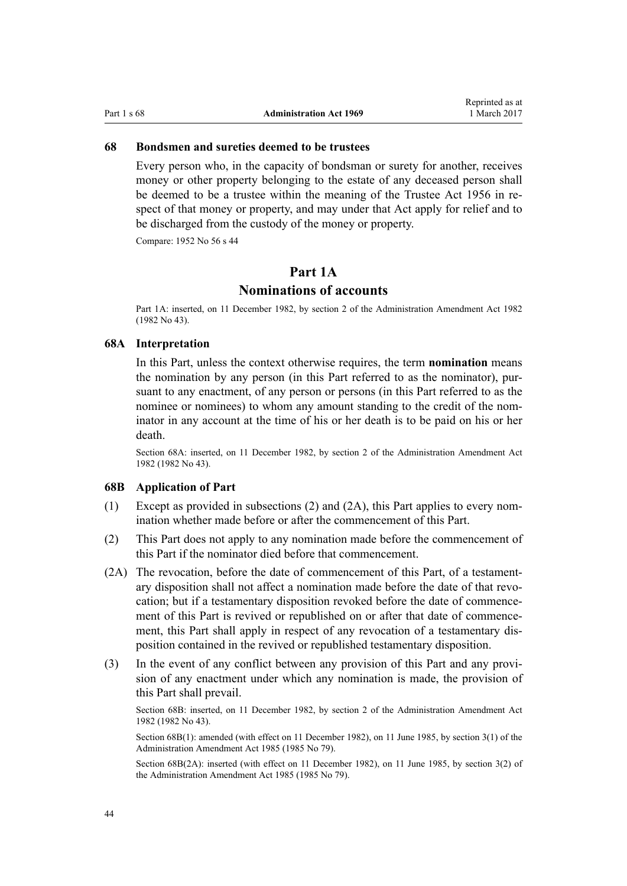### <span id="page-43-0"></span>**68 Bondsmen and sureties deemed to be trustees**

Every person who, in the capacity of bondsman or surety for another, receives money or other property belonging to the estate of any deceased person shall be deemed to be a trustee within the meaning of the [Trustee Act 1956](http://prd-lgnz-nlb.prd.pco.net.nz/pdflink.aspx?id=DLM304703) in respect of that money or property, and may under that Act apply for relief and to be discharged from the custody of the money or property.

Compare: 1952 No 56 s 44

# **Part 1A**

# **Nominations of accounts**

Part 1A: inserted, on 11 December 1982, by section 2 of the Administration Amendment Act 1982 (1982 No 43).

# **68A Interpretation**

In this Part, unless the context otherwise requires, the term **nomination** means the nomination by any person (in this Part referred to as the nominator), pursuant to any enactment, of any person or persons (in this Part referred to as the nominee or nominees) to whom any amount standing to the credit of the nominator in any account at the time of his or her death is to be paid on his or her death.

Section 68A: inserted, on 11 December 1982, by section 2 of the Administration Amendment Act 1982 (1982 No 43).

#### **68B Application of Part**

- (1) Except as provided in subsections (2) and (2A), this Part applies to every nomination whether made before or after the commencement of this Part.
- (2) This Part does not apply to any nomination made before the commencement of this Part if the nominator died before that commencement.
- (2A) The revocation, before the date of commencement of this Part, of a testamentary disposition shall not affect a nomination made before the date of that revocation; but if a testamentary disposition revoked before the date of commencement of this Part is revived or republished on or after that date of commencement, this Part shall apply in respect of any revocation of a testamentary disposition contained in the revived or republished testamentary disposition.
- (3) In the event of any conflict between any provision of this Part and any provision of any enactment under which any nomination is made, the provision of this Part shall prevail.

Section 68B: inserted, on 11 December 1982, by section 2 of the Administration Amendment Act 1982 (1982 No 43).

Section 68B(1): amended (with effect on 11 December 1982), on 11 June 1985, by section 3(1) of the Administration Amendment Act 1985 (1985 No 79).

Section 68B(2A): inserted (with effect on 11 December 1982), on 11 June 1985, by section 3(2) of the Administration Amendment Act 1985 (1985 No 79).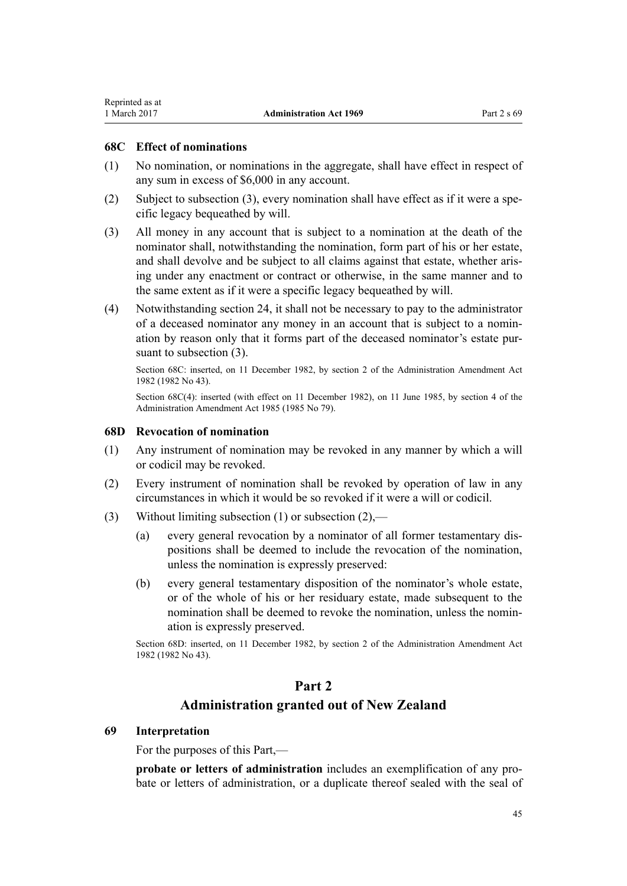### **68C Effect of nominations**

<span id="page-44-0"></span>Reprinted as at

- (1) No nomination, or nominations in the aggregate, shall have effect in respect of any sum in excess of \$6,000 in any account.
- (2) Subject to subsection (3), every nomination shall have effect as if it were a specific legacy bequeathed by will.
- (3) All money in any account that is subject to a nomination at the death of the nominator shall, notwithstanding the nomination, form part of his or her estate, and shall devolve and be subject to all claims against that estate, whether arising under any enactment or contract or otherwise, in the same manner and to the same extent as if it were a specific legacy bequeathed by will.
- (4) Notwithstanding [section 24,](#page-18-0) it shall not be necessary to pay to the administrator of a deceased nominator any money in an account that is subject to a nomination by reason only that it forms part of the deceased nominator's estate pursuant to subsection (3).

Section 68C: inserted, on 11 December 1982, by section 2 of the Administration Amendment Act 1982 (1982 No 43).

Section 68C(4): inserted (with effect on 11 December 1982), on 11 June 1985, by section 4 of the Administration Amendment Act 1985 (1985 No 79).

# **68D Revocation of nomination**

- (1) Any instrument of nomination may be revoked in any manner by which a will or codicil may be revoked.
- (2) Every instrument of nomination shall be revoked by operation of law in any circumstances in which it would be so revoked if it were a will or codicil.
- (3) Without limiting subsection (1) or subsection (2),—
	- (a) every general revocation by a nominator of all former testamentary dispositions shall be deemed to include the revocation of the nomination, unless the nomination is expressly preserved:
	- (b) every general testamentary disposition of the nominator's whole estate, or of the whole of his or her residuary estate, made subsequent to the nomination shall be deemed to revoke the nomination, unless the nomination is expressly preserved.

Section 68D: inserted, on 11 December 1982, by section 2 of the Administration Amendment Act 1982 (1982 No 43).

# **Part 2 Administration granted out of New Zealand**

### **69 Interpretation**

For the purposes of this Part,—

**probate or letters of administration** includes an exemplification of any probate or letters of administration, or a duplicate thereof sealed with the seal of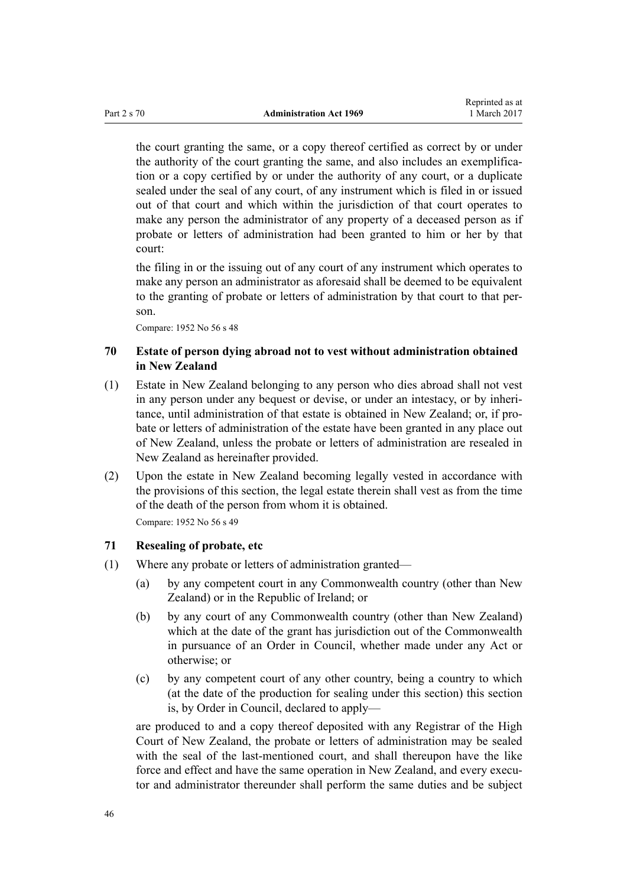<span id="page-45-0"></span>the court granting the same, or a copy thereof certified as correct by or under the authority of the court granting the same, and also includes an exemplification or a copy certified by or under the authority of any court, or a duplicate sealed under the seal of any court, of any instrument which is filed in or issued out of that court and which within the jurisdiction of that court operates to make any person the administrator of any property of a deceased person as if probate or letters of administration had been granted to him or her by that court:

the filing in or the issuing out of any court of any instrument which operates to make any person an administrator as aforesaid shall be deemed to be equivalent to the granting of probate or letters of administration by that court to that person.

Compare: 1952 No 56 s 48

# **70 Estate of person dying abroad not to vest without administration obtained in New Zealand**

- (1) Estate in New Zealand belonging to any person who dies abroad shall not vest in any person under any bequest or devise, or under an intestacy, or by inheritance, until administration of that estate is obtained in New Zealand; or, if probate or letters of administration of the estate have been granted in any place out of New Zealand, unless the probate or letters of administration are resealed in New Zealand as hereinafter provided.
- (2) Upon the estate in New Zealand becoming legally vested in accordance with the provisions of this section, the legal estate therein shall vest as from the time of the death of the person from whom it is obtained.

Compare: 1952 No 56 s 49

# **71 Resealing of probate, etc**

- (1) Where any probate or letters of administration granted—
	- (a) by any competent court in any Commonwealth country (other than New Zealand) or in the Republic of Ireland; or
	- (b) by any court of any Commonwealth country (other than New Zealand) which at the date of the grant has jurisdiction out of the Commonwealth in pursuance of an Order in Council, whether made under any Act or otherwise; or
	- (c) by any competent court of any other country, being a country to which (at the date of the production for sealing under this section) this section is, by Order in Council, declared to apply—

are produced to and a copy thereof deposited with any Registrar of the High Court of New Zealand, the probate or letters of administration may be sealed with the seal of the last-mentioned court, and shall thereupon have the like force and effect and have the same operation in New Zealand, and every executor and administrator thereunder shall perform the same duties and be subject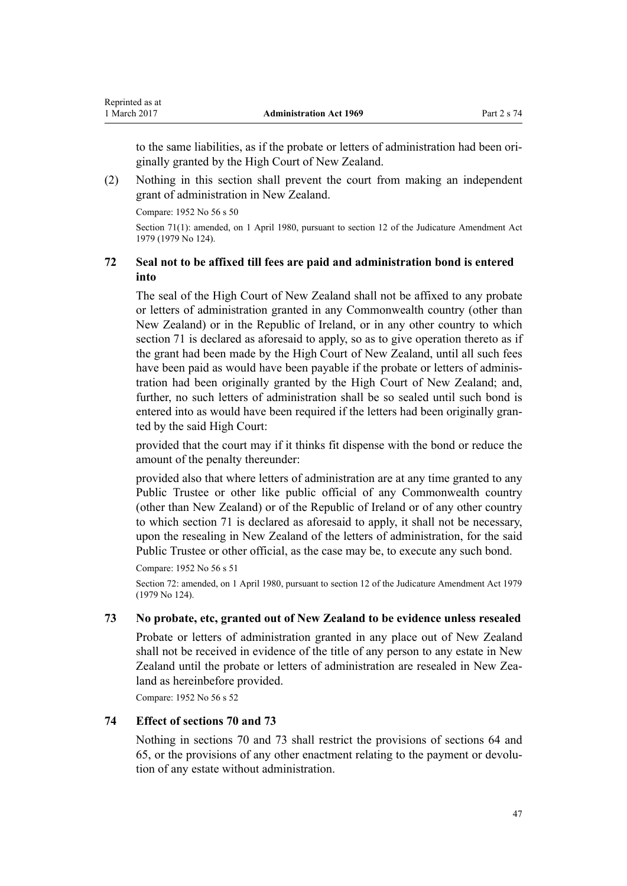<span id="page-46-0"></span>to the same liabilities, as if the probate or letters of administration had been originally granted by the High Court of New Zealand.

(2) Nothing in this section shall prevent the court from making an independent grant of administration in New Zealand.

Compare: 1952 No 56 s 50

Section 71(1): amended, on 1 April 1980, pursuant to [section 12](http://prd-lgnz-nlb.prd.pco.net.nz/pdflink.aspx?id=DLM35049) of the Judicature Amendment Act 1979 (1979 No 124).

# **72 Seal not to be affixed till fees are paid and administration bond is entered into**

The seal of the High Court of New Zealand shall not be affixed to any probate or letters of administration granted in any Commonwealth country (other than New Zealand) or in the Republic of Ireland, or in any other country to which [section 71](#page-45-0) is declared as aforesaid to apply, so as to give operation thereto as if the grant had been made by the High Court of New Zealand, until all such fees have been paid as would have been payable if the probate or letters of administration had been originally granted by the High Court of New Zealand; and, further, no such letters of administration shall be so sealed until such bond is entered into as would have been required if the letters had been originally granted by the said High Court:

provided that the court may if it thinks fit dispense with the bond or reduce the amount of the penalty thereunder:

provided also that where letters of administration are at any time granted to any Public Trustee or other like public official of any Commonwealth country (other than New Zealand) or of the Republic of Ireland or of any other country to which [section 71](#page-45-0) is declared as aforesaid to apply, it shall not be necessary, upon the resealing in New Zealand of the letters of administration, for the said Public Trustee or other official, as the case may be, to execute any such bond.

Compare: 1952 No 56 s 51

Section 72: amended, on 1 April 1980, pursuant to [section 12](http://prd-lgnz-nlb.prd.pco.net.nz/pdflink.aspx?id=DLM35049) of the Judicature Amendment Act 1979 (1979 No 124).

# **73 No probate, etc, granted out of New Zealand to be evidence unless resealed**

Probate or letters of administration granted in any place out of New Zealand shall not be received in evidence of the title of any person to any estate in New Zealand until the probate or letters of administration are resealed in New Zealand as hereinbefore provided.

Compare: 1952 No 56 s 52

# **74 Effect of sections 70 and 73**

Nothing in [sections 70](#page-45-0) and 73 shall restrict the provisions of [sections 64](#page-37-0) and [65,](#page-39-0) or the provisions of any other enactment relating to the payment or devolution of any estate without administration.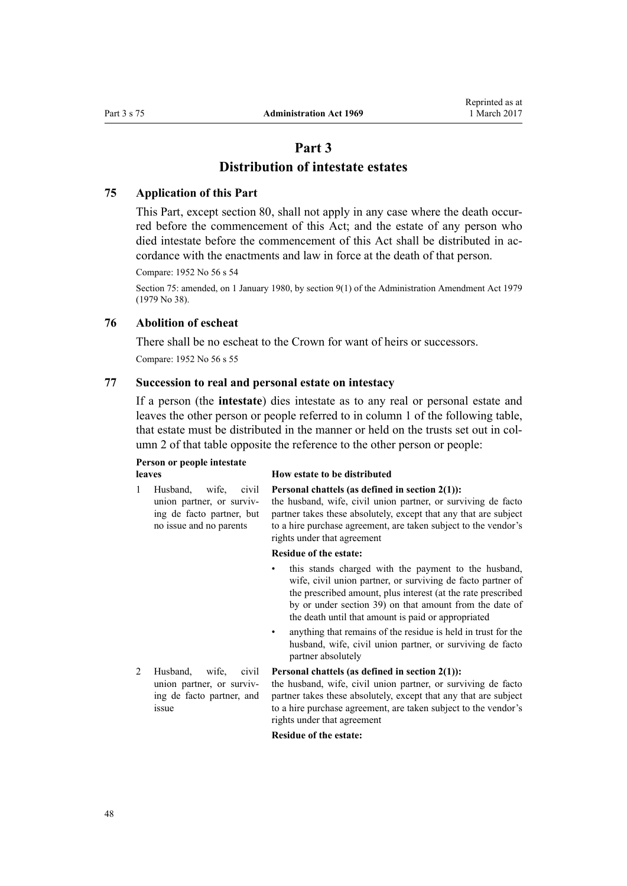# **Part 3 Distribution of intestate estates**

# <span id="page-47-0"></span>**75 Application of this Part**

This Part, except [section 80,](#page-54-0) shall not apply in any case where the death occurred before the commencement of this Act; and the estate of any person who died intestate before the commencement of this Act shall be distributed in accordance with the enactments and law in force at the death of that person.

Compare: 1952 No 56 s 54

Section 75: amended, on 1 January 1980, by [section 9\(1\)](http://prd-lgnz-nlb.prd.pco.net.nz/pdflink.aspx?id=DLM32823) of the Administration Amendment Act 1979 (1979 No 38).

# **76 Abolition of escheat**

There shall be no escheat to the Crown for want of heirs or successors.

Compare: 1952 No 56 s 55

# **77 Succession to real and personal estate on intestacy**

If a person (the **intestate**) dies intestate as to any real or personal estate and leaves the other person or people referred to in column 1 of the following table, that estate must be distributed in the manner or held on the trusts set out in column 2 of that table opposite the reference to the other person or people:

# **Person or people intestate**

ing de facto partner, but no issue and no parents

#### **leaves How estate to be distributed**

1 Husband, wife, civil union partner, or surviv-**Personal chattels (as defined in [section 2\(1\)](#page-5-0)):**

the husband, wife, civil union partner, or surviving de facto partner takes these absolutely, except that any that are subject to a hire purchase agreement, are taken subject to the vendor's rights under that agreement

#### **Residue of the estate:**

- this stands charged with the payment to the husband, wife, civil union partner, or surviving de facto partner of the prescribed amount, plus interest (at the rate prescribed by or under [section 39\)](#page-24-0) on that amount from the date of the death until that amount is paid or appropriated
- anything that remains of the residue is held in trust for the husband, wife, civil union partner, or surviving de facto partner absolutely
- 2 Husband, wife, civil union partner, or surviving de facto partner, and issue

#### **Personal chattels (as defined in [section 2\(1\)](#page-5-0)):**

the husband, wife, civil union partner, or surviving de facto partner takes these absolutely, except that any that are subject to a hire purchase agreement, are taken subject to the vendor's rights under that agreement

#### **Residue of the estate:**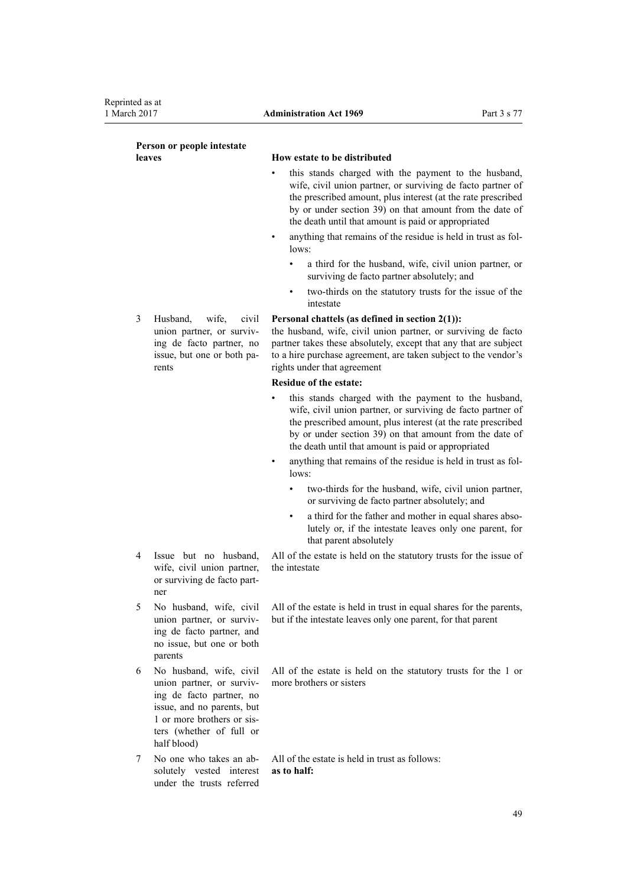| Person or people intestate |                                                                                                                                                                                         |                                                                                                                                                                                                                                                                                                                                                                                 |  |
|----------------------------|-----------------------------------------------------------------------------------------------------------------------------------------------------------------------------------------|---------------------------------------------------------------------------------------------------------------------------------------------------------------------------------------------------------------------------------------------------------------------------------------------------------------------------------------------------------------------------------|--|
|                            | leaves                                                                                                                                                                                  | How estate to be distributed                                                                                                                                                                                                                                                                                                                                                    |  |
|                            |                                                                                                                                                                                         | this stands charged with the payment to the husband,<br>wife, civil union partner, or surviving de facto partner of<br>the prescribed amount, plus interest (at the rate prescribed<br>by or under section 39) on that amount from the date of<br>the death until that amount is paid or appropriated                                                                           |  |
|                            |                                                                                                                                                                                         | anything that remains of the residue is held in trust as fol-<br>٠<br>lows:                                                                                                                                                                                                                                                                                                     |  |
|                            |                                                                                                                                                                                         | a third for the husband, wife, civil union partner, or<br>$\bullet$<br>surviving de facto partner absolutely; and                                                                                                                                                                                                                                                               |  |
|                            |                                                                                                                                                                                         | two-thirds on the statutory trusts for the issue of the<br>٠<br>intestate                                                                                                                                                                                                                                                                                                       |  |
| 3                          | wife,<br>Husband,<br>civil<br>union partner, or surviv-<br>ing de facto partner, no<br>issue, but one or both pa-<br>rents                                                              | Personal chattels (as defined in section $2(1)$ ):<br>the husband, wife, civil union partner, or surviving de facto<br>partner takes these absolutely, except that any that are subject<br>to a hire purchase agreement, are taken subject to the vendor's<br>rights under that agreement                                                                                       |  |
|                            |                                                                                                                                                                                         | Residue of the estate:                                                                                                                                                                                                                                                                                                                                                          |  |
|                            |                                                                                                                                                                                         | this stands charged with the payment to the husband,<br>wife, civil union partner, or surviving de facto partner of<br>the prescribed amount, plus interest (at the rate prescribed<br>by or under section 39) on that amount from the date of<br>the death until that amount is paid or appropriated<br>anything that remains of the residue is held in trust as fol-<br>lows: |  |
|                            |                                                                                                                                                                                         | two-thirds for the husband, wife, civil union partner,<br>$\bullet$<br>or surviving de facto partner absolutely; and                                                                                                                                                                                                                                                            |  |
|                            |                                                                                                                                                                                         | a third for the father and mother in equal shares abso-<br>$\bullet$<br>lutely or, if the intestate leaves only one parent, for<br>that parent absolutely                                                                                                                                                                                                                       |  |
| 4                          | Issue but no husband,<br>wife, civil union partner,<br>or surviving de facto part-<br>ner                                                                                               | All of the estate is held on the statutory trusts for the issue of<br>the intestate                                                                                                                                                                                                                                                                                             |  |
| 5                          | No husband, wife, civil<br>union partner, or surviv-<br>ing de facto partner, and<br>no issue, but one or both<br>parents                                                               | All of the estate is held in trust in equal shares for the parents,<br>but if the intestate leaves only one parent, for that parent                                                                                                                                                                                                                                             |  |
| 6                          | No husband, wife, civil<br>union partner, or surviv-<br>ing de facto partner, no<br>issue, and no parents, but<br>1 or more brothers or sis-<br>ters (whether of full or<br>half blood) | All of the estate is held on the statutory trusts for the 1 or<br>more brothers or sisters                                                                                                                                                                                                                                                                                      |  |
| 7                          | No one who takes an ab-<br>solutely vested interest<br>under the trusts referred                                                                                                        | All of the estate is held in trust as follows:<br>as to half:                                                                                                                                                                                                                                                                                                                   |  |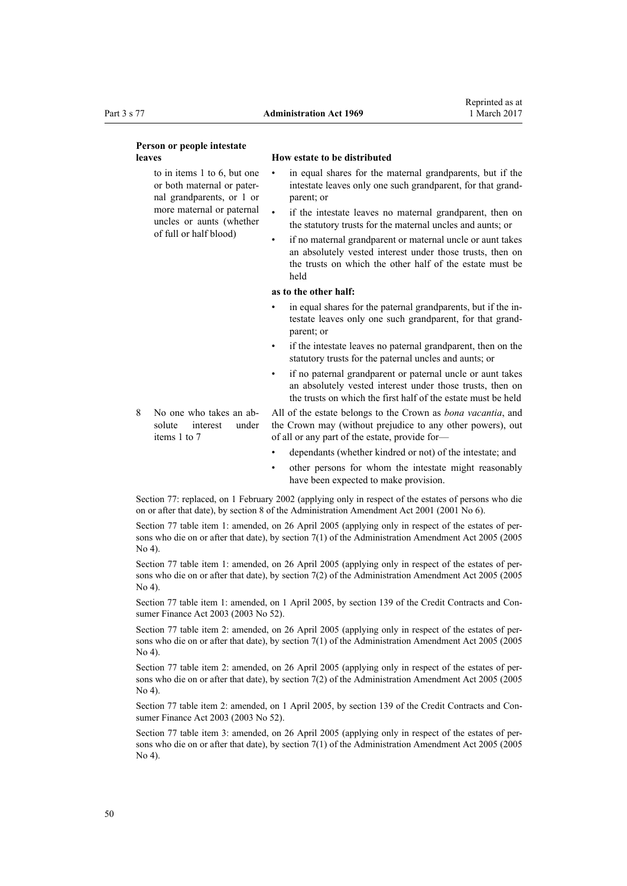#### **Person or people intestate leaves How estate to be distributed**

to in items 1 to 6, but one or both maternal or paternal grandparents, or 1 or more maternal or paternal uncles or aunts (whether of full or half blood)

- in equal shares for the maternal grandparents, but if the intestate leaves only one such grandparent, for that grandparent; or
- if the intestate leaves no maternal grandparent, then on the statutory trusts for the maternal uncles and aunts; or
- if no maternal grandparent or maternal uncle or aunt takes an absolutely vested interest under those trusts, then on the trusts on which the other half of the estate must be held

#### **as to the other half:**

- in equal shares for the paternal grandparents, but if the intestate leaves only one such grandparent, for that grandparent; or
- if the intestate leaves no paternal grandparent, then on the statutory trusts for the paternal uncles and aunts; or
- if no paternal grandparent or paternal uncle or aunt takes an absolutely vested interest under those trusts, then on the trusts on which the first half of the estate must be held
- 8 No one who takes an absolute interest under items 1 to 7 All of the estate belongs to the Crown as *bona vacantia*, and the Crown may (without prejudice to any other powers), out of all or any part of the estate, provide for
	- dependants (whether kindred or not) of the intestate; and
	- other persons for whom the intestate might reasonably have been expected to make provision.

Section 77: replaced, on 1 February 2002 (applying only in respect of the estates of persons who die on or after that date), by [section 8](http://prd-lgnz-nlb.prd.pco.net.nz/pdflink.aspx?id=DLM88129) of the Administration Amendment Act 2001 (2001 No 6).

Section 77 table item 1: amended, on 26 April 2005 (applying only in respect of the estates of persons who die on or after that date), by [section 7\(1\)](http://prd-lgnz-nlb.prd.pco.net.nz/pdflink.aspx?id=DLM334752) of the Administration Amendment Act 2005 (2005 No 4).

Section 77 table item 1: amended, on 26 April 2005 (applying only in respect of the estates of persons who die on or after that date), by [section 7\(2\)](http://prd-lgnz-nlb.prd.pco.net.nz/pdflink.aspx?id=DLM334752) of the Administration Amendment Act 2005 (2005 No 4).

Section 77 table item 1: amended, on 1 April 2005, by [section 139](http://prd-lgnz-nlb.prd.pco.net.nz/pdflink.aspx?id=DLM213532) of the Credit Contracts and Consumer Finance Act 2003 (2003 No 52).

Section 77 table item 2: amended, on 26 April 2005 (applying only in respect of the estates of persons who die on or after that date), by [section 7\(1\)](http://prd-lgnz-nlb.prd.pco.net.nz/pdflink.aspx?id=DLM334752) of the Administration Amendment Act 2005 (2005 No 4).

Section 77 table item 2: amended, on 26 April 2005 (applying only in respect of the estates of persons who die on or after that date), by [section 7\(2\)](http://prd-lgnz-nlb.prd.pco.net.nz/pdflink.aspx?id=DLM334752) of the Administration Amendment Act 2005 (2005 No 4).

Section 77 table item 2: amended, on 1 April 2005, by [section 139](http://prd-lgnz-nlb.prd.pco.net.nz/pdflink.aspx?id=DLM213532) of the Credit Contracts and Consumer Finance Act 2003 (2003 No 52).

Section 77 table item 3: amended, on 26 April 2005 (applying only in respect of the estates of persons who die on or after that date), by [section 7\(1\)](http://prd-lgnz-nlb.prd.pco.net.nz/pdflink.aspx?id=DLM334752) of the Administration Amendment Act 2005 (2005 No 4).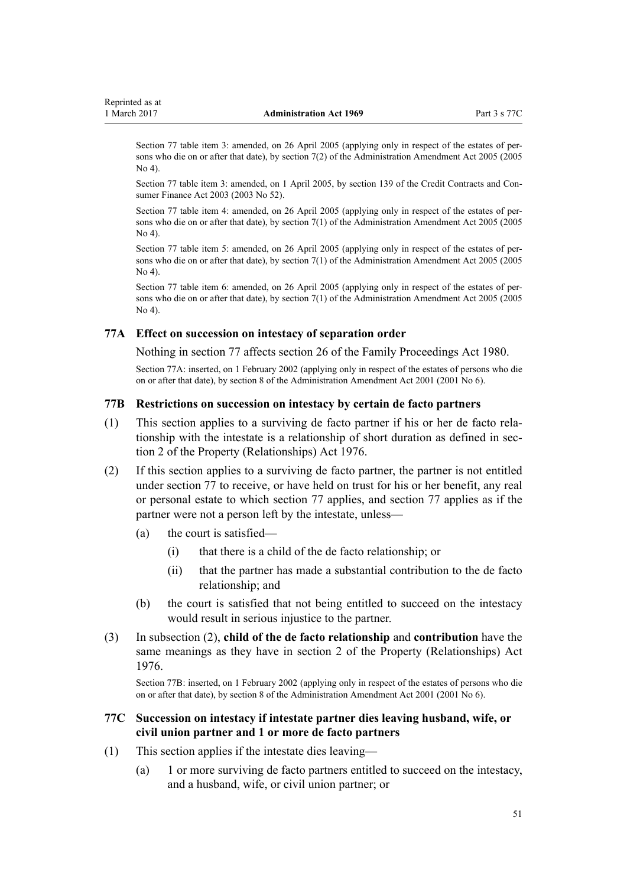<span id="page-50-0"></span>Section 77 table item 3: amended, on 26 April 2005 (applying only in respect of the estates of persons who die on or after that date), by [section 7\(2\)](http://prd-lgnz-nlb.prd.pco.net.nz/pdflink.aspx?id=DLM334752) of the Administration Amendment Act 2005 (2005 No 4).

Section 77 table item 3: amended, on 1 April 2005, by [section 139](http://prd-lgnz-nlb.prd.pco.net.nz/pdflink.aspx?id=DLM213532) of the Credit Contracts and Consumer Finance Act 2003 (2003 No 52).

Section 77 table item 4: amended, on 26 April 2005 (applying only in respect of the estates of persons who die on or after that date), by [section 7\(1\)](http://prd-lgnz-nlb.prd.pco.net.nz/pdflink.aspx?id=DLM334752) of the Administration Amendment Act 2005 (2005 No 4).

Section 77 table item 5: amended, on 26 April 2005 (applying only in respect of the estates of persons who die on or after that date), by [section 7\(1\)](http://prd-lgnz-nlb.prd.pco.net.nz/pdflink.aspx?id=DLM334752) of the Administration Amendment Act 2005 (2005 No 4).

Section 77 table item 6: amended, on 26 April 2005 (applying only in respect of the estates of persons who die on or after that date), by [section 7\(1\)](http://prd-lgnz-nlb.prd.pco.net.nz/pdflink.aspx?id=DLM334752) of the Administration Amendment Act 2005 (2005 No 4).

### **77A Effect on succession on intestacy of separation order**

Nothing in [section 77](#page-47-0) affects [section 26](http://prd-lgnz-nlb.prd.pco.net.nz/pdflink.aspx?id=DLM40256) of the Family Proceedings Act 1980.

Section 77A: inserted, on 1 February 2002 (applying only in respect of the estates of persons who die on or after that date), by [section 8](http://prd-lgnz-nlb.prd.pco.net.nz/pdflink.aspx?id=DLM88129) of the Administration Amendment Act 2001 (2001 No 6).

### **77B Restrictions on succession on intestacy by certain de facto partners**

- (1) This section applies to a surviving de facto partner if his or her de facto relationship with the intestate is a relationship of short duration as defined in [sec](http://prd-lgnz-nlb.prd.pco.net.nz/pdflink.aspx?id=DLM441012)[tion 2](http://prd-lgnz-nlb.prd.pco.net.nz/pdflink.aspx?id=DLM441012) of the Property (Relationships) Act 1976.
- (2) If this section applies to a surviving de facto partner, the partner is not entitled under [section 77](#page-47-0) to receive, or have held on trust for his or her benefit, any real or personal estate to which section 77 applies, and section 77 applies as if the partner were not a person left by the intestate, unless—
	- (a) the court is satisfied—
		- (i) that there is a child of the de facto relationship; or
		- (ii) that the partner has made a substantial contribution to the de facto relationship; and
	- (b) the court is satisfied that not being entitled to succeed on the intestacy would result in serious injustice to the partner.
- (3) In subsection (2), **child of the de facto relationship** and **contribution** have the same meanings as they have in [section 2](http://prd-lgnz-nlb.prd.pco.net.nz/pdflink.aspx?id=DLM441012) of the Property (Relationships) Act 1976.

Section 77B: inserted, on 1 February 2002 (applying only in respect of the estates of persons who die on or after that date), by [section 8](http://prd-lgnz-nlb.prd.pco.net.nz/pdflink.aspx?id=DLM88129) of the Administration Amendment Act 2001 (2001 No 6).

# **77C Succession on intestacy if intestate partner dies leaving husband, wife, or civil union partner and 1 or more de facto partners**

- (1) This section applies if the intestate dies leaving—
	- (a) 1 or more surviving de facto partners entitled to succeed on the intestacy, and a husband, wife, or civil union partner; or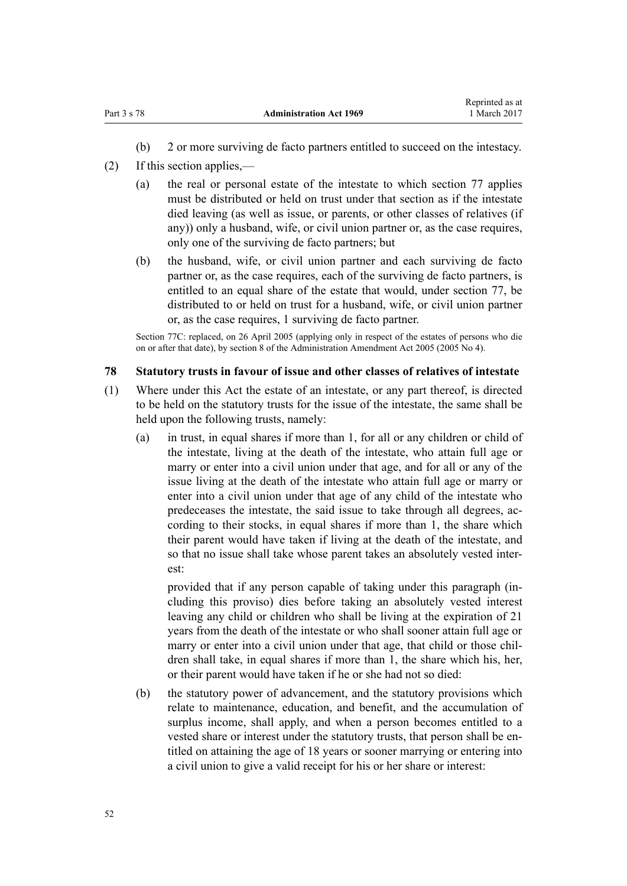- (b) 2 or more surviving de facto partners entitled to succeed on the intestacy.
- <span id="page-51-0"></span>(2) If this section applies,—
	- (a) the real or personal estate of the intestate to which [section 77](#page-47-0) applies must be distributed or held on trust under that section as if the intestate died leaving (as well as issue, or parents, or other classes of relatives (if any)) only a husband, wife, or civil union partner or, as the case requires, only one of the surviving de facto partners; but
	- (b) the husband, wife, or civil union partner and each surviving de facto partner or, as the case requires, each of the surviving de facto partners, is entitled to an equal share of the estate that would, under [section 77](#page-47-0), be distributed to or held on trust for a husband, wife, or civil union partner or, as the case requires, 1 surviving de facto partner.

Section 77C: replaced, on 26 April 2005 (applying only in respect of the estates of persons who die on or after that date), by [section 8](http://prd-lgnz-nlb.prd.pco.net.nz/pdflink.aspx?id=DLM334753) of the Administration Amendment Act 2005 (2005 No 4).

# **78 Statutory trusts in favour of issue and other classes of relatives of intestate**

- (1) Where under this Act the estate of an intestate, or any part thereof, is directed to be held on the statutory trusts for the issue of the intestate, the same shall be held upon the following trusts, namely:
	- (a) in trust, in equal shares if more than 1, for all or any children or child of the intestate, living at the death of the intestate, who attain full age or marry or enter into a civil union under that age, and for all or any of the issue living at the death of the intestate who attain full age or marry or enter into a civil union under that age of any child of the intestate who predeceases the intestate, the said issue to take through all degrees, according to their stocks, in equal shares if more than 1, the share which their parent would have taken if living at the death of the intestate, and so that no issue shall take whose parent takes an absolutely vested interest:

provided that if any person capable of taking under this paragraph (including this proviso) dies before taking an absolutely vested interest leaving any child or children who shall be living at the expiration of 21 years from the death of the intestate or who shall sooner attain full age or marry or enter into a civil union under that age, that child or those children shall take, in equal shares if more than 1, the share which his, her, or their parent would have taken if he or she had not so died:

(b) the statutory power of advancement, and the statutory provisions which relate to maintenance, education, and benefit, and the accumulation of surplus income, shall apply, and when a person becomes entitled to a vested share or interest under the statutory trusts, that person shall be entitled on attaining the age of 18 years or sooner marrying or entering into a civil union to give a valid receipt for his or her share or interest: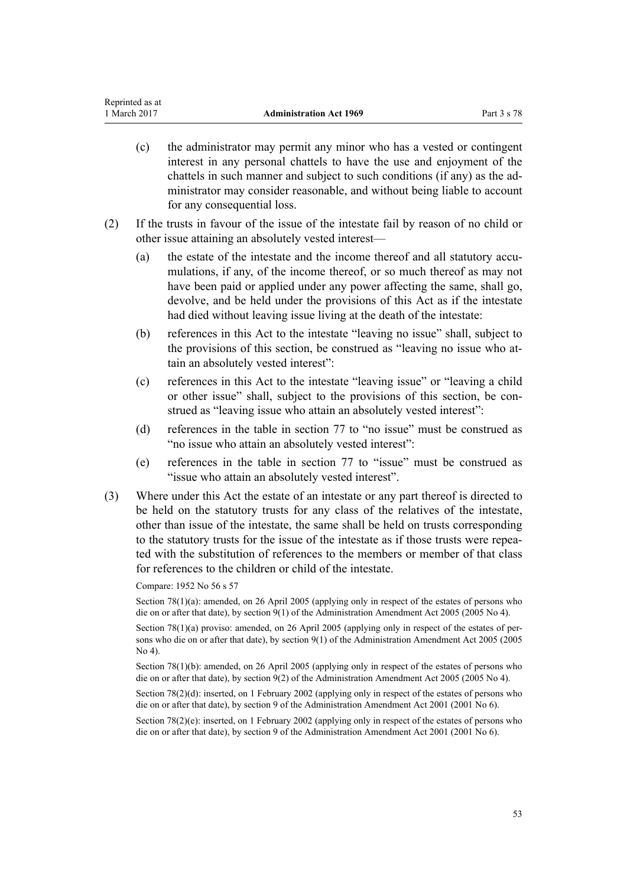- (c) the administrator may permit any minor who has a vested or contingent interest in any personal chattels to have the use and enjoyment of the chattels in such manner and subject to such conditions (if any) as the administrator may consider reasonable, and without being liable to account for any consequential loss.
- (2) If the trusts in favour of the issue of the intestate fail by reason of no child or other issue attaining an absolutely vested interest—
	- (a) the estate of the intestate and the income thereof and all statutory accumulations, if any, of the income thereof, or so much thereof as may not have been paid or applied under any power affecting the same, shall go, devolve, and be held under the provisions of this Act as if the intestate had died without leaving issue living at the death of the intestate:
	- (b) references in this Act to the intestate "leaving no issue" shall, subject to the provisions of this section, be construed as "leaving no issue who attain an absolutely vested interest":
	- (c) references in this Act to the intestate "leaving issue" or "leaving a child or other issue" shall, subject to the provisions of this section, be construed as "leaving issue who attain an absolutely vested interest":
	- (d) references in the table in [section 77](#page-47-0) to "no issue" must be construed as "no issue who attain an absolutely vested interest":
	- (e) references in the table in [section 77](#page-47-0) to "issue" must be construed as "issue who attain an absolutely vested interest".
- (3) Where under this Act the estate of an intestate or any part thereof is directed to be held on the statutory trusts for any class of the relatives of the intestate, other than issue of the intestate, the same shall be held on trusts corresponding to the statutory trusts for the issue of the intestate as if those trusts were repeated with the substitution of references to the members or member of that class for references to the children or child of the intestate.

Compare: 1952 No 56 s 57

Section 78(1)(a): amended, on 26 April 2005 (applying only in respect of the estates of persons who die on or after that date), by [section 9\(1\)](http://prd-lgnz-nlb.prd.pco.net.nz/pdflink.aspx?id=DLM334755) of the Administration Amendment Act 2005 (2005 No 4).

Section 78(1)(a) proviso: amended, on 26 April 2005 (applying only in respect of the estates of persons who die on or after that date), by [section 9\(1\)](http://prd-lgnz-nlb.prd.pco.net.nz/pdflink.aspx?id=DLM334755) of the Administration Amendment Act 2005 (2005 No 4).

Section 78(1)(b): amended, on 26 April 2005 (applying only in respect of the estates of persons who die on or after that date), by [section 9\(2\)](http://prd-lgnz-nlb.prd.pco.net.nz/pdflink.aspx?id=DLM334755) of the Administration Amendment Act 2005 (2005 No 4).

Section 78(2)(d): inserted, on 1 February 2002 (applying only in respect of the estates of persons who die on or after that date), by [section 9](http://prd-lgnz-nlb.prd.pco.net.nz/pdflink.aspx?id=DLM88136) of the Administration Amendment Act 2001 (2001 No 6).

Section 78(2)(e): inserted, on 1 February 2002 (applying only in respect of the estates of persons who die on or after that date), by [section 9](http://prd-lgnz-nlb.prd.pco.net.nz/pdflink.aspx?id=DLM88136) of the Administration Amendment Act 2001 (2001 No 6).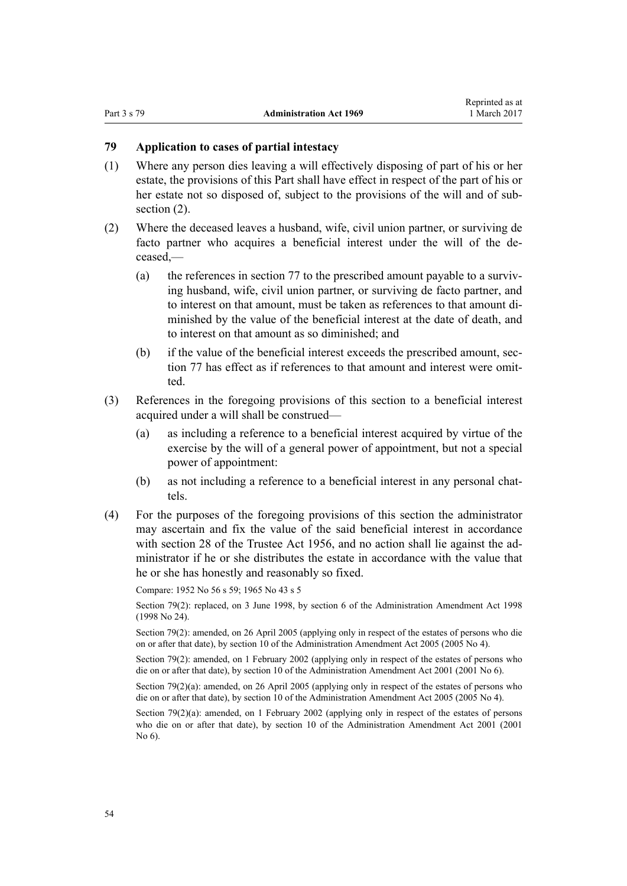# <span id="page-53-0"></span>**79 Application to cases of partial intestacy**

- (1) Where any person dies leaving a will effectively disposing of part of his or her estate, the provisions of this Part shall have effect in respect of the part of his or her estate not so disposed of, subject to the provisions of the will and of subsection  $(2)$ .
- (2) Where the deceased leaves a husband, wife, civil union partner, or surviving de facto partner who acquires a beneficial interest under the will of the deceased,—
	- (a) the references in [section 77](#page-47-0) to the prescribed amount payable to a surviving husband, wife, civil union partner, or surviving de facto partner, and to interest on that amount, must be taken as references to that amount diminished by the value of the beneficial interest at the date of death, and to interest on that amount as so diminished; and
	- (b) if the value of the beneficial interest exceeds the prescribed amount, [sec](#page-47-0)[tion 77](#page-47-0) has effect as if references to that amount and interest were omitted.
- (3) References in the foregoing provisions of this section to a beneficial interest acquired under a will shall be construed—
	- (a) as including a reference to a beneficial interest acquired by virtue of the exercise by the will of a general power of appointment, but not a special power of appointment:
	- (b) as not including a reference to a beneficial interest in any personal chattels.
- (4) For the purposes of the foregoing provisions of this section the administrator may ascertain and fix the value of the said beneficial interest in accordance with [section 28](http://prd-lgnz-nlb.prd.pco.net.nz/pdflink.aspx?id=DLM305237) of the Trustee Act 1956, and no action shall lie against the administrator if he or she distributes the estate in accordance with the value that he or she has honestly and reasonably so fixed.

Compare: 1952 No 56 s 59; 1965 No 43 s 5

Section 79(2): replaced, on 3 June 1998, by [section 6](http://prd-lgnz-nlb.prd.pco.net.nz/pdflink.aspx?id=DLM426213) of the Administration Amendment Act 1998 (1998 No 24).

Section 79(2): amended, on 26 April 2005 (applying only in respect of the estates of persons who die on or after that date), by [section 10](http://prd-lgnz-nlb.prd.pco.net.nz/pdflink.aspx?id=DLM334756) of the Administration Amendment Act 2005 (2005 No 4).

Section 79(2): amended, on 1 February 2002 (applying only in respect of the estates of persons who die on or after that date), by [section 10](http://prd-lgnz-nlb.prd.pco.net.nz/pdflink.aspx?id=DLM88137) of the Administration Amendment Act 2001 (2001 No 6).

Section 79(2)(a): amended, on 26 April 2005 (applying only in respect of the estates of persons who die on or after that date), by [section 10](http://prd-lgnz-nlb.prd.pco.net.nz/pdflink.aspx?id=DLM334756) of the Administration Amendment Act 2005 (2005 No 4).

Section 79(2)(a): amended, on 1 February 2002 (applying only in respect of the estates of persons who die on or after that date), by [section 10](http://prd-lgnz-nlb.prd.pco.net.nz/pdflink.aspx?id=DLM88137) of the Administration Amendment Act 2001 (2001  $N<sub>0</sub>$  6).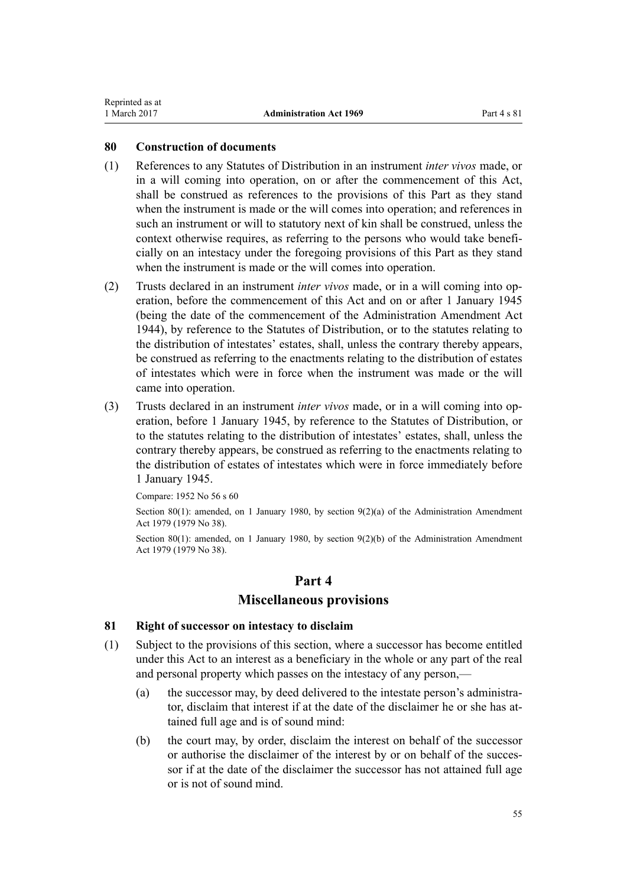# <span id="page-54-0"></span>**80 Construction of documents**

- (1) References to any Statutes of Distribution in an instrument *inter vivos* made, or in a will coming into operation, on or after the commencement of this Act, shall be construed as references to the provisions of this Part as they stand when the instrument is made or the will comes into operation; and references in such an instrument or will to statutory next of kin shall be construed, unless the context otherwise requires, as referring to the persons who would take beneficially on an intestacy under the foregoing provisions of this Part as they stand when the instrument is made or the will comes into operation.
- (2) Trusts declared in an instrument *inter vivos* made, or in a will coming into operation, before the commencement of this Act and on or after 1 January 1945 (being the date of the commencement of the Administration Amendment Act 1944), by reference to the Statutes of Distribution, or to the statutes relating to the distribution of intestates' estates, shall, unless the contrary thereby appears, be construed as referring to the enactments relating to the distribution of estates of intestates which were in force when the instrument was made or the will came into operation.
- (3) Trusts declared in an instrument *inter vivos* made, or in a will coming into operation, before 1 January 1945, by reference to the Statutes of Distribution, or to the statutes relating to the distribution of intestates' estates, shall, unless the contrary thereby appears, be construed as referring to the enactments relating to the distribution of estates of intestates which were in force immediately before 1 January 1945.

Compare: 1952 No 56 s 60

Section 80(1): amended, on 1 January 1980, by [section 9\(2\)\(a\)](http://prd-lgnz-nlb.prd.pco.net.nz/pdflink.aspx?id=DLM32823) of the Administration Amendment Act 1979 (1979 No 38).

Section 80(1): amended, on 1 January 1980, by [section 9\(2\)\(b\)](http://prd-lgnz-nlb.prd.pco.net.nz/pdflink.aspx?id=DLM32823) of the Administration Amendment Act 1979 (1979 No 38).

# **Part 4**

# **Miscellaneous provisions**

# **81 Right of successor on intestacy to disclaim**

- (1) Subject to the provisions of this section, where a successor has become entitled under this Act to an interest as a beneficiary in the whole or any part of the real and personal property which passes on the intestacy of any person,—
	- (a) the successor may, by deed delivered to the intestate person's administrator, disclaim that interest if at the date of the disclaimer he or she has attained full age and is of sound mind:
	- (b) the court may, by order, disclaim the interest on behalf of the successor or authorise the disclaimer of the interest by or on behalf of the successor if at the date of the disclaimer the successor has not attained full age or is not of sound mind.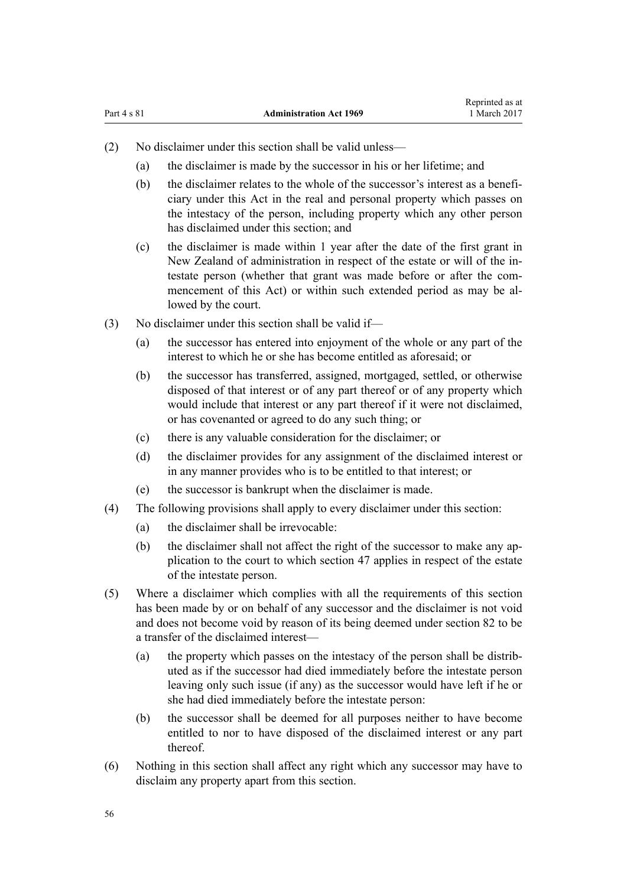- (2) No disclaimer under this section shall be valid unless—
	- (a) the disclaimer is made by the successor in his or her lifetime; and
	- (b) the disclaimer relates to the whole of the successor's interest as a beneficiary under this Act in the real and personal property which passes on the intestacy of the person, including property which any other person has disclaimed under this section; and
	- (c) the disclaimer is made within 1 year after the date of the first grant in New Zealand of administration in respect of the estate or will of the intestate person (whether that grant was made before or after the commencement of this Act) or within such extended period as may be allowed by the court.
- (3) No disclaimer under this section shall be valid if—
	- (a) the successor has entered into enjoyment of the whole or any part of the interest to which he or she has become entitled as aforesaid; or
	- (b) the successor has transferred, assigned, mortgaged, settled, or otherwise disposed of that interest or of any part thereof or of any property which would include that interest or any part thereof if it were not disclaimed, or has covenanted or agreed to do any such thing; or
	- (c) there is any valuable consideration for the disclaimer; or
	- (d) the disclaimer provides for any assignment of the disclaimed interest or in any manner provides who is to be entitled to that interest; or
	- (e) the successor is bankrupt when the disclaimer is made.
- (4) The following provisions shall apply to every disclaimer under this section:
	- (a) the disclaimer shall be irrevocable:
	- (b) the disclaimer shall not affect the right of the successor to make any application to the court to which [section 47](#page-26-0) applies in respect of the estate of the intestate person.
- (5) Where a disclaimer which complies with all the requirements of this section has been made by or on behalf of any successor and the disclaimer is not void and does not become void by reason of its being deemed under [section 82](#page-56-0) to be a transfer of the disclaimed interest—
	- (a) the property which passes on the intestacy of the person shall be distributed as if the successor had died immediately before the intestate person leaving only such issue (if any) as the successor would have left if he or she had died immediately before the intestate person:
	- (b) the successor shall be deemed for all purposes neither to have become entitled to nor to have disposed of the disclaimed interest or any part thereof.
- (6) Nothing in this section shall affect any right which any successor may have to disclaim any property apart from this section.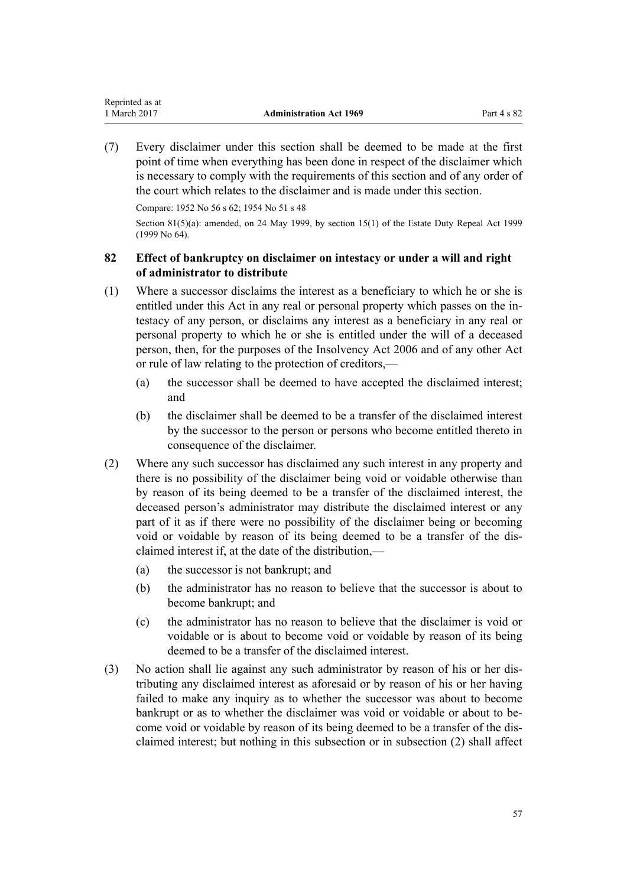<span id="page-56-0"></span>(7) Every disclaimer under this section shall be deemed to be made at the first point of time when everything has been done in respect of the disclaimer which is necessary to comply with the requirements of this section and of any order of the court which relates to the disclaimer and is made under this section.

Compare: 1952 No 56 s 62; 1954 No 51 s 48

Section 81(5)(a): amended, on 24 May 1999, by [section 15\(1\)](http://prd-lgnz-nlb.prd.pco.net.nz/pdflink.aspx?id=DLM30504) of the Estate Duty Repeal Act 1999 (1999 No 64).

# **82 Effect of bankruptcy on disclaimer on intestacy or under a will and right of administrator to distribute**

- (1) Where a successor disclaims the interest as a beneficiary to which he or she is entitled under this Act in any real or personal property which passes on the intestacy of any person, or disclaims any interest as a beneficiary in any real or personal property to which he or she is entitled under the will of a deceased person, then, for the purposes of the [Insolvency Act 2006](http://prd-lgnz-nlb.prd.pco.net.nz/pdflink.aspx?id=DLM385298) and of any other Act or rule of law relating to the protection of creditors,—
	- (a) the successor shall be deemed to have accepted the disclaimed interest; and
	- (b) the disclaimer shall be deemed to be a transfer of the disclaimed interest by the successor to the person or persons who become entitled thereto in consequence of the disclaimer.
- (2) Where any such successor has disclaimed any such interest in any property and there is no possibility of the disclaimer being void or voidable otherwise than by reason of its being deemed to be a transfer of the disclaimed interest, the deceased person's administrator may distribute the disclaimed interest or any part of it as if there were no possibility of the disclaimer being or becoming void or voidable by reason of its being deemed to be a transfer of the disclaimed interest if, at the date of the distribution,—
	- (a) the successor is not bankrupt; and
	- (b) the administrator has no reason to believe that the successor is about to become bankrupt; and
	- (c) the administrator has no reason to believe that the disclaimer is void or voidable or is about to become void or voidable by reason of its being deemed to be a transfer of the disclaimed interest.
- (3) No action shall lie against any such administrator by reason of his or her distributing any disclaimed interest as aforesaid or by reason of his or her having failed to make any inquiry as to whether the successor was about to become bankrupt or as to whether the disclaimer was void or voidable or about to become void or voidable by reason of its being deemed to be a transfer of the disclaimed interest; but nothing in this subsection or in subsection (2) shall affect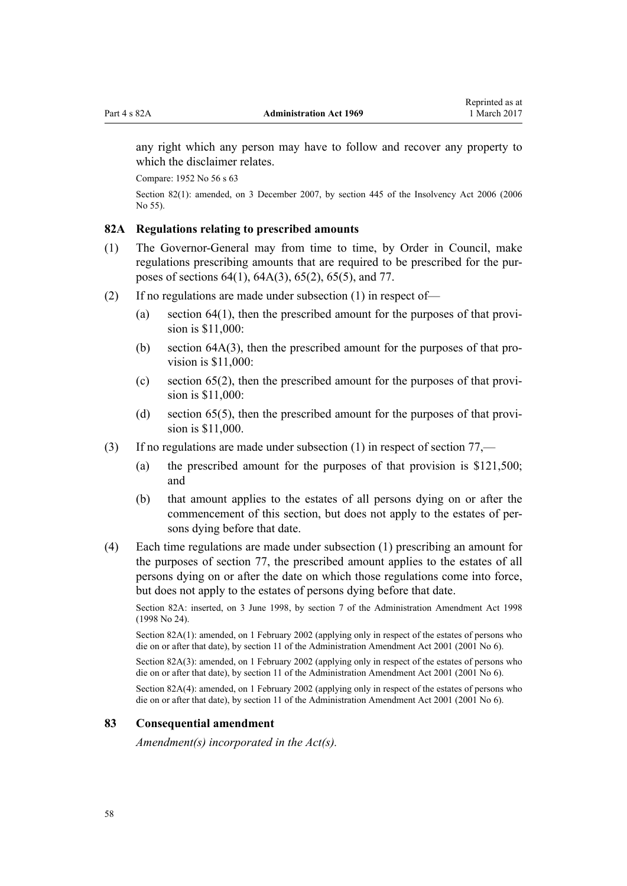<span id="page-57-0"></span>any right which any person may have to follow and recover any property to which the disclaimer relates.

Compare: 1952 No 56 s 63

Section 82(1): amended, on 3 December 2007, by [section 445](http://prd-lgnz-nlb.prd.pco.net.nz/pdflink.aspx?id=DLM387857) of the Insolvency Act 2006 (2006 No 55).

# **82A Regulations relating to prescribed amounts**

- (1) The Governor-General may from time to time, by Order in Council, make regulations prescribing amounts that are required to be prescribed for the purposes of [sections 64\(1\),](#page-37-0) [64A\(3\),](#page-38-0) [65\(2\),](#page-39-0) 65(5), and [77.](#page-47-0)
- (2) If no regulations are made under subsection (1) in respect of—
	- (a) [section 64\(1\)](#page-37-0), then the prescribed amount for the purposes of that provision is \$11,000:
	- (b) [section 64A\(3\)](#page-38-0), then the prescribed amount for the purposes of that provision is \$11,000:
	- (c) [section 65\(2\)](#page-39-0), then the prescribed amount for the purposes of that provision is \$11,000:
	- (d) [section 65\(5\)](#page-39-0), then the prescribed amount for the purposes of that provision is \$11,000.
- (3) If no regulations are made under subsection (1) in respect of [section 77](#page-47-0),—
	- (a) the prescribed amount for the purposes of that provision is \$121,500; and
	- (b) that amount applies to the estates of all persons dying on or after the commencement of this section, but does not apply to the estates of persons dying before that date.
- (4) Each time regulations are made under subsection (1) prescribing an amount for the purposes of [section 77,](#page-47-0) the prescribed amount applies to the estates of all persons dying on or after the date on which those regulations come into force, but does not apply to the estates of persons dying before that date.

Section 82A: inserted, on 3 June 1998, by [section 7](http://prd-lgnz-nlb.prd.pco.net.nz/pdflink.aspx?id=DLM426214) of the Administration Amendment Act 1998 (1998 No 24).

Section 82A(1): amended, on 1 February 2002 (applying only in respect of the estates of persons who die on or after that date), by [section 11](http://prd-lgnz-nlb.prd.pco.net.nz/pdflink.aspx?id=DLM88138) of the Administration Amendment Act 2001 (2001 No 6).

Section 82A(3): amended, on 1 February 2002 (applying only in respect of the estates of persons who die on or after that date), by [section 11](http://prd-lgnz-nlb.prd.pco.net.nz/pdflink.aspx?id=DLM88138) of the Administration Amendment Act 2001 (2001 No 6).

Section 82A(4): amended, on 1 February 2002 (applying only in respect of the estates of persons who die on or after that date), by [section 11](http://prd-lgnz-nlb.prd.pco.net.nz/pdflink.aspx?id=DLM88138) of the Administration Amendment Act 2001 (2001 No 6).

#### **83 Consequential amendment**

*Amendment(s) incorporated in the [Act\(s\).](http://prd-lgnz-nlb.prd.pco.net.nz/pdflink.aspx?id=DLM304703)*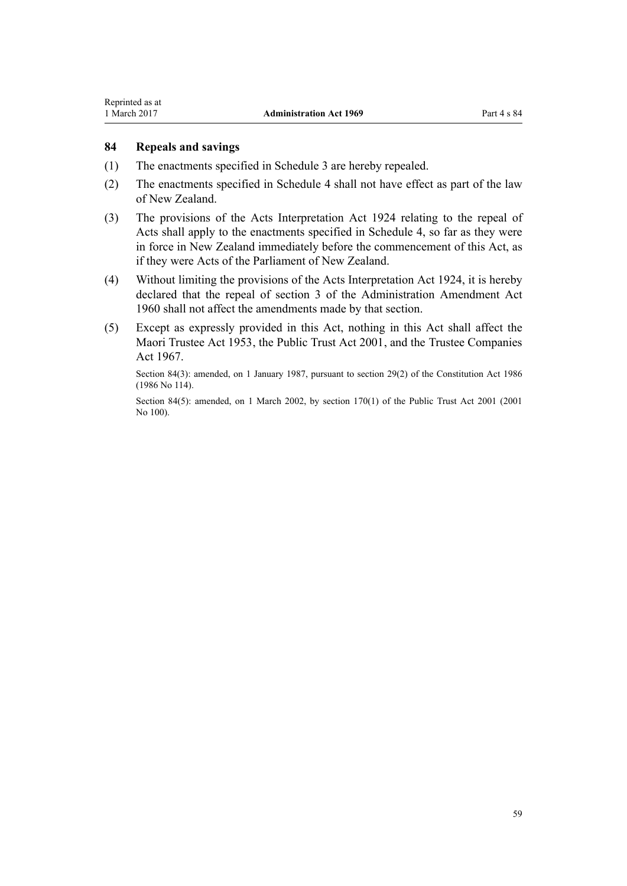<span id="page-58-0"></span>Reprinted as at

# **84 Repeals and savings**

- (1) The enactments specified in [Schedule 3](#page-61-0) are hereby repealed.
- (2) The enactments specified in [Schedule 4](#page-63-0) shall not have effect as part of the law of New Zealand.
- (3) The provisions of the Acts Interpretation Act 1924 relating to the repeal of Acts shall apply to the enactments specified in [Schedule 4](#page-63-0), so far as they were in force in New Zealand immediately before the commencement of this Act, as if they were Acts of the Parliament of New Zealand.
- (4) Without limiting the provisions of the Acts Interpretation Act 1924, it is hereby declared that the repeal of section 3 of the Administration Amendment Act 1960 shall not affect the amendments made by that section.
- (5) Except as expressly provided in this Act, nothing in this Act shall affect the [Maori Trustee Act 1953,](http://prd-lgnz-nlb.prd.pco.net.nz/pdflink.aspx?id=DLM282037) the [Public Trust Act 2001,](http://prd-lgnz-nlb.prd.pco.net.nz/pdflink.aspx?id=DLM122998) and the [Trustee Companies](http://prd-lgnz-nlb.prd.pco.net.nz/pdflink.aspx?id=DLM381179) [Act 1967.](http://prd-lgnz-nlb.prd.pco.net.nz/pdflink.aspx?id=DLM381179)

Section 84(3): amended, on 1 January 1987, pursuant to [section 29\(2\)](http://prd-lgnz-nlb.prd.pco.net.nz/pdflink.aspx?id=DLM94263) of the Constitution Act 1986 (1986 No 114).

Section 84(5): amended, on 1 March 2002, by section  $170(1)$  of the Public Trust Act 2001 (2001) No 100).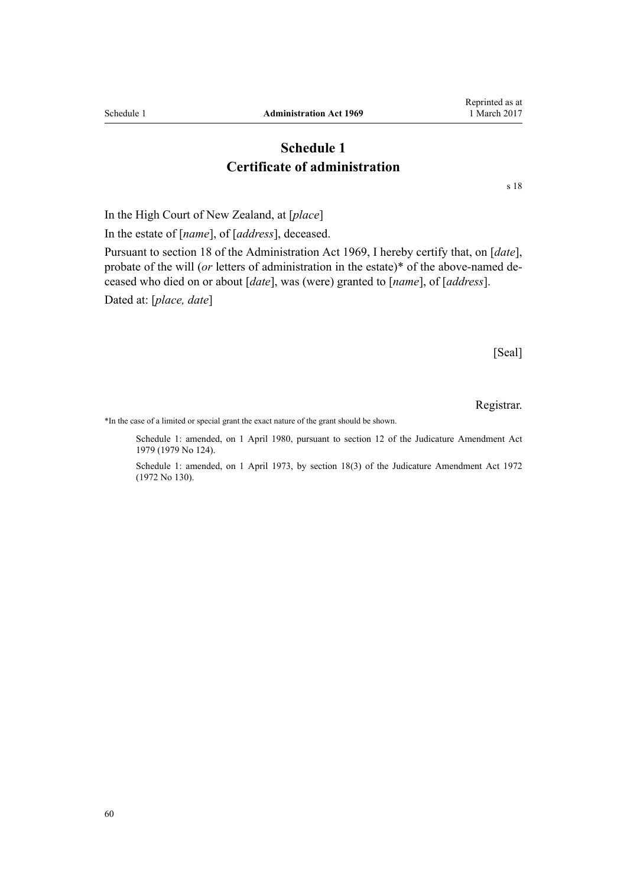In the High Court of New Zealand, at [*place*]

<span id="page-59-0"></span>**Schedule 1 Administration Act 1969** 

In the estate of [*name*], of [*address*], deceased.

Pursuant to section 18 of the Administration Act 1969, I hereby certify that, on [*date*], probate of the will (*or* letters of administration in the estate)\* of the above-named deceased who died on or about [*date*], was (were) granted to [*name*], of [*address*].

Dated at: [*place, date*]

[Seal]

Registrar.

\*In the case of a limited or special grant the exact nature of the grant should be shown.

Schedule 1: amended, on 1 April 1980, pursuant to [section 12](http://prd-lgnz-nlb.prd.pco.net.nz/pdflink.aspx?id=DLM35049) of the Judicature Amendment Act 1979 (1979 No 124).

Schedule 1: amended, on 1 April 1973, by [section 18\(3\)](http://prd-lgnz-nlb.prd.pco.net.nz/pdflink.aspx?id=DLM408384) of the Judicature Amendment Act 1972 (1972 No 130).

Reprinted as at 1 March 2017

# **Certificate of administration**

**Schedule 1**

[s 18](#page-15-0)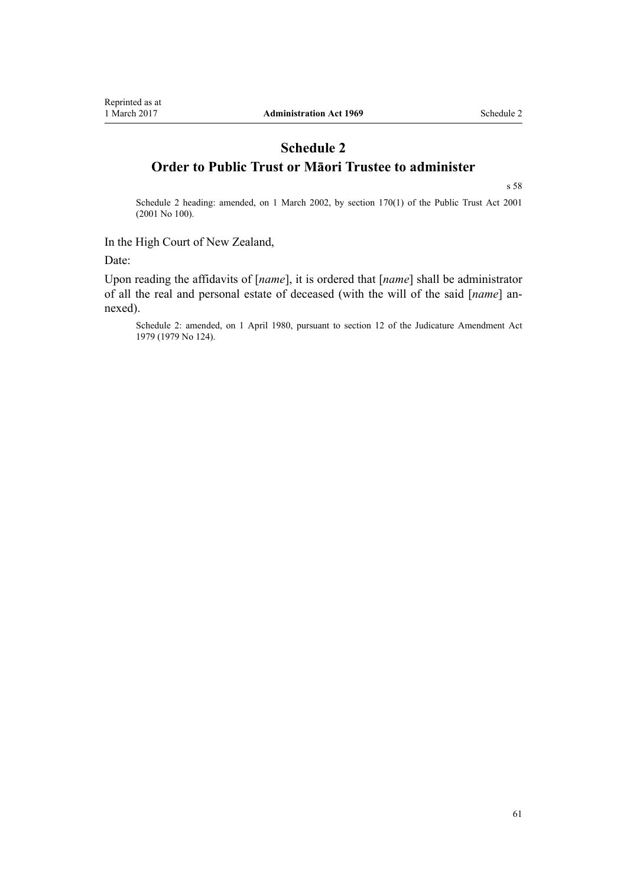# <span id="page-60-0"></span>**Schedule 2 Order to Public Trust or Māori Trustee to administer**

[s 58](#page-33-0)

Schedule 2 heading: amended, on 1 March 2002, by [section 170\(1\)](http://prd-lgnz-nlb.prd.pco.net.nz/pdflink.aspx?id=DLM124529) of the Public Trust Act 2001 (2001 No 100).

In the High Court of New Zealand,

Date:

Upon reading the affidavits of [*name*], it is ordered that [*name*] shall be administrator of all the real and personal estate of deceased (with the will of the said [*name*] annexed).

Schedule 2: amended, on 1 April 1980, pursuant to [section 12](http://prd-lgnz-nlb.prd.pco.net.nz/pdflink.aspx?id=DLM35049) of the Judicature Amendment Act 1979 (1979 No 124).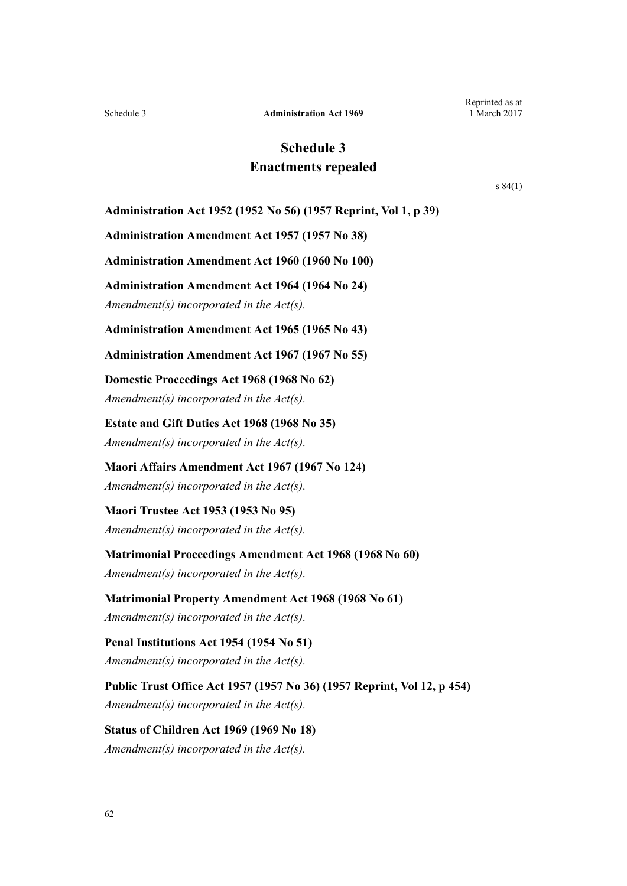# **Schedule 3 Enactments repealed**

[s 84\(1\)](#page-58-0)

<span id="page-61-0"></span>**Administration Act 1952 (1952 No 56) (1957 Reprint, Vol 1, p 39)**

**Administration Amendment Act 1957 (1957 No 38)**

**Administration Amendment Act 1960 (1960 No 100)**

**Administration Amendment Act 1964 (1964 No 24)**

*Amendment(s) incorporated in the [Act\(s\).](http://prd-lgnz-nlb.prd.pco.net.nz/pdflink.aspx?id=DLM351216)*

**Administration Amendment Act 1965 (1965 No 43)**

**Administration Amendment Act 1967 (1967 No 55)**

**Domestic Proceedings Act 1968 (1968 No 62)** *Amendment(s) incorporated in the Act(s).*

**Estate and Gift Duties Act 1968 (1968 No 35)** *Amendment(s) incorporated in the Act(s).*

**Maori Affairs Amendment Act 1967 (1967 No 124)** *Amendment(s) incorporated in the Act(s).*

**Maori Trustee Act 1953 (1953 No 95)** *Amendment(s) incorporated in the [Act\(s\).](http://prd-lgnz-nlb.prd.pco.net.nz/pdflink.aspx?id=DLM282703)*

**Matrimonial Proceedings Amendment Act 1968 (1968 No 60)** *Amendment(s) incorporated in the Act(s).*

**Matrimonial Property Amendment Act 1968 (1968 No 61)** *Amendment(s) incorporated in the Act(s).*

**Penal Institutions Act 1954 (1954 No 51)** *Amendment(s) incorporated in the Act(s).*

**Public Trust Office Act 1957 (1957 No 36) (1957 Reprint, Vol 12, p 454)** *Amendment(s) incorporated in the Act(s).*

**Status of Children Act 1969 (1969 No 18)** *Amendment(s) incorporated in the [Act\(s\).](http://prd-lgnz-nlb.prd.pco.net.nz/pdflink.aspx?id=DLM390653)*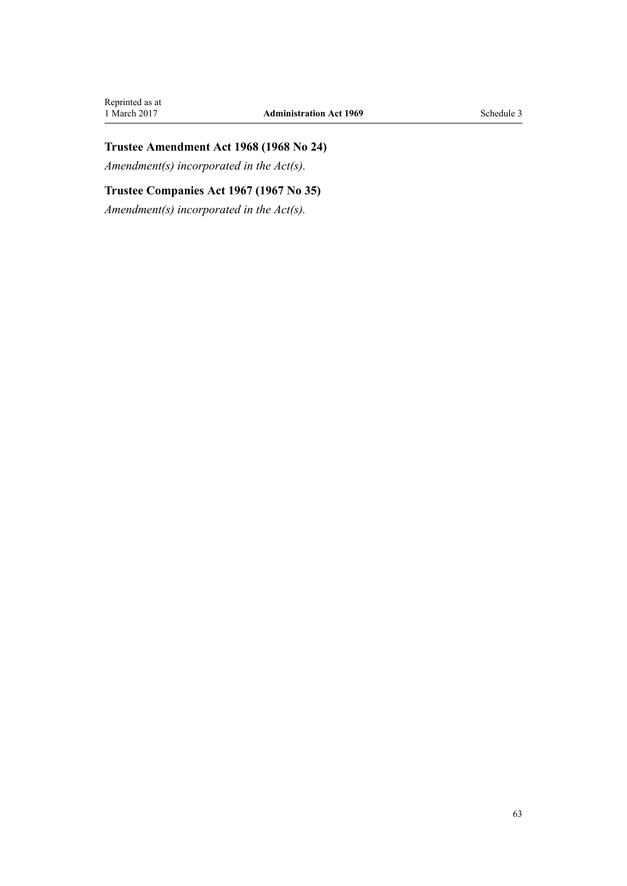# **Trustee Amendment Act 1968 (1968 No 24)**

*Amendment(s) incorporated in the Act(s).*

# **Trustee Companies Act 1967 (1967 No 35)**

*Amendment(s) incorporated in the [Act\(s\).](http://prd-lgnz-nlb.prd.pco.net.nz/pdflink.aspx?id=DLM381179)*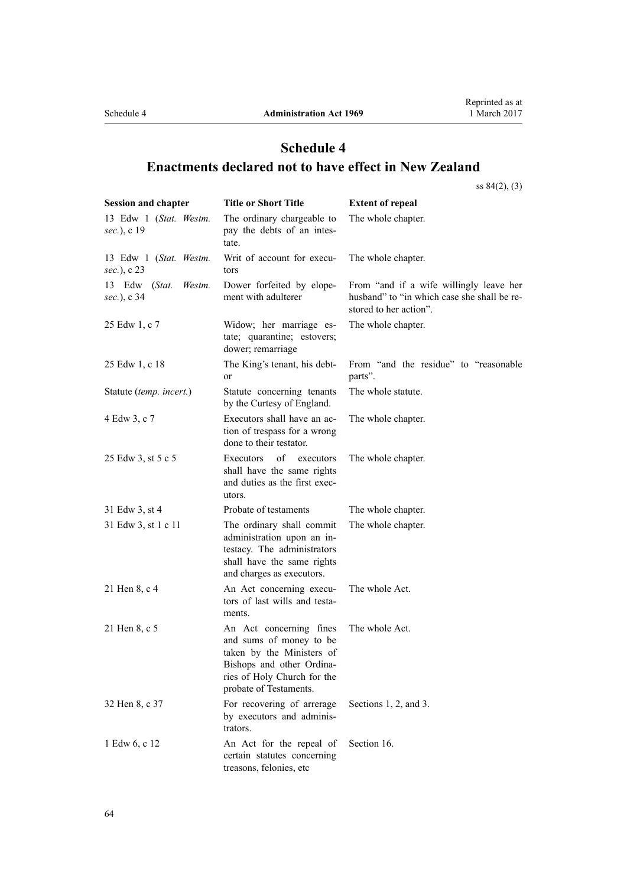# <span id="page-63-0"></span>**Schedule 4 Enactments declared not to have effect in New Zealand**

[ss 84\(2\), \(3\)](#page-58-0)

| <b>Session and chapter</b>                | <b>Title or Short Title</b>                                                                                                                                           | <b>Extent of repeal</b>                                                                                          |
|-------------------------------------------|-----------------------------------------------------------------------------------------------------------------------------------------------------------------------|------------------------------------------------------------------------------------------------------------------|
| 13 Edw 1 (Stat. Westm.<br>sec.), c 19     | The ordinary chargeable to<br>pay the debts of an intes-<br>tate.                                                                                                     | The whole chapter.                                                                                               |
| 13 Edw 1 (Stat. Westm.<br>sec.), c 23     | Writ of account for execu-<br>tors                                                                                                                                    | The whole chapter.                                                                                               |
| 13 Edw<br>(Stat.<br>Westm.<br>sec.), c 34 | Dower forfeited by elope-<br>ment with adulterer                                                                                                                      | From "and if a wife willingly leave her<br>husband" to "in which case she shall be re-<br>stored to her action". |
| 25 Edw 1, c 7                             | Widow; her marriage es-<br>tate; quarantine; estovers;<br>dower; remarriage                                                                                           | The whole chapter.                                                                                               |
| 25 Edw 1, c 18                            | The King's tenant, his debt-<br>or                                                                                                                                    | From "and the residue" to "reasonable<br>parts".                                                                 |
| Statute (temp. incert.)                   | Statute concerning tenants<br>by the Curtesy of England.                                                                                                              | The whole statute.                                                                                               |
| 4 Edw 3, c 7                              | Executors shall have an ac-<br>tion of trespass for a wrong<br>done to their testator.                                                                                | The whole chapter.                                                                                               |
| 25 Edw 3, st 5 c 5                        | of<br><b>Executors</b><br>executors<br>shall have the same rights<br>and duties as the first exec-<br>utors.                                                          | The whole chapter.                                                                                               |
| 31 Edw 3, st 4                            | Probate of testaments                                                                                                                                                 | The whole chapter.                                                                                               |
| 31 Edw 3, st 1 c 11                       | The ordinary shall commit<br>administration upon an in-<br>testacy. The administrators<br>shall have the same rights<br>and charges as executors.                     | The whole chapter.                                                                                               |
| 21 Hen 8, c 4                             | An Act concerning execu-<br>tors of last wills and testa-<br>ments.                                                                                                   | The whole Act.                                                                                                   |
| 21 Hen 8, c 5                             | An Act concerning fines<br>and sums of money to be<br>taken by the Ministers of<br>Bishops and other Ordina-<br>ries of Holy Church for the<br>probate of Testaments. | The whole Act.                                                                                                   |
| 32 Hen 8, c 37                            | For recovering of arrerage<br>by executors and adminis-<br>trators.                                                                                                   | Sections 1, 2, and 3.                                                                                            |
| 1 Edw 6, c 12                             | An Act for the repeal of<br>certain statutes concerning<br>treasons, felonies, etc                                                                                    | Section 16.                                                                                                      |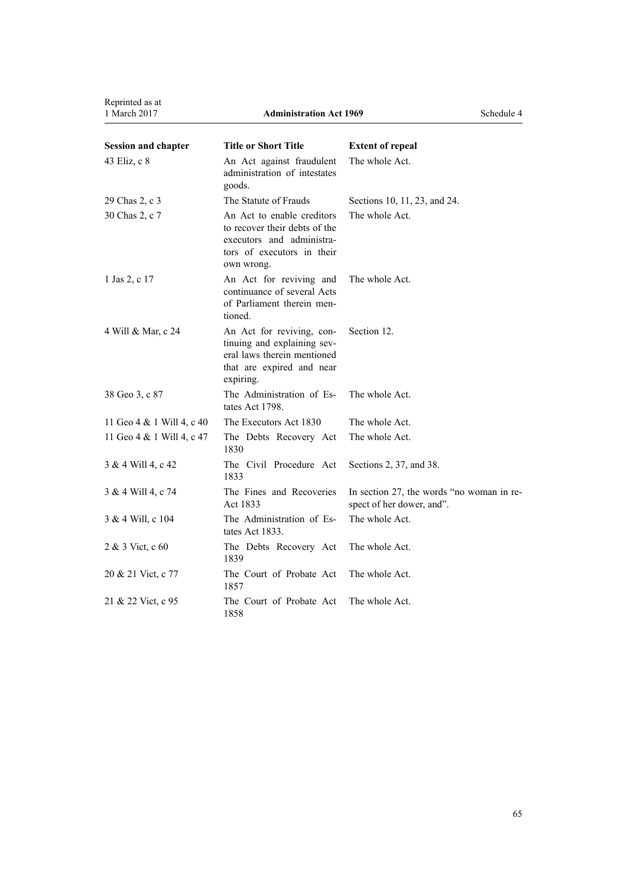Reprinted as at<br>1 March 2017

| <b>Session and chapter</b> | <b>Title or Short Title</b>                                                                                                          | <b>Extent of repeal</b>                                                |
|----------------------------|--------------------------------------------------------------------------------------------------------------------------------------|------------------------------------------------------------------------|
| 43 Eliz, c 8               | An Act against fraudulent<br>administration of intestates<br>goods.                                                                  | The whole Act.                                                         |
| 29 Chas 2, c 3             | The Statute of Frauds                                                                                                                | Sections 10, 11, 23, and 24.                                           |
| 30 Chas 2, c 7             | An Act to enable creditors<br>to recover their debts of the<br>executors and administra-<br>tors of executors in their<br>own wrong. | The whole Act.                                                         |
| 1 Jas 2, c 17              | An Act for reviving and<br>continuance of several Acts<br>of Parliament therein men-<br>tioned.                                      | The whole Act.                                                         |
| 4 Will & Mar, c 24         | An Act for reviving, con-<br>tinuing and explaining sev-<br>eral laws therein mentioned<br>that are expired and near<br>expiring.    | Section 12.                                                            |
| 38 Geo 3, c 87             | The Administration of Es-<br>tates Act 1798.                                                                                         | The whole Act.                                                         |
| 11 Geo 4 & 1 Will 4, c 40  | The Executors Act 1830                                                                                                               | The whole Act.                                                         |
| 11 Geo 4 & 1 Will 4, c 47  | The Debts Recovery Act<br>1830                                                                                                       | The whole Act.                                                         |
| 3 & 4 Will 4, c 42         | The Civil Procedure Act<br>1833                                                                                                      | Sections 2, 37, and 38.                                                |
| 3 & 4 Will 4, c 74         | The Fines and Recoveries<br>Act 1833                                                                                                 | In section 27, the words "no woman in re-<br>spect of her dower, and". |
| 3 & 4 Will, c 104          | The Administration of Es-<br>tates Act 1833.                                                                                         | The whole Act.                                                         |
| 2 & 3 Vict, c 60           | The Debts Recovery Act<br>1839                                                                                                       | The whole Act.                                                         |
| 20 & 21 Vict, c 77         | The Court of Probate Act<br>1857                                                                                                     | The whole Act.                                                         |
| 21 & 22 Vict, c 95         | The Court of Probate Act<br>1858                                                                                                     | The whole Act.                                                         |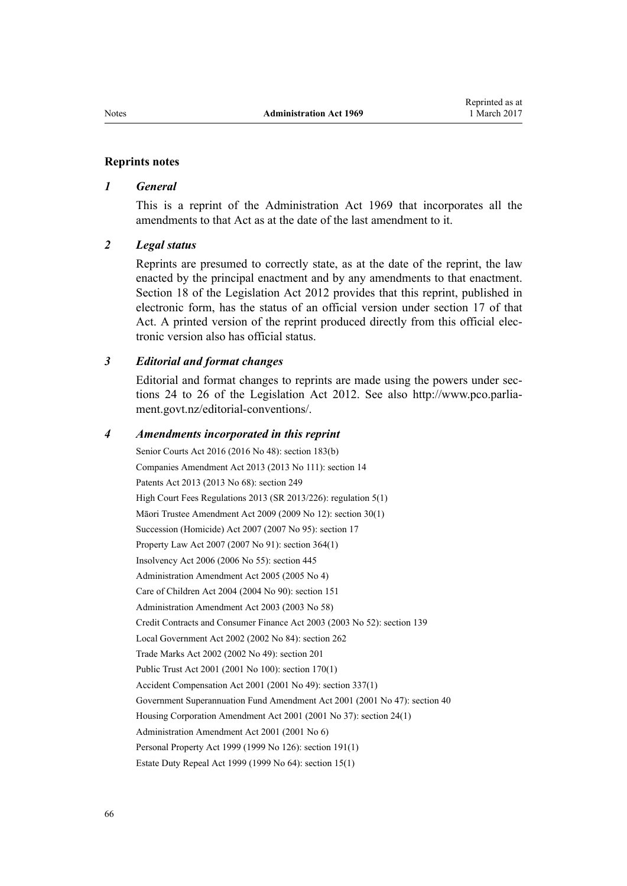#### **Reprints notes**

#### *1 General*

This is a reprint of the Administration Act 1969 that incorporates all the amendments to that Act as at the date of the last amendment to it.

#### *2 Legal status*

Reprints are presumed to correctly state, as at the date of the reprint, the law enacted by the principal enactment and by any amendments to that enactment. [Section 18](http://prd-lgnz-nlb.prd.pco.net.nz/pdflink.aspx?id=DLM2998516) of the Legislation Act 2012 provides that this reprint, published in electronic form, has the status of an official version under [section 17](http://prd-lgnz-nlb.prd.pco.net.nz/pdflink.aspx?id=DLM2998515) of that Act. A printed version of the reprint produced directly from this official electronic version also has official status.

### *3 Editorial and format changes*

Editorial and format changes to reprints are made using the powers under [sec](http://prd-lgnz-nlb.prd.pco.net.nz/pdflink.aspx?id=DLM2998532)[tions 24 to 26](http://prd-lgnz-nlb.prd.pco.net.nz/pdflink.aspx?id=DLM2998532) of the Legislation Act 2012. See also [http://www.pco.parlia](http://www.pco.parliament.govt.nz/editorial-conventions/)[ment.govt.nz/editorial-conventions/](http://www.pco.parliament.govt.nz/editorial-conventions/).

#### *4 Amendments incorporated in this reprint*

Senior Courts Act 2016 (2016 No 48): [section 183\(b\)](http://prd-lgnz-nlb.prd.pco.net.nz/pdflink.aspx?id=DLM5759564) Companies Amendment Act 2013 (2013 No 111): [section 14](http://prd-lgnz-nlb.prd.pco.net.nz/pdflink.aspx?id=DLM5620822) Patents Act 2013 (2013 No 68): [section 249](http://prd-lgnz-nlb.prd.pco.net.nz/pdflink.aspx?id=DLM1419624) High Court Fees Regulations 2013 (SR 2013/226): [regulation 5\(1\)](http://prd-lgnz-nlb.prd.pco.net.nz/pdflink.aspx?id=DLM5196144) Māori Trustee Amendment Act 2009 (2009 No 12): [section 30\(1\)](http://prd-lgnz-nlb.prd.pco.net.nz/pdflink.aspx?id=DLM1583888) Succession (Homicide) Act 2007 (2007 No 95): [section 17](http://prd-lgnz-nlb.prd.pco.net.nz/pdflink.aspx?id=DLM970309) Property Law Act 2007 (2007 No 91): [section 364\(1\)](http://prd-lgnz-nlb.prd.pco.net.nz/pdflink.aspx?id=DLM969644) Insolvency Act 2006 (2006 No 55): [section 445](http://prd-lgnz-nlb.prd.pco.net.nz/pdflink.aspx?id=DLM387857) [Administration Amendment Act 2005](http://prd-lgnz-nlb.prd.pco.net.nz/pdflink.aspx?id=DLM334742) (2005 No 4) Care of Children Act 2004 (2004 No 90): [section 151](http://prd-lgnz-nlb.prd.pco.net.nz/pdflink.aspx?id=DLM317988) [Administration Amendment Act 2003](http://prd-lgnz-nlb.prd.pco.net.nz/pdflink.aspx?id=DLM215887) (2003 No 58) Credit Contracts and Consumer Finance Act 2003 (2003 No 52): [section 139](http://prd-lgnz-nlb.prd.pco.net.nz/pdflink.aspx?id=DLM213532) Local Government Act 2002 (2002 No 84): [section 262](http://prd-lgnz-nlb.prd.pco.net.nz/pdflink.aspx?id=DLM174088) Trade Marks Act 2002 (2002 No 49): [section 201](http://prd-lgnz-nlb.prd.pco.net.nz/pdflink.aspx?id=DLM165256) Public Trust Act 2001 (2001 No 100): [section 170\(1\)](http://prd-lgnz-nlb.prd.pco.net.nz/pdflink.aspx?id=DLM124529) Accident Compensation Act 2001 (2001 No 49): [section 337\(1\)](http://prd-lgnz-nlb.prd.pco.net.nz/pdflink.aspx?id=DLM104117) Government Superannuation Fund Amendment Act 2001 (2001 No 47): [section 40](http://prd-lgnz-nlb.prd.pco.net.nz/pdflink.aspx?id=DLM99003) Housing Corporation Amendment Act 2001 (2001 No 37): [section 24\(1\)](http://prd-lgnz-nlb.prd.pco.net.nz/pdflink.aspx?id=DLM96736) [Administration Amendment Act 2001](http://prd-lgnz-nlb.prd.pco.net.nz/pdflink.aspx?id=DLM88114) (2001 No 6) Personal Property Act 1999 (1999 No 126): [section 191\(1\)](http://prd-lgnz-nlb.prd.pco.net.nz/pdflink.aspx?id=DLM47639) Estate Duty Repeal Act 1999 (1999 No 64): [section 15\(1\)](http://prd-lgnz-nlb.prd.pco.net.nz/pdflink.aspx?id=DLM30504)